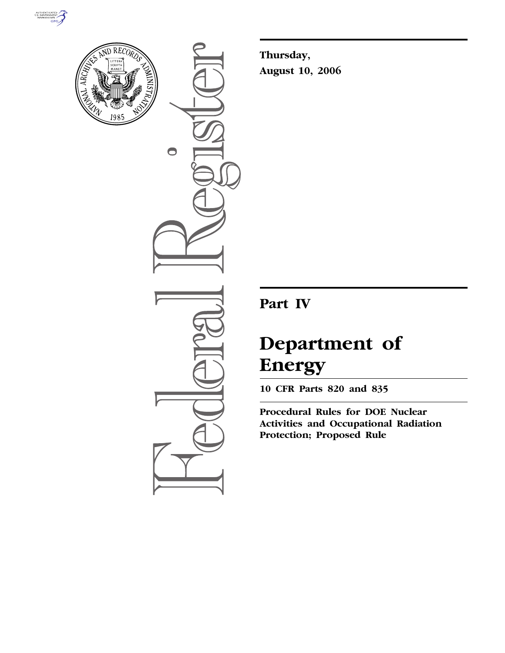



 $\bullet$ 

**Thursday, August 10, 2006** 

**Part IV** 

# **Department of Energy**

**10 CFR Parts 820 and 835** 

**Procedural Rules for DOE Nuclear Activities and Occupational Radiation Protection; Proposed Rule**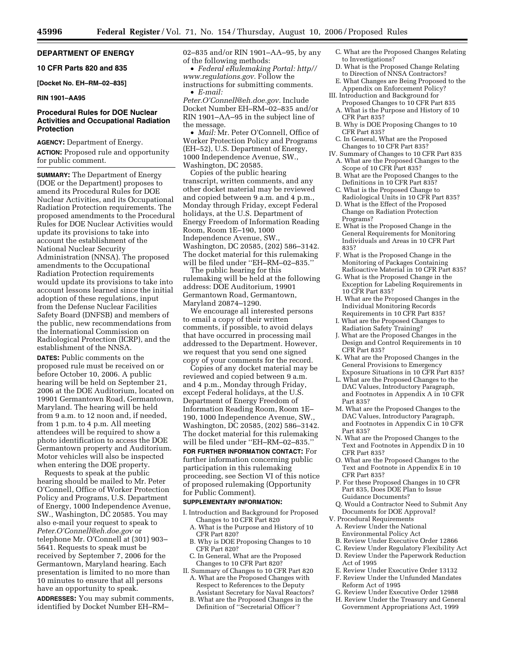## **DEPARTMENT OF ENERGY**

**10 CFR Parts 820 and 835** 

#### **[Docket No. EH–RM–02–835]**

## **RIN 1901–AA95**

## **Procedural Rules for DOE Nuclear Activities and Occupational Radiation Protection**

**AGENCY:** Department of Energy. **ACTION:** Proposed rule and opportunity for public comment.

**SUMMARY:** The Department of Energy (DOE or the Department) proposes to amend its Procedural Rules for DOE Nuclear Activities, and its Occupational Radiation Protection requirements. The proposed amendments to the Procedural Rules for DOE Nuclear Activities would update its provisions to take into account the establishment of the National Nuclear Security Administration (NNSA). The proposed amendments to the Occupational Radiation Protection requirements would update its provisions to take into account lessons learned since the initial adoption of these regulations, input from the Defense Nuclear Facilities Safety Board (DNFSB) and members of the public, new recommendations from the International Commission on Radiological Protection (ICRP), and the establishment of the NNSA.

**DATES:** Public comments on the proposed rule must be received on or before October 10, 2006. A public hearing will be held on September 21, 2006 at the DOE Auditorium, located on 19901 Germantown Road, Germantown, Maryland. The hearing will be held from 9 a.m. to 12 noon and, if needed, from 1 p.m. to 4 p.m. All meeting attendees will be required to show a photo identification to access the DOE Germantown property and Auditorium. Motor vehicles will also be inspected when entering the DOE property.

Requests to speak at the public hearing should be mailed to Mr. Peter O'Connell, Office of Worker Protection Policy and Programs, U.S. Department of Energy, 1000 Independence Avenue, SW., Washington, DC 20585. You may also e-mail your request to speak to *Peter.O'Connell@eh.doe.gov* or telephone Mr. O'Connell at (301) 903– 5641. Requests to speak must be received by September 7, 2006 for the Germantown, Maryland hearing. Each presentation is limited to no more than 10 minutes to ensure that all persons have an opportunity to speak.

**ADDRESSES:** You may submit comments, identified by Docket Number EH–RM–

02–835 and/or RIN 1901–AA–95, by any of the following methods:

• *Federal eRulemaking Portal: http// www.regulations.gov.* Follow the instructions for submitting comments. • *E-mail:* 

*Peter.O'Connell@eh.doe.gov.* Include Docket Number EH–RM–02–835 and/or RIN 1901–AA–95 in the subject line of the message.

• *Mail:* Mr. Peter O'Connell, Office of Worker Protection Policy and Programs (EH–52), U.S. Department of Energy, 1000 Independence Avenue, SW., Washington, DC 20585.

Copies of the public hearing transcript, written comments, and any other docket material may be reviewed and copied between 9 a.m. and 4 p.m., Monday through Friday, except Federal holidays, at the U.S. Department of Energy Freedom of Information Reading Room, Room 1E–190, 1000 Independence Avenue, SW., Washington, DC 20585, (202) 586–3142. The docket material for this rulemaking will be filed under ''EH–RM–02–835.''

The public hearing for this rulemaking will be held at the following address: DOE Auditorium, 19901 Germantown Road, Germantown, Maryland 20874–1290.

We encourage all interested persons to email a copy of their written comments, if possible, to avoid delays that have occurred in processing mail addressed to the Department. However, we request that you send one signed copy of your comments for the record.

Copies of any docket material may be reviewed and copied between 9 a.m. and 4 p.m., Monday through Friday, except Federal holidays, at the U.S. Department of Energy Freedom of Information Reading Room, Room 1E– 190, 1000 Independence Avenue, SW., Washington, DC 20585, (202) 586–3142. The docket material for this rulemaking will be filed under ''EH–RM–02–835.''

**FOR FURTHER INFORMATION CONTACT:** For further information concerning public participation in this rulemaking proceeding, see Section VI of this notice of proposed rulemaking (Opportunity for Public Comment).

#### **SUPPLEMENTARY INFORMATION:**

- I. Introduction and Background for Proposed Changes to 10 CFR Part 820
	- A. What is the Purpose and History of 10 CFR Part 820?
- B. Why is DOE Proposing Changes to 10 CFR Part 820?
- C. In General, What are the Proposed Changes to 10 CFR Part 820?
- II. Summary of Changes to 10 CFR Part 820 A. What are the Proposed Changes with Respect to References to the Deputy Assistant Secretary for Naval Reactors?
	- B. What are the Proposed Changes in the Definition of ''Secretarial Officer'?
- C. What are the Proposed Changes Relating to Investigations?
- D. What is the Proposed Change Relating to Direction of NNSA Contractors?
- E. What Changes are Being Proposed to the Appendix on Enforcement Policy?
- III. Introduction and Background for Proposed Changes to 10 CFR Part 835
	- A. What is the Purpose and History of 10 CFR Part 835?
	- B. Why is DOE Proposing Changes to 10 CFR Part 835?
- C. In General, What are the Proposed Changes to 10 CFR Part 835?
- IV. Summary of Changes to 10 CFR Part 835 A. What are the Proposed Changes to the Scope of 10 CFR Part 835?
	- B. What are the Proposed Changes to the Definitions in 10 CFR Part 835?
- C. What is the Proposed Change to Radiological Units in 10 CFR Part 835?
- D. What is the Effect of the Proposed Change on Radiation Protection Programs?
- E. What is the Proposed Change in the General Requirements for Monitoring Individuals and Areas in 10 CFR Part 835?
- F. What is the Proposed Change in the Monitoring of Packages Containing Radioactive Material in 10 CFR Part 835?
- G. What is the Proposed Change in the Exception for Labeling Requirements in 10 CFR Part 835?
- H. What are the Proposed Changes in the Individual Monitoring Records Requirements in 10 CFR Part 835?
- I. What are the Proposed Changes to Radiation Safety Training?
- J. What are the Proposed Changes in the Design and Control Requirements in 10 CFR Part 835?
- K. What are the Proposed Changes in the General Provisions to Emergency Exposure Situations in 10 CFR Part 835?
- L. What are the Proposed Changes to the DAC Values, Introductory Paragraph,
- and Footnotes in Appendix A in 10 CFR Part 835?
- M. What are the Proposed Changes to the DAC Values, Introductory Paragraph, and Footnotes in Appendix C in 10 CFR Part 835?
- N. What are the Proposed Changes to the Text and Footnotes in Appendix D in 10 CFR Part 835?
- O. What are the Proposed Changes to the Text and Footnote in Appendix E in 10 CFR Part 835?
- P. For these Proposed Changes in 10 CFR Part 835, Does DOE Plan to Issue Guidance Documents?
- Q. Would a Contractor Need to Submit Any Documents for DOE Approval?
- V. Procedural Requirements
	- A. Review Under the National Environmental Policy Act
	- B. Review Under Executive Order 12866
	- C. Review Under Regulatory Flexibility Act
	- D. Review Under the Paperwork Reduction Act of 1995
- E. Review Under Executive Order 13132
	- F. Review Under the Unfunded Mandates Reform Act of 1995
	- G. Review Under Executive Order 12988
	- H. Review Under the Treasury and General Government Appropriations Act, 1999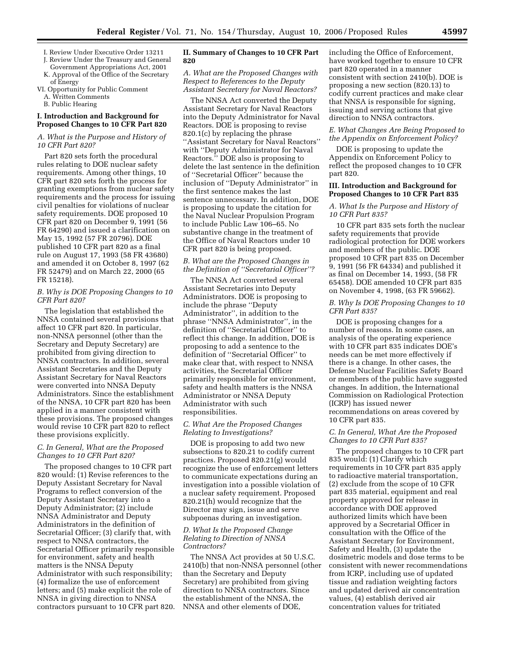- I. Review Under Executive Order 13211 J. Review Under the Treasury and General
- Government Appropriations Act, 2001 K. Approval of the Office of the Secretary
- of Energy VI. Opportunity for Public Comment

A. Written Comments

B. Public Hearing

## **I. Introduction and Background for Proposed Changes to 10 CFR Part 820**

## *A. What is the Purpose and History of 10 CFR Part 820?*

Part 820 sets forth the procedural rules relating to DOE nuclear safety requirements. Among other things, 10 CFR part 820 sets forth the process for granting exemptions from nuclear safety requirements and the process for issuing civil penalties for violations of nuclear safety requirements. DOE proposed 10 CFR part 820 on December 9, 1991 (56 FR 64290) and issued a clarification on May 15, 1992 (57 FR 20796). DOE published 10 CFR part 820 as a final rule on August 17, 1993 (58 FR 43680) and amended it on October 8, 1997 (62 FR 52479) and on March 22, 2000 (65 FR 15218).

## *B. Why is DOE Proposing Changes to 10 CFR Part 820?*

The legislation that established the NNSA contained several provisions that affect 10 CFR part 820. In particular, non-NNSA personnel (other than the Secretary and Deputy Secretary) are prohibited from giving direction to NNSA contractors. In addition, several Assistant Secretaries and the Deputy Assistant Secretary for Naval Reactors were converted into NNSA Deputy Administrators. Since the establishment of the NNSA, 10 CFR part 820 has been applied in a manner consistent with these provisions. The proposed changes would revise 10 CFR part 820 to reflect these provisions explicitly.

## *C. In General, What are the Proposed Changes to 10 CFR Part 820?*

The proposed changes to 10 CFR part 820 would: (1) Revise references to the Deputy Assistant Secretary for Naval Programs to reflect conversion of the Deputy Assistant Secretary into a Deputy Administrator; (2) include NNSA Administrator and Deputy Administrators in the definition of Secretarial Officer; (3) clarify that, with respect to NNSA contractors, the Secretarial Officer primarily responsible for environment, safety and health matters is the NNSA Deputy Administrator with such responsibility; (4) formalize the use of enforcement letters; and (5) make explicit the role of NNSA in giving direction to NNSA contractors pursuant to 10 CFR part 820.

## **II. Summary of Changes to 10 CFR Part 820**

## *A. What are the Proposed Changes with Respect to References to the Deputy Assistant Secretary for Naval Reactors?*

The NNSA Act converted the Deputy Assistant Secretary for Naval Reactors into the Deputy Administrator for Naval Reactors. DOE is proposing to revise 820.1(c) by replacing the phrase ''Assistant Secretary for Naval Reactors'' with ''Deputy Administrator for Naval Reactors.'' DOE also is proposing to delete the last sentence in the definition of ''Secretarial Officer'' because the inclusion of ''Deputy Administrator'' in the first sentence makes the last sentence unnecessary. In addition, DOE is proposing to update the citation for the Naval Nuclear Propulsion Program to include Public Law 106–65. No substantive change in the treatment of the Office of Naval Reactors under 10 CFR part 820 is being proposed.

## *B. What are the Proposed Changes in the Definition of ''Secretarial Officer''?*

The NNSA Act converted several Assistant Secretaries into Deputy Administrators. DOE is proposing to include the phrase ''Deputy Administrator'', in addition to the phrase ''NNSA Administrator'', in the definition of ''Secretarial Officer'' to reflect this change. In addition, DOE is proposing to add a sentence to the definition of ''Secretarial Officer'' to make clear that, with respect to NNSA activities, the Secretarial Officer primarily responsible for environment, safety and health matters is the NNSA Administrator or NNSA Deputy Administrator with such responsibilities.

## *C. What Are the Proposed Changes Relating to Investigations?*

DOE is proposing to add two new subsections to 820.21 to codify current practices. Proposed 820.21(g) would recognize the use of enforcement letters to communicate expectations during an investigation into a possible violation of a nuclear safety requirement. Proposed 820.21(h) would recognize that the Director may sign, issue and serve subpoenas during an investigation.

## *D. What Is the Proposed Change Relating to Direction of NNSA Contractors?*

The NNSA Act provides at 50 U.S.C. 2410(b) that non-NNSA personnel (other than the Secretary and Deputy Secretary) are prohibited from giving direction to NNSA contractors. Since the establishment of the NNSA, the NNSA and other elements of DOE,

including the Office of Enforcement, have worked together to ensure 10 CFR part 820 operated in a manner consistent with section 2410(b). DOE is proposing a new section (820.13) to codify current practices and make clear that NNSA is responsible for signing, issuing and serving actions that give direction to NNSA contractors.

## *E. What Changes Are Being Proposed to the Appendix on Enforcement Policy?*

DOE is proposing to update the Appendix on Enforcement Policy to reflect the proposed changes to 10 CFR part 820.

## **III. Introduction and Background for Proposed Changes to 10 CFR Part 835**

## *A. What Is the Purpose and History of 10 CFR Part 835?*

10 CFR part 835 sets forth the nuclear safety requirements that provide radiological protection for DOE workers and members of the public. DOE proposed 10 CFR part 835 on December 9, 1991 (56 FR 64334) and published it as final on December 14, 1993, (58 FR 65458). DOE amended 10 CFR part 835 on November 4, 1998, (63 FR 59662).

## *B. Why Is DOE Proposing Changes to 10 CFR Part 835?*

DOE is proposing changes for a number of reasons. In some cases, an analysis of the operating experience with 10 CFR part 835 indicates DOE's needs can be met more effectively if there is a change. In other cases, the Defense Nuclear Facilities Safety Board or members of the public have suggested changes. In addition, the International Commission on Radiological Protection (ICRP) has issued newer recommendations on areas covered by 10 CFR part 835.

## *C. In General, What Are the Proposed Changes to 10 CFR Part 835?*

The proposed changes to 10 CFR part 835 would: (1) Clarify which requirements in 10 CFR part 835 apply to radioactive material transportation, (2) exclude from the scope of 10 CFR part 835 material, equipment and real property approved for release in accordance with DOE approved authorized limits which have been approved by a Secretarial Officer in consultation with the Office of the Assistant Secretary for Environment, Safety and Health, (3) update the dosimetric models and dose terms to be consistent with newer recommendations from ICRP, including use of updated tissue and radiation weighting factors and updated derived air concentration values, (4) establish derived air concentration values for tritiated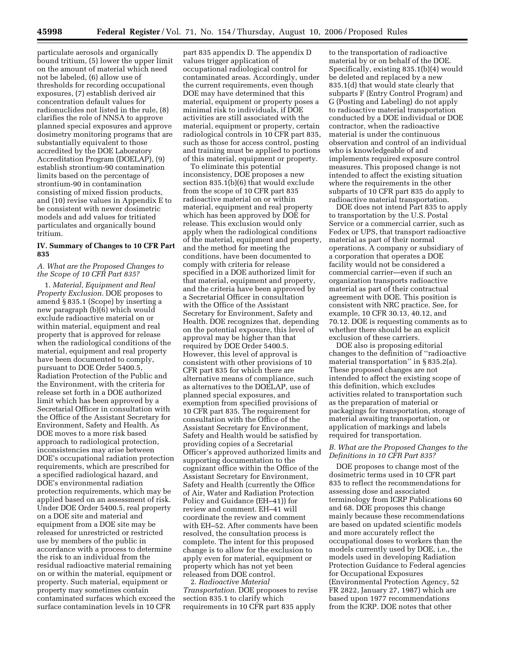particulate aerosols and organically bound tritium, (5) lower the upper limit on the amount of material which need not be labeled, (6) allow use of thresholds for recording occupational exposures, (7) establish derived air concentration default values for radionuclides not listed in the rule, (8) clarifies the role of NNSA to approve planned special exposures and approve dosimetry monitoring programs that are substantially equivalent to those accredited by the DOE Laboratory Accreditation Program (DOELAP), (9) establish strontium-90 contamination limits based on the percentage of strontium-90 in contamination consisting of mixed fission products, and (10) revise values in Appendix E to be consistent with newer dosimetric models and add values for tritiated particulates and organically bound tritium.

## **IV. Summary of Changes to 10 CFR Part 835**

## *A. What are the Proposed Changes to the Scope of 10 CFR Part 835?*

1. *Material, Equipment and Real Property Exclusion.* DOE proposes to amend § 835.1 (Scope) by inserting a new paragraph (b)(6) which would exclude radioactive material on or within material, equipment and real property that is approved for release when the radiological conditions of the material, equipment and real property have been documented to comply, pursuant to DOE Order 5400.5, Radiation Protection of the Public and the Environment, with the criteria for release set forth in a DOE authorized limit which has been approved by a Secretarial Officer in consultation with the Office of the Assistant Secretary for Environment, Safety and Health. As DOE moves to a more risk based approach to radiological protection, inconsistencies may arise between DOE's occupational radiation protection requirements, which are prescribed for a specified radiological hazard, and DOE's environmental radiation protection requirements, which may be applied based on an assessment of risk. Under DOE Order 5400.5, real property on a DOE site and material and equipment from a DOE site may be released for unrestricted or restricted use by members of the public in accordance with a process to determine the risk to an individual from the residual radioactive material remaining on or within the material, equipment or property. Such material, equipment or property may sometimes contain contaminated surfaces which exceed the surface contamination levels in 10 CFR

part 835 appendix D. The appendix D values trigger application of occupational radiological control for contaminated areas. Accordingly, under the current requirements, even though DOE may have determined that this material, equipment or property poses a minimal risk to individuals, if DOE activities are still associated with the material, equipment or property, certain radiological controls in 10 CFR part 835, such as those for access control, posting and training must be applied to portions of this material, equipment or property.

To eliminate this potential inconsistency, DOE proposes a new section 835.1(b)(6) that would exclude from the scope of 10 CFR part 835 radioactive material on or within material, equipment and real property which has been approved by DOE for release. This exclusion would only apply when the radiological conditions of the material, equipment and property, and the method for meeting the conditions, have been documented to comply with criteria for release specified in a DOE authorized limit for that material, equipment and property, and the criteria have been approved by a Secretarial Officer in consultation with the Office of the Assistant Secretary for Environment, Safety and Health. DOE recognizes that, depending on the potential exposure, this level of approval may be higher than that required by DOE Order 5400.5. However, this level of approval is consistent with other provisions of 10 CFR part 835 for which there are alternative means of compliance, such as alternatives to the DOELAP, use of planned special exposures, and exemption from specified provisions of 10 CFR part 835. The requirement for consultation with the Office of the Assistant Secretary for Environment, Safety and Health would be satisfied by providing copies of a Secretarial Officer's approved authorized limits and supporting documentation to the cognizant office within the Office of the Assistant Secretary for Environment, Safety and Health (currently the Office of Air, Water and Radiation Protection Policy and Guidance (EH–41)) for review and comment. EH–41 will coordinate the review and comment with EH–52. After comments have been resolved, the consultation process is complete. The intent for this proposed change is to allow for the exclusion to apply even for material, equipment or property which has not yet been released from DOE control.

2. *Radioactive Material Transportation.* DOE proposes to revise section 835.1 to clarify which requirements in 10 CFR part 835 apply

to the transportation of radioactive material by or on behalf of the DOE. Specifically, existing 835.1(b)(4) would be deleted and replaced by a new 835.1(d) that would state clearly that subparts F (Entry Control Program) and G (Posting and Labeling) do not apply to radioactive material transportation conducted by a DOE individual or DOE contractor, when the radioactive material is under the continuous observation and control of an individual who is knowledgeable of and implements required exposure control measures. This proposed change is not intended to affect the existing situation where the requirements in the other subparts of 10 CFR part 835 do apply to radioactive material transportation.

DOE does not intend Part 835 to apply to transportation by the U.S. Postal Service or a commercial carrier, such as Fedex or UPS, that transport radioactive material as part of their normal operations. A company or subsidiary of a corporation that operates a DOE facility would not be considered a commercial carrier—even if such an organization transports radioactive material as part of their contractual agreement with DOE. This position is consistent with NRC practice. See, for example, 10 CFR 30.13, 40.12, and 70.12. DOE is requesting comments as to whether there should be an explicit exclusion of these carriers.

DOE also is proposing editorial changes to the definition of ''radioactive material transportation'' in § 835.2(a). These proposed changes are not intended to affect the existing scope of this definition, which excludes activities related to transportation such as the preparation of material or packagings for transportation, storage of material awaiting transportation, or application of markings and labels required for transportation.

## *B. What are the Proposed Changes to the Definitions in 10 CFR Part 835?*

DOE proposes to change most of the dosimetric terms used in 10 CFR part 835 to reflect the recommendations for assessing dose and associated terminology from ICRP Publications 60 and 68. DOE proposes this change mainly because these recommendations are based on updated scientific models and more accurately reflect the occupational doses to workers than the models currently used by DOE, i.e., the models used in developing Radiation Protection Guidance to Federal agencies for Occupational Exposures (Environmental Protection Agency, 52 FR 2822, January 27, 1987) which are based upon 1977 recommendations from the ICRP. DOE notes that other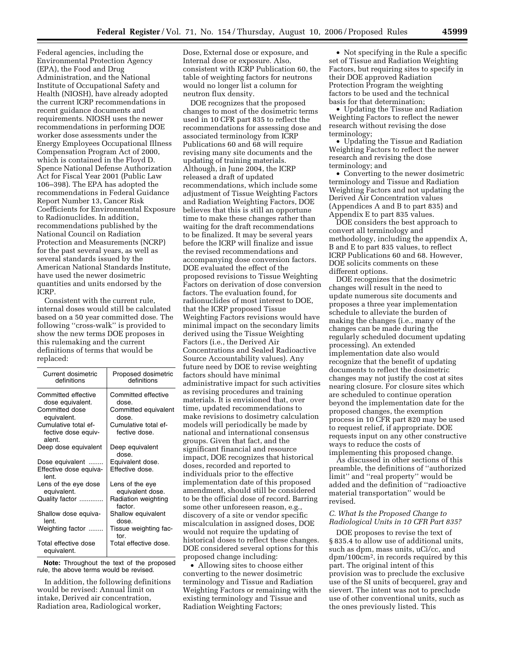Federal agencies, including the Environmental Protection Agency (EPA), the Food and Drug Administration, and the National Institute of Occupational Safety and Health (NIOSH), have already adopted the current ICRP recommendations in recent guidance documents and requirements. NIOSH uses the newer recommendations in performing DOE worker dose assessments under the Energy Employees Occupational Illness Compensation Program Act of 2000, which is contained in the Floyd D. Spence National Defense Authorization Act for Fiscal Year 2001 (Public Law 106–398). The EPA has adopted the recommendations in Federal Guidance Report Number 13, Cancer Risk Coefficients for Environmental Exposure to Radionuclides. In addition, recommendations published by the National Council on Radiation Protection and Measurements (NCRP) for the past several years, as well as several standards issued by the American National Standards Institute, have used the newer dosimetric quantities and units endorsed by the ICRP.

Consistent with the current rule, internal doses would still be calculated based on a 50 year committed dose. The following ''cross-walk'' is provided to show the new terms DOE proposes in this rulemaking and the current definitions of terms that would be replaced:

| Current dosimetric<br>Proposed dosimetric<br>definitions<br>definitions<br>Committed effective<br>Committed effective<br>dose equivalent.<br>dose.<br>Committed dose<br>Committed equivalent<br>equivalent.<br>dose.<br>Cumulative total ef-<br>Cumulative total ef-<br>fective dose equiv-<br>fective dose.<br>alent.<br>Deep dose equivalent<br>Deep equivalent<br>dose.<br>Equivalent dose.<br>Dose equivalent<br>Effective dose.<br>Effective dose equiva-<br>lent<br>Lens of the eye dose<br>Lens of the eye<br>equivalent.<br>equivalent dose.<br>Radiation weighting<br>Quality factor<br>factor.<br>Shallow equivalent<br>Shallow dose equiva-<br>dose.<br>lent.<br>Weighting factor<br>Tissue weighting fac-<br>tor.<br>Total effective dose<br>Total effective dose.<br>equivalent. |  |
|-----------------------------------------------------------------------------------------------------------------------------------------------------------------------------------------------------------------------------------------------------------------------------------------------------------------------------------------------------------------------------------------------------------------------------------------------------------------------------------------------------------------------------------------------------------------------------------------------------------------------------------------------------------------------------------------------------------------------------------------------------------------------------------------------|--|
|                                                                                                                                                                                                                                                                                                                                                                                                                                                                                                                                                                                                                                                                                                                                                                                               |  |
|                                                                                                                                                                                                                                                                                                                                                                                                                                                                                                                                                                                                                                                                                                                                                                                               |  |
|                                                                                                                                                                                                                                                                                                                                                                                                                                                                                                                                                                                                                                                                                                                                                                                               |  |
|                                                                                                                                                                                                                                                                                                                                                                                                                                                                                                                                                                                                                                                                                                                                                                                               |  |
|                                                                                                                                                                                                                                                                                                                                                                                                                                                                                                                                                                                                                                                                                                                                                                                               |  |
|                                                                                                                                                                                                                                                                                                                                                                                                                                                                                                                                                                                                                                                                                                                                                                                               |  |
|                                                                                                                                                                                                                                                                                                                                                                                                                                                                                                                                                                                                                                                                                                                                                                                               |  |
|                                                                                                                                                                                                                                                                                                                                                                                                                                                                                                                                                                                                                                                                                                                                                                                               |  |
|                                                                                                                                                                                                                                                                                                                                                                                                                                                                                                                                                                                                                                                                                                                                                                                               |  |
|                                                                                                                                                                                                                                                                                                                                                                                                                                                                                                                                                                                                                                                                                                                                                                                               |  |
|                                                                                                                                                                                                                                                                                                                                                                                                                                                                                                                                                                                                                                                                                                                                                                                               |  |

**Note:** Throughout the text of the proposed rule, the above terms would be revised.

In addition, the following definitions would be revised: Annual limit on intake, Derived air concentration, Radiation area, Radiological worker,

Dose, External dose or exposure, and Internal dose or exposure. Also, consistent with ICRP Publication 60, the table of weighting factors for neutrons would no longer list a column for neutron flux density.

DOE recognizes that the proposed changes to most of the dosimetric terms used in 10 CFR part 835 to reflect the recommendations for assessing dose and associated terminology from ICRP Publications 60 and 68 will require revising many site documents and the updating of training materials. Although, in June 2004, the ICRP released a draft of updated recommendations, which include some adjustment of Tissue Weighting Factors and Radiation Weighting Factors, DOE believes that this is still an opportune time to make these changes rather than waiting for the draft recommendations to be finalized. It may be several years before the ICRP will finalize and issue the revised recommendations and accompanying dose conversion factors. DOE evaluated the effect of the proposed revisions to Tissue Weighting Factors on derivation of dose conversion factors. The evaluation found, for radionuclides of most interest to DOE, that the ICRP proposed Tissue Weighting Factors revisions would have minimal impact on the secondary limits derived using the Tissue Weighting Factors (i.e., the Derived Air Concentrations and Sealed Radioactive Source Accountability values). Any future need by DOE to revise weighting factors should have minimal administrative impact for such activities as revising procedures and training materials. It is envisioned that, over time, updated recommendations to make revisions to dosimetry calculation models will periodically be made by national and international consensus groups. Given that fact, and the significant financial and resource impact, DOE recognizes that historical doses, recorded and reported to individuals prior to the effective implementation date of this proposed amendment, should still be considered to be the official dose of record. Barring some other unforeseen reason, e.g., discovery of a site or vendor specific miscalculation in assigned doses, DOE would not require the updating of historical doses to reflect these changes. DOE considered several options for this proposed change including:

• Allowing sites to choose either converting to the newer dosimetric terminology and Tissue and Radiation Weighting Factors or remaining with the existing terminology and Tissue and Radiation Weighting Factors;

• Not specifying in the Rule a specific set of Tissue and Radiation Weighting Factors, but requiring sites to specify in their DOE approved Radiation Protection Program the weighting factors to be used and the technical basis for that determination;

• Updating the Tissue and Radiation Weighting Factors to reflect the newer research without revising the dose terminology;

• Updating the Tissue and Radiation Weighting Factors to reflect the newer research and revising the dose terminology; and

• Converting to the newer dosimetric terminology and Tissue and Radiation Weighting Factors and not updating the Derived Air Concentration values (Appendices A and B to part 835) and Appendix E to part 835 values.

DOE considers the best approach to convert all terminology and methodology, including the appendix A, B and E to part 835 values, to reflect ICRP Publications 60 and 68. However, DOE solicits comments on these different options.

DOE recognizes that the dosimetric changes will result in the need to update numerous site documents and proposes a three year implementation schedule to alleviate the burden of making the changes (i.e., many of the changes can be made during the regularly scheduled document updating processing). An extended implementation date also would recognize that the benefit of updating documents to reflect the dosimetric changes may not justify the cost at sites nearing closure. For closure sites which are scheduled to continue operation beyond the implementation date for the proposed changes, the exemption process in 10 CFR part 820 may be used to request relief, if appropriate. DOE requests input on any other constructive ways to reduce the costs of implementing this proposed change.

As discussed in other sections of this preamble, the definitions of ''authorized limit'' and ''real property'' would be added and the definition of ''radioactive material transportation'' would be revised.

## *C. What Is the Proposed Change to Radiological Units in 10 CFR Part 835?*

DOE proposes to revise the text of § 835.4 to allow use of additional units, such as dpm, mass units, uCi/cc, and dpm/100cm2, in records required by this part. The original intent of this provision was to preclude the exclusive use of the SI units of becquerel, gray and sievert. The intent was not to preclude use of other conventional units, such as the ones previously listed. This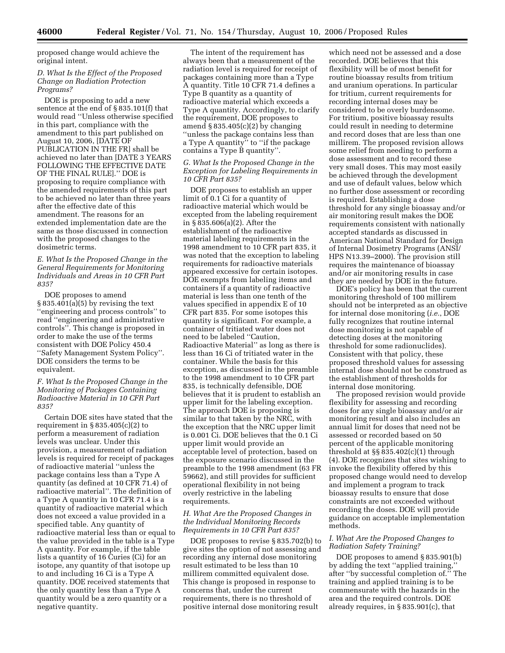proposed change would achieve the original intent.

## *D. What Is the Effect of the Proposed Change on Radiation Protection Programs?*

DOE is proposing to add a new sentence at the end of § 835.101(f) that would read ''Unless otherwise specified in this part, compliance with the amendment to this part published on August 10, 2006, [DATE OF PUBLICATION IN THE FR] shall be achieved no later than [DATE 3 YEARS FOLLOWING THE EFFECTIVE DATE OF THE FINAL RULE].'' DOE is proposing to require compliance with the amended requirements of this part to be achieved no later than three years after the effective date of this amendment. The reasons for an extended implementation date are the same as those discussed in connection with the proposed changes to the dosimetric terms.

## *E. What Is the Proposed Change in the General Requirements for Monitoring Individuals and Areas in 10 CFR Part 835?*

DOE proposes to amend § 835.401(a)(5) by revising the text ''engineering and process controls'' to read ''engineering and administrative controls''. This change is proposed in order to make the use of the terms consistent with DOE Policy 450.4 ''Safety Management System Policy''. DOE considers the terms to be equivalent.

## *F. What Is the Proposed Change in the Monitoring of Packages Containing Radioactive Material in 10 CFR Part 835?*

Certain DOE sites have stated that the requirement in  $\S 835.405(c)(2)$  to perform a measurement of radiation levels was unclear. Under this provision, a measurement of radiation levels is required for receipt of packages of radioactive material ''unless the package contains less than a Type A quantity (as defined at 10 CFR 71.4) of radioactive material''. The definition of a Type A quantity in 10 CFR 71.4 is a quantity of radioactive material which does not exceed a value provided in a specified table. Any quantity of radioactive material less than or equal to the value provided in the table is a Type A quantity. For example, if the table lists a quantity of 16 Curies (Ci) for an isotope, any quantity of that isotope up to and including 16 Ci is a Type A quantity. DOE received statements that the only quantity less than a Type A quantity would be a zero quantity or a negative quantity.

The intent of the requirement has always been that a measurement of the radiation level is required for receipt of packages containing more than a Type A quantity. Title 10 CFR 71.4 defines a Type B quantity as a quantity of radioactive material which exceeds a Type A quantity. Accordingly, to clarify the requirement, DOE proposes to amend  $\S 835.405(c)(2)$  by changing ''unless the package contains less than a Type A quantity'' to ''if the package contains a Type B quantity''.

## *G. What Is the Proposed Change in the Exception for Labeling Requirements in 10 CFR Part 835?*

DOE proposes to establish an upper limit of 0.1 Ci for a quantity of radioactive material which would be excepted from the labeling requirement in § 835.606(a)(2). After the establishment of the radioactive material labeling requirements in the 1998 amendment to 10 CFR part 835, it was noted that the exception to labeling requirements for radioactive materials appeared excessive for certain isotopes. DOE exempts from labeling items and containers if a quantity of radioactive material is less than one tenth of the values specified in appendix E of 10 CFR part 835. For some isotopes this quantity is significant. For example, a container of tritiated water does not need to be labeled ''Caution, Radioactive Material'' as long as there is less than 16 Ci of tritiated water in the container. While the basis for this exception, as discussed in the preamble to the 1998 amendment to 10 CFR part 835, is technically defensible, DOE believes that it is prudent to establish an upper limit for the labeling exception. The approach DOE is proposing is similar to that taken by the NRC, with the exception that the NRC upper limit is 0.001 Ci. DOE believes that the 0.1 Ci upper limit would provide an acceptable level of protection, based on the exposure scenario discussed in the preamble to the 1998 amendment (63 FR 59662), and still provides for sufficient operational flexibility in not being overly restrictive in the labeling requirements.

## *H. What Are the Proposed Changes in the Individual Monitoring Records Requirements in 10 CFR Part 835?*

DOE proposes to revise § 835.702(b) to give sites the option of not assessing and recording any internal dose monitoring result estimated to be less than 10 millirem committed equivalent dose. This change is proposed in response to concerns that, under the current requirements, there is no threshold of positive internal dose monitoring result

which need not be assessed and a dose recorded. DOE believes that this flexibility will be of most benefit for routine bioassay results from tritium and uranium operations. In particular for tritium, current requirements for recording internal doses may be considered to be overly burdensome. For tritium, positive bioassay results could result in needing to determine and record doses that are less than one millirem. The proposed revision allows some relief from needing to perform a dose assessment and to record these very small doses. This may most easily be achieved through the development and use of default values, below which no further dose assessment or recording is required. Establishing a dose threshold for any single bioassay and/or air monitoring result makes the DOE requirements consistent with nationally accepted standards as discussed in American National Standard for Design of Internal Dosimetry Programs (ANSI/ HPS N13.39–2000). The provision still requires the maintenance of bioassay and/or air monitoring results in case they are needed by DOE in the future.

DOE's policy has been that the current monitoring threshold of 100 millirem should not be interpreted as an objective for internal dose monitoring (*i.e.*, DOE fully recognizes that routine internal dose monitoring is not capable of detecting doses at the monitoring threshold for some radionuclides). Consistent with that policy, these proposed threshold values for assessing internal dose should not be construed as the establishment of thresholds for internal dose monitoring.

The proposed revision would provide flexibility for assessing and recording doses for any single bioassay and/or air monitoring result and also includes an annual limit for doses that need not be assessed or recorded based on 50 percent of the applicable monitoring threshold at §§ 835.402(c)(1) through (4). DOE recognizes that sites wishing to invoke the flexibility offered by this proposed change would need to develop and implement a program to track bioassay results to ensure that dose constraints are not exceeded without recording the doses. DOE will provide guidance on acceptable implementation methods.

## *I. What Are the Proposed Changes to Radiation Safety Training?*

DOE proposes to amend § 835.901(b) by adding the text ''applied training,'' after ''by successful completion of.'' The training and applied training is to be commensurate with the hazards in the area and the required controls. DOE already requires, in § 835.901(c), that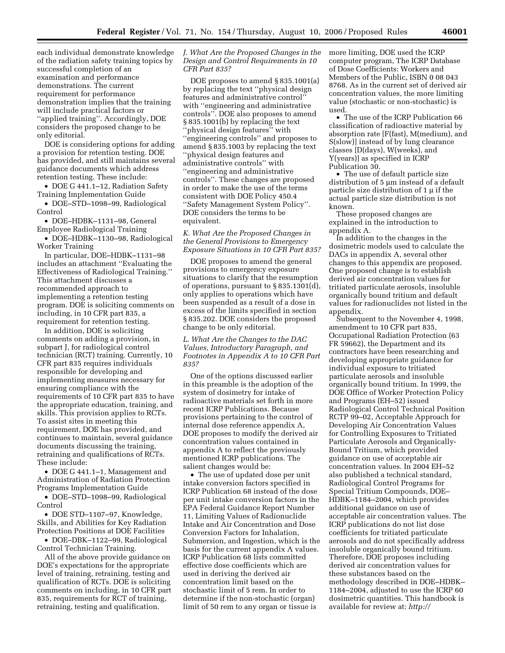each individual demonstrate knowledge of the radiation safety training topics by successful completion of an examination and performance demonstrations. The current requirement for performance demonstration implies that the training will include practical factors or ''applied training''. Accordingly, DOE considers the proposed change to be only editorial.

DOE is considering options for adding a provision for retention testing. DOE has provided, and still maintains several guidance documents which address retention testing. These include:

• DOE G 441.1–12, Radiation Safety Training Implementation Guide

• DOE–STD–1098–99, Radiological Control

• DOE–HDBK–1131–98, General Employee Radiological Training

• DOE–HDBK–1130–98, Radiological Worker Training

In particular, DOE–HDBK–1131–98 includes an attachment ''Evaluating the Effectiveness of Radiological Training.'' This attachment discusses a recommended approach to implementing a retention testing program. DOE is soliciting comments on including, in 10 CFR part 835, a requirement for retention testing.

In addition, DOE is soliciting comments on adding a provision, in subpart J, for radiological control technician (RCT) training. Currently, 10 CFR part 835 requires individuals responsible for developing and implementing measures necessary for ensuring compliance with the requirements of 10 CFR part 835 to have the appropriate education, training, and skills. This provision applies to RCTs. To assist sites in meeting this requirement, DOE has provided, and continues to maintain, several guidance documents discussing the training, retraining and qualifications of RCTs. These include:

• DOE G 441.1–1, Management and Administration of Radiation Protection Programs Implementation Guide

• DOE–STD–1098–99, Radiological Control

• DOE STD–1107–97, Knowledge, Skills, and Abilities for Key Radiation Protection Positions at DOE Facilities

• DOE–DBK–1122–99, Radiological Control Technician Training.

All of the above provide guidance on DOE's expectations for the appropriate level of training, retraining, testing and qualification of RCTs. DOE is soliciting comments on including, in 10 CFR part 835, requirements for RCT of training, retraining, testing and qualification.

*J. What Are the Proposed Changes in the Design and Control Requirements in 10 CFR Part 835?* 

DOE proposes to amend § 835.1001(a) by replacing the text ''physical design features and administrative control'' with ''engineering and administrative controls''. DOE also proposes to amend § 835.1001(b) by replacing the text ''physical design features'' with ''engineering controls'' and proposes to amend § 835.1003 by replacing the text ''physical design features and administrative controls'' with ''engineering and administrative controls''. These changes are proposed in order to make the use of the terms consistent with DOE Policy 450.4 ''Safety Management System Policy''. DOE considers the terms to be equivalent.

*K. What Are the Proposed Changes in the General Provisions to Emergency Exposure Situations in 10 CFR Part 835?* 

DOE proposes to amend the general provisions to emergency exposure situations to clarify that the resumption of operations, pursuant to § 835.1301(d), only applies to operations which have been suspended as a result of a dose in excess of the limits specified in section § 835.202. DOE considers the proposed change to be only editorial.

*L. What Are the Changes to the DAC Values, Introductory Paragraph, and Footnotes in Appendix A to 10 CFR Part 835?* 

One of the options discussed earlier in this preamble is the adoption of the system of dosimetry for intake of radioactive materials set forth in more recent ICRP Publications. Because provisions pertaining to the control of internal dose reference appendix A, DOE proposes to modify the derived air concentration values contained in appendix A to reflect the previously mentioned ICRP publications. The salient changes would be:

• The use of updated dose per unit intake conversion factors specified in ICRP Publication 68 instead of the dose per unit intake conversion factors in the EPA Federal Guidance Report Number 11, Limiting Values of Radionuclide Intake and Air Concentration and Dose Conversion Factors for Inhalation, Submersion, and Ingestion, which is the basis for the current appendix A values. ICRP Publication 68 lists committed effective dose coefficients which are used in deriving the derived air concentration limit based on the stochastic limit of 5 rem. In order to determine if the non-stochastic (organ) limit of 50 rem to any organ or tissue is

more limiting, DOE used the ICRP computer program, The ICRP Database of Dose Coefficients: Workers and Members of the Public, ISBN 0 08 043 8768. As in the current set of derived air concentration values, the more limiting value (stochastic or non-stochastic) is used.

• The use of the ICRP Publication 66 classification of radioactive material by absorption rate [F(fast), M(medium), and S(slow)] instead of by lung clearance classes [D(days), W(weeks), and Y(years)] as specified in ICRP Publication 30.

• The use of default particle size distribution of 5 µm instead of a default particle size distribution of 1 µ if the actual particle size distribution is not known.

These proposed changes are explained in the introduction to appendix A.

In addition to the changes in the dosimetric models used to calculate the DACs in appendix A, several other changes to this appendix are proposed. One proposed change is to establish derived air concentration values for tritiated particulate aerosols, insoluble organically bound tritium and default values for radionuclides not listed in the appendix.

Subsequent to the November 4, 1998, amendment to 10 CFR part 835, Occupational Radiation Protection (63 FR 59662), the Department and its contractors have been researching and developing appropriate guidance for individual exposure to tritiated particulate aerosols and insoluble organically bound tritium. In 1999, the DOE Office of Worker Protection Policy and Programs (EH–52) issued Radiological Control Technical Position RCTP 99–02, Acceptable Approach for Developing Air Concentration Values for Controlling Exposures to Tritiated Particulate Aerosols and Organically-Bound Tritium, which provided guidance on use of acceptable air concentration values. In 2004 EH–52 also published a technical standard, Radiological Control Programs for Special Tritium Compounds, DOE– HDBK–1184–2004, which provides additional guidance on use of acceptable air concentration values. The ICRP publications do not list dose coefficients for tritiated particulate aerosols and do not specifically address insoluble organically bound tritium. Therefore, DOE proposes including derived air concentration values for these substances based on the methodology described in DOE–HDBK– 1184–2004, adjusted to use the ICRP 60 dosimetric quantities. This handbook is available for review at: *http://*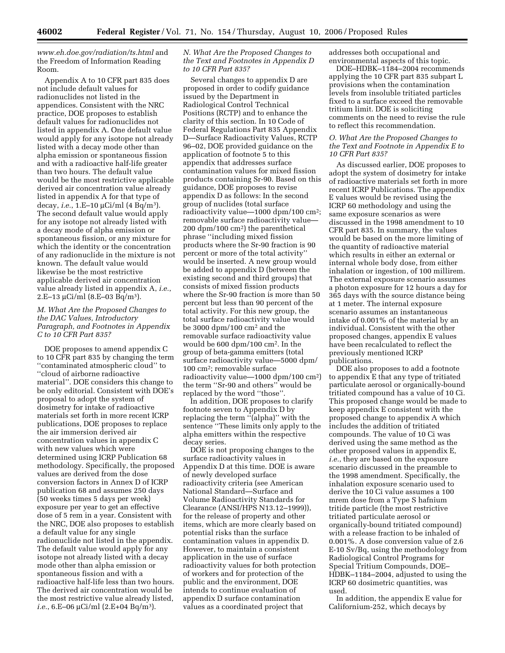*www.eh.doe.gov/radiation/ts.html* and the Freedom of Information Reading Room.

Appendix A to 10 CFR part 835 does not include default values for radionuclides not listed in the appendices. Consistent with the NRC practice, DOE proposes to establish default values for radionuclides not listed in appendix A. One default value would apply for any isotope not already listed with a decay mode other than alpha emission or spontaneous fission and with a radioactive half-life greater than two hours. The default value would be the most restrictive applicable derived air concentration value already listed in appendix A for that type of decay, *i.e.*, 1.E–10 µCi/ml (4 Bq/m3). The second default value would apply for any isotope not already listed with a decay mode of alpha emission or spontaneous fission, or any mixture for which the identity or the concentration of any radionuclide in the mixture is not known. The default value would likewise be the most restrictive applicable derived air concentration value already listed in appendix A, *i.e.*, 2.E–13 µCi/ml  $(8.E-03 Bq/m^3)$ .

## *M. What Are the Proposed Changes to the DAC Values, Introductory Paragraph, and Footnotes in Appendix C to 10 CFR Part 835?*

DOE proposes to amend appendix C to 10 CFR part 835 by changing the term ''contaminated atmospheric cloud'' to ''cloud of airborne radioactive material''. DOE considers this change to be only editorial. Consistent with DOE's proposal to adopt the system of dosimetry for intake of radioactive materials set forth in more recent ICRP publications, DOE proposes to replace the air immersion derived air concentration values in appendix C with new values which were determined using ICRP Publication 68 methodology. Specifically, the proposed values are derived from the dose conversion factors in Annex D of ICRP publication 68 and assumes 250 days (50 weeks times 5 days per week) exposure per year to get an effective dose of 5 rem in a year. Consistent with the NRC, DOE also proposes to establish a default value for any single radionuclide not listed in the appendix. The default value would apply for any isotope not already listed with a decay mode other than alpha emission or spontaneous fission and with a radioactive half-life less than two hours. The derived air concentration would be the most restrictive value already listed, *i.e.*, 6.E–06 µCi/ml (2.E+04 Bq/m3).

## *N. What Are the Proposed Changes to the Text and Footnotes in Appendix D to 10 CFR Part 835?*

Several changes to appendix D are proposed in order to codify guidance issued by the Department in Radiological Control Technical Positions (RCTP) and to enhance the clarity of this section. In 10 Code of Federal Regulations Part 835 Appendix D—Surface Radioactivity Values, RCTP 96–02, DOE provided guidance on the application of footnote 5 to this appendix that addresses surface contamination values for mixed fission products containing Sr-90. Based on this guidance, DOE proposes to revise appendix D as follows: In the second group of nuclides (total surface radioactivity value—1000 dpm/100 cm2; removable surface radioactivity value— 200 dpm/100 cm2) the parenthetical phrase ''including mixed fission products where the Sr-90 fraction is 90 percent or more of the total activity'' would be inserted. A new group would be added to appendix D (between the existing second and third groups) that consists of mixed fission products where the Sr-90 fraction is more than 50 percent but less than 90 percent of the total activity. For this new group, the total surface radioactivity value would be 3000 dpm/100 cm2 and the removable surface radioactivity value would be 600 dpm/100 cm2. In the group of beta-gamma emitters (total surface radioactivity value—5000 dpm/ 100 cm2; removable surface radioactivity value—1000 dpm/100 cm2) the term ''Sr-90 and others'' would be replaced by the word ''those''.

In addition, DOE proposes to clarify footnote seven to Appendix D by replacing the term ''(alpha)'' with the sentence ''These limits only apply to the alpha emitters within the respective decay series.

DOE is not proposing changes to the surface radioactivity values in Appendix D at this time. DOE is aware of newly developed surface radioactivity criteria (see American National Standard—Surface and Volume Radioactivity Standards for Clearance (ANSI/HPS N13.12–1999)), for the release of property and other items, which are more clearly based on potential risks than the surface contamination values in appendix D. However, to maintain a consistent application in the use of surface radioactivity values for both protection of workers and for protection of the public and the environment, DOE intends to continue evaluation of appendix D surface contamination values as a coordinated project that

addresses both occupational and environmental aspects of this topic.

DOE–HDBK–1184–2004 recommends applying the 10 CFR part 835 subpart L provisions when the contamination levels from insoluble tritiated particles fixed to a surface exceed the removable tritium limit. DOE is soliciting comments on the need to revise the rule to reflect this recommendation.

## *O. What Are the Proposed Changes to the Text and Footnote in Appendix E to 10 CFR Part 835?*

As discussed earlier, DOE proposes to adopt the system of dosimetry for intake of radioactive materials set forth in more recent ICRP Publications. The appendix E values would be revised using the ICRP 60 methodology and using the same exposure scenarios as were discussed in the 1998 amendment to 10 CFR part 835. In summary, the values would be based on the more limiting of the quantity of radioactive material which results in either an external or internal whole body dose, from either inhalation or ingestion, of 100 millirem. The external exposure scenario assumes a photon exposure for 12 hours a day for 365 days with the source distance being at 1 meter. The internal exposure scenario assumes an instantaneous intake of 0.001% of the material by an individual. Consistent with the other proposed changes, appendix E values have been recalculated to reflect the previously mentioned ICRP publications.

DOE also proposes to add a footnote to appendix E that any type of tritiated particulate aerosol or organically-bound tritiated compound has a value of 10 Ci. This proposed change would be made to keep appendix E consistent with the proposed change to appendix A which includes the addition of tritiated compounds. The value of 10 Ci was derived using the same method as the other proposed values in appendix E, *i.e.*, they are based on the exposure scenario discussed in the preamble to the 1998 amendment. Specifically, the inhalation exposure scenario used to derive the 10 Ci value assumes a 100 mrem dose from a Type S hafnium tritide particle (the most restrictive tritiated particulate aerosol or organically-bound tritiated compound) with a release fraction to be inhaled of 0.001%. A dose conversion value of 2.6 E-10 Sv/Bq, using the methodology from Radiological Control Programs for Special Tritium Compounds, DOE– HDBK–1184–2004, adjusted to using the ICRP 60 dosimetric quantities, was used.

In addition, the appendix E value for Californium-252, which decays by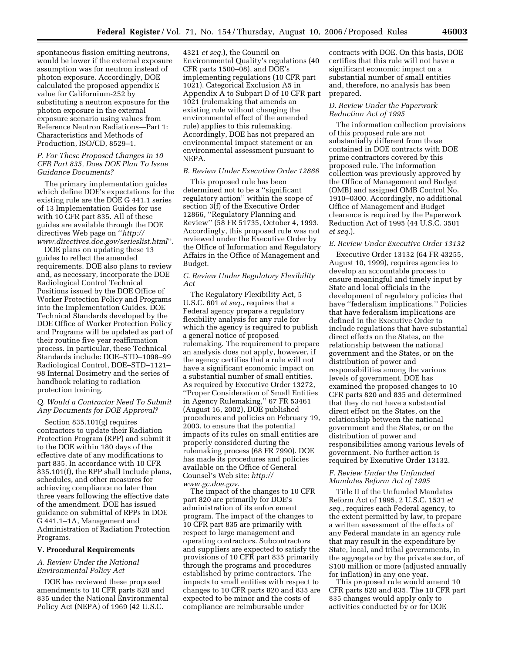spontaneous fission emitting neutrons, would be lower if the external exposure assumption was for neutron instead of photon exposure. Accordingly, DOE calculated the proposed appendix E value for Californium-252 by substituting a neutron exposure for the photon exposure in the external exposure scenario using values from Reference Neutron Radiations—Part 1: Characteristics and Methods of Production, ISO/CD, 8529–1.

## *P. For These Proposed Changes in 10 CFR Part 835, Does DOE Plan To Issue Guidance Documents?*

The primary implementation guides which define DOE's expectations for the existing rule are the DOE G 441.1 series of 13 Implementation Guides for use with 10 CFR part 835. All of these guides are available through the DOE directives Web page on ''*http:// www.directives.doe.gov/serieslist.html*''.

DOE plans on updating these 13 guides to reflect the amended requirements. DOE also plans to review and, as necessary, incorporate the DOE Radiological Control Technical Positions issued by the DOE Office of Worker Protection Policy and Programs into the Implementation Guides. DOE Technical Standards developed by the DOE Office of Worker Protection Policy and Programs will be updated as part of their routine five year reaffirmation process. In particular, these Technical Standards include: DOE–STD–1098–99 Radiological Control, DOE–STD–1121– 98 Internal Dosimetry and the series of handbook relating to radiation protection training.

## *Q. Would a Contractor Need To Submit Any Documents for DOE Approval?*

Section 835.101(g) requires contractors to update their Radiation Protection Program (RPP) and submit it to the DOE within 180 days of the effective date of any modifications to part 835. In accordance with 10 CFR 835.101(f), the RPP shall include plans, schedules, and other measures for achieving compliance no later than three years following the effective date of the amendment. DOE has issued guidance on submittal of RPPs in DOE G 441.1–1A, Management and Administration of Radiation Protection Programs.

#### **V. Procedural Requirements**

## *A. Review Under the National Environmental Policy Act*

DOE has reviewed these proposed amendments to 10 CFR parts 820 and 835 under the National Environmental Policy Act (NEPA) of 1969 (42 U.S.C.

4321 *et seq.*), the Council on Environmental Quality's regulations (40 CFR parts 1500–08), and DOE's implementing regulations (10 CFR part 1021). Categorical Exclusion A5 in Appendix A to Subpart D of 10 CFR part 1021 (rulemaking that amends an existing rule without changing the environmental effect of the amended rule) applies to this rulemaking. Accordingly, DOE has not prepared an environmental impact statement or an environmental assessment pursuant to NEPA.

#### *B. Review Under Executive Order 12866*

This proposed rule has been determined not to be a ''significant regulatory action'' within the scope of section 3(f) of the Executive Order 12866, ''Regulatory Planning and Review'' (58 FR 51735, October 4, 1993. Accordingly, this proposed rule was not reviewed under the Executive Order by the Office of Information and Regulatory Affairs in the Office of Management and Budget.

## *C. Review Under Regulatory Flexibility Act*

The Regulatory Flexibility Act, 5 U.S.C. 601 *et seq.*, requires that a Federal agency prepare a regulatory flexibility analysis for any rule for which the agency is required to publish a general notice of proposed rulemaking. The requirement to prepare an analysis does not apply, however, if the agency certifies that a rule will not have a significant economic impact on a substantial number of small entities. As required by Executive Order 13272, ''Proper Consideration of Small Entities in Agency Rulemaking,'' 67 FR 53461 (August 16, 2002), DOE published procedures and policies on February 19, 2003, to ensure that the potential impacts of its rules on small entities are properly considered during the rulemaking process (68 FR 7990). DOE has made its procedures and policies available on the Office of General Counsel's Web site: *http:// www.gc.doe.gov*.

The impact of the changes to 10 CFR part 820 are primarily for DOE's administration of its enforcement program. The impact of the changes to 10 CFR part 835 are primarily with respect to large management and operating contractors. Subcontractors and suppliers are expected to satisfy the provisions of 10 CFR part 835 primarily through the programs and procedures established by prime contractors. The impacts to small entities with respect to changes to 10 CFR parts 820 and 835 are expected to be minor and the costs of compliance are reimbursable under

contracts with DOE. On this basis, DOE certifies that this rule will not have a significant economic impact on a substantial number of small entities and, therefore, no analysis has been prepared.

## *D. Review Under the Paperwork Reduction Act of 1995*

The information collection provisions of this proposed rule are not substantially different from those contained in DOE contracts with DOE prime contractors covered by this proposed rule. The information collection was previously approved by the Office of Management and Budget (OMB) and assigned OMB Control No. 1910–0300. Accordingly, no additional Office of Management and Budget clearance is required by the Paperwork Reduction Act of 1995 (44 U.S.C. 3501 *et seq.*).

## *E. Review Under Executive Order 13132*

Executive Order 13132 (64 FR 43255, August 10, 1999), requires agencies to develop an accountable process to ensure meaningful and timely input by State and local officials in the development of regulatory policies that have ''federalism implications.'' Policies that have federalism implications are defined in the Executive Order to include regulations that have substantial direct effects on the States, on the relationship between the national government and the States, or on the distribution of power and responsibilities among the various levels of government. DOE has examined the proposed changes to 10 CFR parts 820 and 835 and determined that they do not have a substantial direct effect on the States, on the relationship between the national government and the States, or on the distribution of power and responsibilities among various levels of government. No further action is required by Executive Order 13132.

## *F. Review Under the Unfunded Mandates Reform Act of 1995*

Title II of the Unfunded Mandates Reform Act of 1995, 2 U.S.C. 1531 *et seq.*, requires each Federal agency, to the extent permitted by law, to prepare a written assessment of the effects of any Federal mandate in an agency rule that may result in the expenditure by State, local, and tribal governments, in the aggregate or by the private sector, of \$100 million or more (adjusted annually for inflation) in any one year.

This proposed rule would amend 10 CFR parts 820 and 835. The 10 CFR part 835 changes would apply only to activities conducted by or for DOE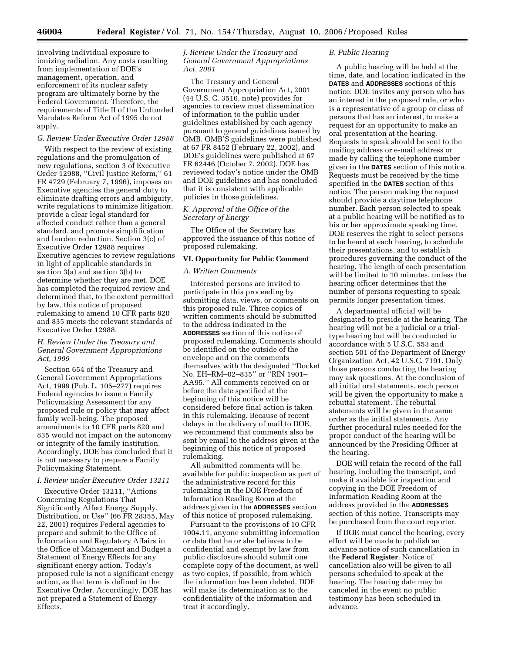involving individual exposure to ionizing radiation. Any costs resulting from implementation of DOE's management, operation, and enforcement of its nuclear safety program are ultimately borne by the Federal Government. Therefore, the requirements of Title II of the Unfunded Mandates Reform Act of 1995 do not apply.

#### *G. Review Under Executive Order 12988*

With respect to the review of existing regulations and the promulgation of new regulations, section 3 of Executive Order 12988, ''Civil Justice Reform,'' 61 FR 4729 (February 7, 1996), imposes on Executive agencies the general duty to eliminate drafting errors and ambiguity, write regulations to minimize litigation, provide a clear legal standard for affected conduct rather than a general standard, and promote simplification and burden reduction. Section 3(c) of Executive Order 12988 requires Executive agencies to review regulations in light of applicable standards in section 3(a) and section 3(b) to determine whether they are met. DOE has completed the required review and determined that, to the extent permitted by law, this notice of proposed rulemaking to amend 10 CFR parts 820 and 835 meets the relevant standards of Executive Order 12988.

## *H. Review Under the Treasury and General Government Appropriations Act, 1999*

Section 654 of the Treasury and General Government Appropriations Act, 1999 (Pub. L. 105–277) requires Federal agencies to issue a Family Policymaking Assessment for any proposed rule or policy that may affect family well-being. The proposed amendments to 10 CFR parts 820 and 835 would not impact on the autonomy or integrity of the family institution. Accordingly, DOE has concluded that it is not necessary to prepare a Family Policymaking Statement.

#### *I. Review under Executive Order 13211*

Executive Order 13211, ''Actions Concerning Regulations That Significantly Affect Energy Supply, Distribution, or Use'' (66 FR 28355, May 22, 2001) requires Federal agencies to prepare and submit to the Office of Information and Regulatory Affairs in the Office of Management and Budget a Statement of Energy Effects for any significant energy action. Today's proposed rule is not a significant energy action, as that term is defined in the Executive Order. Accordingly, DOE has not prepared a Statement of Energy Effects.

## *J. Review Under the Treasury and General Government Appropriations Act, 2001*

The Treasury and General Government Appropriation Act, 2001 (44 U.S. C. 3516, note) provides for agencies to review most dissemination of information to the public under guidelines established by each agency pursuant to general guidelines issued by OMB. OMB'S guidelines were published at 67 FR 8452 (February 22, 2002), and DOE's guidelines were published at 67 FR 62446 (October 7, 2002). DOE has reviewed today's notice under the OMB and DOE guidelines and has concluded that it is consistent with applicable policies in those guidelines.

## *K. Approval of the Office of the Secretary of Energy*

The Office of the Secretary has approved the issuance of this notice of proposed rulemaking.

#### **VI. Opportunity for Public Comment**

#### *A. Written Comments*

Interested persons are invited to participate in this proceeding by submitting data, views, or comments on this proposed rule. Three copies of written comments should be submitted to the address indicated in the **ADDRESSES** section of this notice of proposed rulemaking. Comments should be identified on the outside of the envelope and on the comments themselves with the designated ''Docket No. EH–RM–02–835'' or ''RIN 1901– AA95.'' All comments received on or before the date specified at the beginning of this notice will be considered before final action is taken in this rulemaking. Because of recent delays in the delivery of mail to DOE, we recommend that comments also be sent by email to the address given at the beginning of this notice of proposed rulemaking.

All submitted comments will be available for public inspection as part of the administrative record for this rulemaking in the DOE Freedom of Information Reading Room at the address given in the **ADDRESSES** section of this notice of proposed rulemaking.

Pursuant to the provisions of 10 CFR 1004.11, anyone submitting information or data that he or she believes to be confidential and exempt by law from public disclosure should submit one complete copy of the document, as well as two copies, if possible, from which the information has been deleted. DOE will make its determination as to the confidentiality of the information and treat it accordingly.

## *B. Public Hearing*

A public hearing will be held at the time, date, and location indicated in the **DATES** and **ADDRESSES** sections of this notice. DOE invites any person who has an interest in the proposed rule, or who is a representative of a group or class of persons that has an interest, to make a request for an opportunity to make an oral presentation at the hearing. Requests to speak should be sent to the mailing address or e-mail address or made by calling the telephone number given in the **DATES** section of this notice. Requests must be received by the time specified in the **DATES** section of this notice. The person making the request should provide a daytime telephone number. Each person selected to speak at a public hearing will be notified as to his or her approximate speaking time. DOE reserves the right to select persons to be heard at each hearing, to schedule their presentations, and to establish procedures governing the conduct of the hearing. The length of each presentation will be limited to 10 minutes, unless the hearing officer determines that the number of persons requesting to speak permits longer presentation times.

A departmental official will be designated to preside at the hearing. The hearing will not be a judicial or a trialtype hearing but will be conducted in accordance with 5 U.S.C. 553 and section 501 of the Department of Energy Organization Act, 42 U.S.C. 7191. Only those persons conducting the hearing may ask questions. At the conclusion of all initial oral statements, each person will be given the opportunity to make a rebuttal statement. The rebuttal statements will be given in the same order as the initial statements. Any further procedural rules needed for the proper conduct of the hearing will be announced by the Presiding Officer at the hearing.

DOE will retain the record of the full hearing, including the transcript, and make it available for inspection and copying in the DOE Freedom of Information Reading Room at the address provided in the **ADDRESSES** section of this notice. Transcripts may be purchased from the court reporter.

If DOE must cancel the hearing, every effort will be made to publish an advance notice of such cancellation in the **Federal Register**. Notice of cancellation also will be given to all persons scheduled to speak at the hearing. The hearing date may be canceled in the event no public testimony has been scheduled in advance.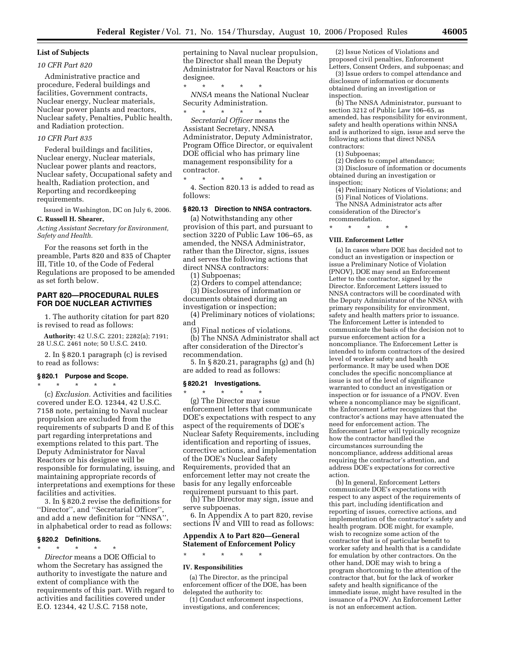#### **List of Subjects**

#### *10 CFR Part 820*

Administrative practice and procedure, Federal buildings and facilities, Government contracts, Nuclear energy, Nuclear materials, Nuclear power plants and reactors, Nuclear safety, Penalties, Public health, and Radiation protection.

#### *10 CFR Part 835*

Federal buildings and facilities, Nuclear energy, Nuclear materials, Nuclear power plants and reactors, Nuclear safety, Occupational safety and health, Radiation protection, and Reporting and recordkeeping requirements.

Issued in Washington, DC on July 6, 2006.

## **C. Russell H. Shearer,**

*Acting Assistant Secretary for Environment, Safety and Health.* 

For the reasons set forth in the preamble, Parts 820 and 835 of Chapter III, Title 10, of the Code of Federal Regulations are proposed to be amended as set forth below.

## **PART 820—PROCEDURAL RULES FOR DOE NUCLEAR ACTIVITIES**

1. The authority citation for part 820 is revised to read as follows:

**Authority:** 42 U.S.C. 2201; 2282(a); 7191; 28 U.S.C. 2461 note; 50 U.S.C. 2410.

2. In § 820.1 paragraph (c) is revised to read as follows:

#### **§ 820.1 Purpose and Scope.**

\* \* \* \* \*

(c) *Exclusion.* Activities and facilities covered under E.O. 12344, 42 U.S.C. 7158 note, pertaining to Naval nuclear propulsion are excluded from the requirements of subparts D and E of this part regarding interpretations and exemptions related to this part. The Deputy Administrator for Naval Reactors or his designee will be responsible for formulating, issuing, and maintaining appropriate records of interpretations and exemptions for these facilities and activities.

3. In § 820.2 revise the definitions for ''Director'', and ''Secretarial Officer'', and add a new definition for ''NNSA'', in alphabetical order to read as follows:

## **§ 820.2 Definitions.**

\* \* \* \* \* *Director* means a DOE Official to whom the Secretary has assigned the authority to investigate the nature and extent of compliance with the requirements of this part. With regard to activities and facilities covered under E.O. 12344, 42 U.S.C. 7158 note,

pertaining to Naval nuclear propulsion, the Director shall mean the Deputy Administrator for Naval Reactors or his designee.

\* \* \* \* \* *NNSA* means the National Nuclear Security Administration. \* \* \* \* \*

*Secretarial Officer* means the Assistant Secretary, NNSA Administrator, Deputy Administrator, Program Office Director, or equivalent DOE official who has primary line management responsibility for a contractor.

\* \* \* \* \* 4. Section 820.13 is added to read as follows:

#### **§ 820.13 Direction to NNSA contractors.**

(a) Notwithstanding any other provision of this part, and pursuant to section 3220 of Public Law 106–65, as amended, the NNSA Administrator, rather than the Director, signs, issues and serves the following actions that direct NNSA contractors:

(1) Subpoenas;

(2) Orders to compel attendance; (3) Disclosures of information or documents obtained during an investigation or inspection;

(4) Preliminary notices of violations; and

(5) Final notices of violations.

(b) The NNSA Administrator shall act after consideration of the Director's recommendation.

5. In § 820.21, paragraphs (g) and (h) are added to read as follows:

#### **§ 820.21 Investigations.**

\* \* \* \* \* (g) The Director may issue enforcement letters that communicate DOE's expectations with respect to any aspect of the requirements of DOE's Nuclear Safety Requirements, including identification and reporting of issues, corrective actions, and implementation of the DOE's Nuclear Safety Requirements, provided that an enforcement letter may not create the basis for any legally enforceable requirement pursuant to this part.

(h) The Director may sign, issue and serve subpoenas.

6. In Appendix A to part 820, revise sections IV and VIII to read as follows:

## **Appendix A to Part 820—General Statement of Enforcement Policy**

## \* \* \* \* \* **IV. Responsibilities**

(a) The Director, as the principal enforcement officer of the DOE, has been delegated the authority to:

(1) Conduct enforcement inspections, investigations, and conferences;

(2) Issue Notices of Violations and proposed civil penalties, Enforcement Letters, Consent Orders, and subpoenas; and

(3) Issue orders to compel attendance and disclosure of information or documents obtained during an investigation or inspection.

(b) The NNSA Administrator, pursuant to section 3212 of Public Law 106–65, as amended, has responsibility for environment, safety and health operations within NNSA and is authorized to sign, issue and serve the following actions that direct NNSA contractors:

(1) Subpoenas;

(2) Orders to compel attendance;

(3) Disclosure of information or documents obtained during an investigation or inspection;

(4) Preliminary Notices of Violations; and (5) Final Notices of Violations.

The NNSA Administrator acts after consideration of the Director's recommendation.

\* \* \* \* \*

#### **VIII. Enforcement Letter**

(a) In cases where DOE has decided not to conduct an investigation or inspection or issue a Preliminary Notice of Violation (PNOV), DOE may send an Enforcement Letter to the contractor, signed by the Director. Enforcement Letters issued to NNSA contractors will be coordinated with the Deputy Administrator of the NNSA with primary responsibility for environment, safety and health matters prior to issuance. The Enforcement Letter is intended to communicate the basis of the decision not to pursue enforcement action for a noncompliance. The Enforcement Letter is intended to inform contractors of the desired level of worker safety and health performance. It may be used when DOE concludes the specific noncompliance at issue is not of the level of significance warranted to conduct an investigation or inspection or for issuance of a PNOV. Even where a noncompliance may be significant, the Enforcement Letter recognizes that the contractor's actions may have attenuated the need for enforcement action. The Enforcement Letter will typically recognize how the contractor handled the circumstances surrounding the noncompliance, address additional areas requiring the contractor's attention, and address DOE's expectations for corrective action.

(b) In general, Enforcement Letters communicate DOE's expectations with respect to any aspect of the requirements of this part, including identification and reporting of issues, corrective actions, and implementation of the contractor's safety and health program. DOE might, for example, wish to recognize some action of the contractor that is of particular benefit to worker safety and health that is a candidate for emulation by other contractors. On the other hand, DOE may wish to bring a program shortcoming to the attention of the contractor that, but for the lack of worker safety and health significance of the immediate issue, might have resulted in the issuance of a PNOV. An Enforcement Letter is not an enforcement action.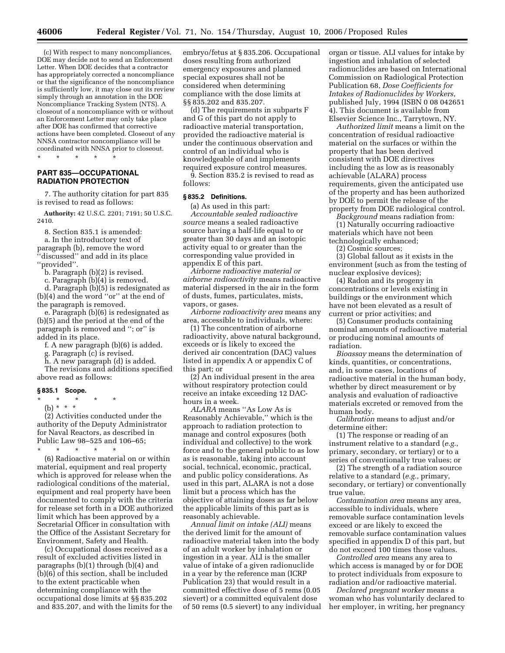(c) With respect to many noncompliances, DOE may decide not to send an Enforcement Letter. When DOE decides that a contractor has appropriately corrected a noncompliance or that the significance of the noncompliance is sufficiently low, it may close out its review simply through an annotation in the DOE Noncompliance Tracking System (NTS). A closeout of a noncompliance with or without an Enforcement Letter may only take place after DOE has confirmed that corrective actions have been completed. Closeout of any NNSA contractor noncompliance will be coordinated with NNSA prior to closeout. \* \* \* \* \*

## **PART 835—OCCUPATIONAL RADIATION PROTECTION**

7. The authority citation for part 835 is revised to read as follows:

**Authority:** 42 U.S.C. 2201; 7191; 50 U.S.C. 2410.

8. Section 835.1 is amended: a. In the introductory text of paragraph (b), remove the word ''discussed'' and add in its place

''provided''.

b. Paragraph (b)(2) is revised.

c. Paragraph (b)(4) is removed.

d. Paragraph (b)(5) is redesignated as (b)(4) and the word ''or'' at the end of the paragraph is removed.

e. Paragraph (b)(6) is redesignated as (b)(5) and the period at the end of the paragraph is removed and ''; or'' is added in its place.

f. A new paragraph (b)(6) is added.

g. Paragraph (c) is revised.

h. A new paragraph (d) is added.

The revisions and additions specified above read as follows:

#### **§ 835.1 Scope.**

\* \* \* \* \*

(b) \* \* \*

(2) Activities conducted under the authority of the Deputy Administrator for Naval Reactors, as described in Public Law 98–525 and 106–65;

\* \* \* \* \* (6) Radioactive material on or within material, equipment and real property which is approved for release when the radiological conditions of the material, equipment and real property have been documented to comply with the criteria for release set forth in a DOE authorized limit which has been approved by a Secretarial Officer in consultation with the Office of the Assistant Secretary for Environment, Safety and Health.

(c) Occupational doses received as a result of excluded activities listed in paragraphs (b)(1) through (b)(4) and (b)(6) of this section, shall be included to the extent practicable when determining compliance with the occupational dose limits at §§ 835.202 and 835.207, and with the limits for the embryo/fetus at § 835.206. Occupational doses resulting from authorized emergency exposures and planned special exposures shall not be considered when determining compliance with the dose limits at §§ 835.202 and 835.207.

(d) The requirements in subparts F and G of this part do not apply to radioactive material transportation, provided the radioactive material is under the continuous observation and control of an individual who is knowledgeable of and implements required exposure control measures.

9. Section 835.2 is revised to read as follows:

#### **§ 835.2 Definitions.**

(a) As used in this part: *Accountable sealed radioactive source* means a sealed radioactive source having a half-life equal to or greater than 30 days and an isotopic activity equal to or greater than the corresponding value provided in appendix E of this part.

*Airborne radioactive material or airborne radioactivity* means radioactive material dispersed in the air in the form of dusts, fumes, particulates, mists, vapors, or gases.

*Airborne radioactivity area* means any area, accessible to individuals, where:

(1) The concentration of airborne radioactivity, above natural background, exceeds or is likely to exceed the derived air concentration (DAC) values listed in appendix A or appendix C of this part; or

(2) An individual present in the area without respiratory protection could receive an intake exceeding 12 DAChours in a week.

*ALARA* means ''As Low As is Reasonably Achievable,'' which is the approach to radiation protection to manage and control exposures (both individual and collective) to the work force and to the general public to as low as is reasonable, taking into account social, technical, economic, practical, and public policy considerations. As used in this part, ALARA is not a dose limit but a process which has the objective of attaining doses as far below the applicable limits of this part as is reasonably achievable.

*Annual limit on intake (ALI)* means the derived limit for the amount of radioactive material taken into the body of an adult worker by inhalation or ingestion in a year. ALI is the smaller value of intake of a given radionuclide in a year by the reference man (ICRP Publication 23) that would result in a committed effective dose of 5 rems (0.05 sievert) or a committed equivalent dose of 50 rems (0.5 sievert) to any individual organ or tissue. ALI values for intake by ingestion and inhalation of selected radionuclides are based on International Commission on Radiological Protection Publication 68, *Dose Coefficients for Intakes of Radionuclides by Workers*, published July, 1994 (ISBN 0 08 042651 4). This document is available from Elsevier Science Inc., Tarrytown, NY.

*Authorized limit* means a limit on the concentration of residual radioactive material on the surfaces or within the property that has been derived consistent with DOE directives including the as low as is reasonably achievable (ALARA) process requirements, given the anticipated use of the property and has been authorized by DOE to permit the release of the property from DOE radiological control.

*Background* means radiation from: (1) Naturally occurring radioactive

materials which have not been technologically enhanced;

(2) Cosmic sources;

(3) Global fallout as it exists in the environment (such as from the testing of nuclear explosive devices);

(4) Radon and its progeny in concentrations or levels existing in buildings or the environment which have not been elevated as a result of current or prior activities; and

(5) Consumer products containing nominal amounts of radioactive material or producing nominal amounts of radiation.

*Bioassay* means the determination of kinds, quantities, or concentrations, and, in some cases, locations of radioactive material in the human body, whether by direct measurement or by analysis and evaluation of radioactive materials excreted or removed from the human body.

*Calibration* means to adjust and/or determine either:

(1) The response or reading of an instrument relative to a standard (*e.g.*, primary, secondary, or tertiary) or to a series of conventionally true values; or

(2) The strength of a radiation source relative to a standard (*e.g.*, primary, secondary, or tertiary) or conventionally true value.

*Contamination area* means any area, accessible to individuals, where removable surface contamination levels exceed or are likely to exceed the removable surface contamination values specified in appendix D of this part, but do not exceed 100 times those values.

*Controlled area* means any area to which access is managed by or for DOE to protect individuals from exposure to radiation and/or radioactive material.

*Declared pregnant worker* means a woman who has voluntarily declared to her employer, in writing, her pregnancy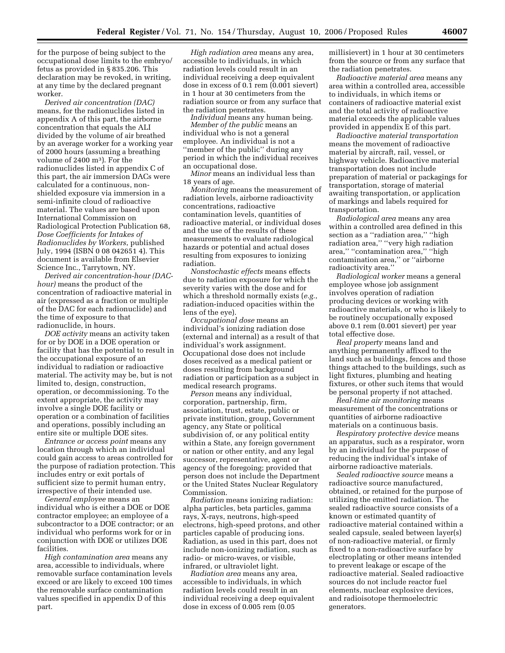for the purpose of being subject to the occupational dose limits to the embryo/ fetus as provided in § 835.206. This declaration may be revoked, in writing, at any time by the declared pregnant worker.

*Derived air concentration (DAC)*  means, for the radionuclides listed in appendix A of this part, the airborne concentration that equals the ALI divided by the volume of air breathed by an average worker for a working year of 2000 hours (assuming a breathing volume of 2400 m3). For the radionuclides listed in appendix C of this part, the air immersion DACs were calculated for a continuous, nonshielded exposure via immersion in a semi-infinite cloud of radioactive material. The values are based upon International Commission on Radiological Protection Publication 68, *Dose Coefficients for Intakes of Radionuclides by Workers*, published July, 1994 (ISBN 0 08 042651 4). This document is available from Elsevier Science Inc., Tarrytown, NY.

*Derived air concentration-hour (DAChour)* means the product of the concentration of radioactive material in air (expressed as a fraction or multiple of the DAC for each radionuclide) and the time of exposure to that radionuclide, in hours.

*DOE activity* means an activity taken for or by DOE in a DOE operation or facility that has the potential to result in the occupational exposure of an individual to radiation or radioactive material. The activity may be, but is not limited to, design, construction, operation, or decommissioning. To the extent appropriate, the activity may involve a single DOE facility or operation or a combination of facilities and operations, possibly including an entire site or multiple DOE sites.

*Entrance or access point* means any location through which an individual could gain access to areas controlled for the purpose of radiation protection. This includes entry or exit portals of sufficient size to permit human entry, irrespective of their intended use.

*General employee* means an individual who is either a DOE or DOE contractor employee; an employee of a subcontractor to a DOE contractor; or an individual who performs work for or in conjunction with DOE or utilizes DOE facilities.

*High contamination area* means any area, accessible to individuals, where removable surface contamination levels exceed or are likely to exceed 100 times the removable surface contamination values specified in appendix D of this part.

*High radiation area* means any area, accessible to individuals, in which radiation levels could result in an individual receiving a deep equivalent dose in excess of 0.1 rem (0.001 sievert) in 1 hour at 30 centimeters from the radiation source or from any surface that the radiation penetrates.

*Individual* means any human being. *Member of the public* means an individual who is not a general employee. An individual is not a ''member of the public'' during any period in which the individual receives an occupational dose.

*Minor* means an individual less than 18 years of age.

*Monitoring* means the measurement of radiation levels, airborne radioactivity concentrations, radioactive contamination levels, quantities of radioactive material, or individual doses and the use of the results of these measurements to evaluate radiological hazards or potential and actual doses resulting from exposures to ionizing radiation.

*Nonstochastic effects* means effects due to radiation exposure for which the severity varies with the dose and for which a threshold normally exists (*e.g.*, radiation-induced opacities within the lens of the eye).

*Occupational dose* means an individual's ionizing radiation dose (external and internal) as a result of that individual's work assignment. Occupational dose does not include doses received as a medical patient or doses resulting from background radiation or participation as a subject in medical research programs.

*Person* means any individual, corporation, partnership, firm, association, trust, estate, public or private institution, group, Government agency, any State or political subdivision of, or any political entity within a State, any foreign government or nation or other entity, and any legal successor, representative, agent or agency of the foregoing; provided that person does not include the Department or the United States Nuclear Regulatory Commission.

*Radiation* means ionizing radiation: alpha particles, beta particles, gamma rays, X-rays, neutrons, high-speed electrons, high-speed protons, and other particles capable of producing ions. Radiation, as used in this part, does not include non-ionizing radiation, such as radio- or micro-waves, or visible, infrared, or ultraviolet light.

*Radiation area* means any area, accessible to individuals, in which radiation levels could result in an individual receiving a deep equivalent dose in excess of 0.005 rem (0.05

millisievert) in 1 hour at 30 centimeters from the source or from any surface that the radiation penetrates.

*Radioactive material area* means any area within a controlled area, accessible to individuals, in which items or containers of radioactive material exist and the total activity of radioactive material exceeds the applicable values provided in appendix E of this part.

*Radioactive material transportation*  means the movement of radioactive material by aircraft, rail, vessel, or highway vehicle. Radioactive material transportation does not include preparation of material or packagings for transportation, storage of material awaiting transportation, or application of markings and labels required for transportation.

*Radiological area* means any area within a controlled area defined in this section as a "radiation area," "high radiation area,'' ''very high radiation area,'' ''contamination area,'' ''high contamination area,'' or ''airborne radioactivity area.''

*Radiological worker* means a general employee whose job assignment involves operation of radiation producing devices or working with radioactive materials, or who is likely to be routinely occupationally exposed above 0.1 rem (0.001 sievert) per year total effective dose.

*Real property* means land and anything permanently affixed to the land such as buildings, fences and those things attached to the buildings, such as light fixtures, plumbing and heating fixtures, or other such items that would be personal property if not attached.

*Real-time air monitoring* means measurement of the concentrations or quantities of airborne radioactive materials on a continuous basis.

*Respiratory protective device* means an apparatus, such as a respirator, worn by an individual for the purpose of reducing the individual's intake of airborne radioactive materials.

*Sealed radioactive source* means a radioactive source manufactured, obtained, or retained for the purpose of utilizing the emitted radiation. The sealed radioactive source consists of a known or estimated quantity of radioactive material contained within a sealed capsule, sealed between layer(s) of non-radioactive material, or firmly fixed to a non-radioactive surface by electroplating or other means intended to prevent leakage or escape of the radioactive material. Sealed radioactive sources do not include reactor fuel elements, nuclear explosive devices, and radioisotope thermoelectric generators.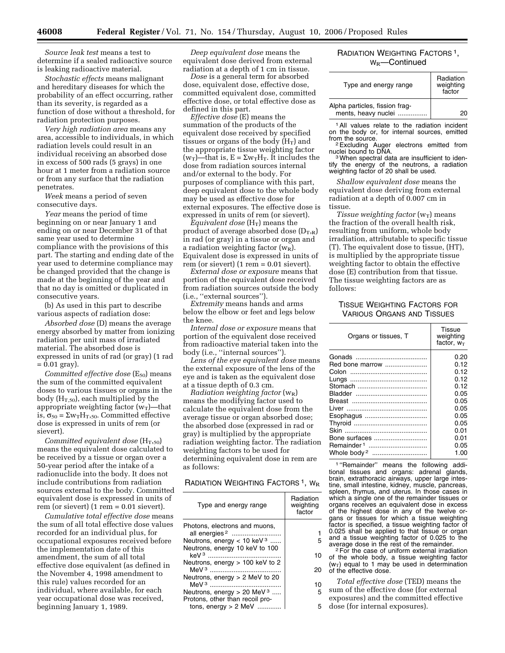*Source leak test* means a test to determine if a sealed radioactive source is leaking radioactive material.

*Stochastic effects* means malignant and hereditary diseases for which the probability of an effect occurring, rather than its severity, is regarded as a function of dose without a threshold, for radiation protection purposes.

*Very high radiation area* means any area, accessible to individuals, in which radiation levels could result in an individual receiving an absorbed dose in excess of 500 rads (5 grays) in one hour at 1 meter from a radiation source or from any surface that the radiation penetrates.

*Week* means a period of seven consecutive days.

*Year* means the period of time beginning on or near January 1 and ending on or near December 31 of that same year used to determine compliance with the provisions of this part. The starting and ending date of the year used to determine compliance may be changed provided that the change is made at the beginning of the year and that no day is omitted or duplicated in consecutive years.

(b) As used in this part to describe various aspects of radiation dose:

*Absorbed dose* (D) means the average energy absorbed by matter from ionizing radiation per unit mass of irradiated material. The absorbed dose is expressed in units of rad (or gray) (1 rad  $= 0.01$  gray).

*Committed effective dose* (E<sub>50</sub>) means the sum of the committed equivalent doses to various tissues or organs in the body ( $H_{T,50}$ ), each multiplied by the appropriate weighting factor  $(w_T)$ —that is,  $\sigma_{50} = \Sigma w_{T}H_{T,50}$ . Committed effective dose is expressed in units of rem (or sievert).

*Committed equivalent dose*  $(H_{T,50})$ means the equivalent dose calculated to be received by a tissue or organ over a 50-year period after the intake of a radionuclide into the body. It does not include contributions from radiation sources external to the body. Committed equivalent dose is expressed in units of rem (or sievert) (1 rem = 0.01 sievert).

*Cumulative total effective dose* means the sum of all total effective dose values recorded for an individual plus, for occupational exposures received before the implementation date of this amendment, the sum of all total effective dose equivalent (as defined in the November 4, 1998 amendment to this rule) values recorded for an individual, where available, for each year occupational dose was received, beginning January 1, 1989.

*Deep equivalent dose* means the equivalent dose derived from external radiation at a depth of 1 cm in tissue.

*Dose* is a general term for absorbed dose, equivalent dose, effective dose, committed equivalent dose, committed effective dose, or total effective dose as defined in this part.

*Effective dose* (E) means the summation of the products of the equivalent dose received by specified tissues or organs of the body  $(H_T)$  and the appropriate tissue weighting factor  $(w_T)$ —that is,  $E = \Sigma w_T H_T$ . It includes the dose from radiation sources internal and/or external to the body. For purposes of compliance with this part, deep equivalent dose to the whole body may be used as effective dose for external exposures. The effective dose is expressed in units of rem (or sievert).

*Equivalent dose* (H<sub>T</sub>) means the product of average absorbed dose  $(D_{T,R})$ in rad (or gray) in a tissue or organ and a radiation weighting factor  $(w_R)$ . Equivalent dose is expressed in units of rem (or sievert)  $(1$  rem = 0.01 sievert).

*External dose or exposure* means that portion of the equivalent dose received from radiation sources outside the body (i.e., ''external sources'').

*Extremity* means hands and arms below the elbow or feet and legs below the knee.

*Internal dose or exposure* means that portion of the equivalent dose received from radioactive material taken into the body (i.e., ''internal sources'').

*Lens of the eye equivalent dose* means the external exposure of the lens of the eye and is taken as the equivalent dose at a tissue depth of 0.3 cm.

*Radiation weighting factor* ( $w_R$ ) means the modifying factor used to calculate the equivalent dose from the average tissue or organ absorbed dose; the absorbed dose (expressed in rad or gray) is multiplied by the appropriate radiation weighting factor. The radiation weighting factors to be used for determining equivalent dose in rem are as follows:

#### RADIATION WEIGHTING FACTORS<sup>1</sup>, W<sub>R</sub>

| Type and energy range                                            | Radiation<br>weighting<br>factor |
|------------------------------------------------------------------|----------------------------------|
| Photons, electrons and muons,<br>all energies <sup>2</sup>       |                                  |
| Neutrons, energy < 10 keV $3$                                    | 5                                |
| Neutrons, energy 10 keV to 100<br>keV <sup>3</sup> ………………………………… | 10                               |
| Neutrons, energy > 100 keV to 2                                  | 20                               |
| Neutrons, energy $> 2$ MeV to 20                                 | 10                               |
| Neutrons, energy $> 20$ MeV <sup>3</sup>                         | 5                                |
| Protons, other than recoil pro-                                  |                                  |
| tons, energy $> 2$ MeV                                           |                                  |

## RADIATION WEIGHTING FACTORS<sup>1</sup>, W<sub>R</sub>—Continued

| Type and energy range                                 | Radiation<br>weighting<br>factor |
|-------------------------------------------------------|----------------------------------|
| Alpha particles, fission frag-<br>ments, heavy nuclei |                                  |

1All values relate to the radiation incident on the body or, for internal sources, emitted

 $2$  Excluding Auger electrons emitted from nuclei bound to DNA.

<sup>3</sup> When spectral data are insufficient to identify the energy of the neutrons, a radiation weighting factor of 20 shall be used.

*Shallow equivalent dose* means the equivalent dose deriving from external radiation at a depth of 0.007 cm in tissue.

*Tissue weighting factor* ( $w_T$ ) means the fraction of the overall health risk, resulting from uniform, whole body irradiation, attributable to specific tissue (T). The equivalent dose to tissue, (HT), is multiplied by the appropriate tissue weighting factor to obtain the effective dose (E) contribution from that tissue. The tissue weighting factors are as follows:

## TISSUE WEIGHTING FACTORS FOR VARIOUS ORGANS AND TISSUES

| Organs or tissues, T   | <b>Tissue</b><br>weighting<br>factor, $w_T$ |
|------------------------|---------------------------------------------|
|                        | 0.20                                        |
| Red bone marrow        | 0.12                                        |
|                        | 0.12                                        |
|                        | 0.12                                        |
|                        | 0.12                                        |
|                        | 0.05                                        |
|                        | 0.05                                        |
|                        | 0.05                                        |
|                        | 0.05                                        |
|                        | 0.05                                        |
|                        | 0.01                                        |
| Bone surfaces          | 0.01                                        |
| Remainder <sup>1</sup> | 0.05                                        |
|                        | 1.00                                        |

1 ''Remainder'' means the following additional tissues and organs: adrenal glands, brain, extrathoracic airways, upper large intestine, small intestine, kidney, muscle, pancreas, spleen, thymus, and uterus. In those cases in which a single one of the remainder tissues or organs receives an equivalent dose in excess of the highest dose in any of the twelve organs or tissues for which a tissue weighting factor is specified, a tissue weighting factor of 0.025 shall be applied to that tissue or organ and a tissue weighting factor of 0.025 to the

average dose in the rest of the remainder. 2For the case of uniform external irradiation of the whole body, a tissue weighting factor  $(w_T)$  equal to 1 may be used in determination of the effective dose.

*Total effective dose* (TED) means the sum of the effective dose (for external

exposures) and the committed effective

dose (for internal exposures).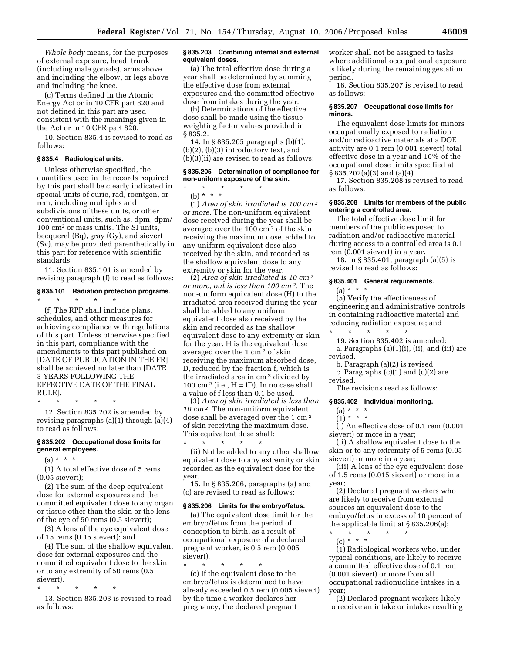*Whole body* means, for the purposes of external exposure, head, trunk (including male gonads), arms above and including the elbow, or legs above and including the knee.

(c) Terms defined in the Atomic Energy Act or in 10 CFR part 820 and not defined in this part are used consistent with the meanings given in the Act or in 10 CFR part 820.

10. Section 835.4 is revised to read as follows:

## **§ 835.4 Radiological units.**

Unless otherwise specified, the quantities used in the records required by this part shall be clearly indicated in special units of curie, rad, roentgen, or rem, including multiples and subdivisions of these units, or other conventional units, such as, dpm, dpm/ 100 cm2 or mass units. The SI units, becquerel (Bq), gray (Gy), and sievert (Sv), may be provided parenthetically in this part for reference with scientific standards.

11. Section 835.101 is amended by revising paragraph (f) to read as follows:

## **§ 835.101 Radiation protection programs.**  \* \* \* \* \*

(f) The RPP shall include plans, schedules, and other measures for achieving compliance with regulations of this part. Unless otherwise specified in this part, compliance with the amendments to this part published on [DATE OF PUBLICATION IN THE FR] shall be achieved no later than [DATE 3 YEARS FOLLOWING THE EFFECTIVE DATE OF THE FINAL RULE].

\* \* \* \* \*

12. Section 835.202 is amended by revising paragraphs (a)(1) through (a)(4) to read as follows:

## **§ 835.202 Occupational dose limits for general employees.**

 $(a) * * * *$ 

(1) A total effective dose of 5 rems (0.05 sievert);

(2) The sum of the deep equivalent dose for external exposures and the committed equivalent dose to any organ or tissue other than the skin or the lens of the eye of 50 rems (0.5 sievert);

(3) A lens of the eye equivalent dose of 15 rems (0.15 sievert); and

(4) The sum of the shallow equivalent dose for external exposures and the committed equivalent dose to the skin or to any extremity of 50 rems (0.5 sievert).

\* \* \* \* \*

13. Section 835.203 is revised to read as follows:

#### **§ 835.203 Combining internal and external equivalent doses.**

(a) The total effective dose during a year shall be determined by summing the effective dose from external exposures and the committed effective dose from intakes during the year.

(b) Determinations of the effective dose shall be made using the tissue weighting factor values provided in § 835.2.

14. In § 835.205 paragraphs (b)(1), (b)(2), (b)(3) introductory text, and (b)(3)(ii) are revised to read as follows:

## **§ 835.205 Determination of compliance for non-uniform exposure of the skin.**

\* \* \* \* \*

(b) \* \* \* (1) *Area of skin irradiated is 100 cm 2 or more.* The non-uniform equivalent dose received during the year shall be averaged over the 100 cm 2 of the skin receiving the maximum dose, added to any uniform equivalent dose also received by the skin, and recorded as the shallow equivalent dose to any extremity or skin for the year.

(2) *Area of skin irradiated is 10 cm 2 or more, but is less than 100 cm 2.* The non-uniform equivalent dose (H) to the irradiated area received during the year shall be added to any uniform equivalent dose also received by the skin and recorded as the shallow equivalent dose to any extremity or skin for the year. H is the equivalent dose averaged over the 1 cm 2 of skin receiving the maximum absorbed dose, D, reduced by the fraction f, which is the irradiated area in cm 2 divided by 100 cm<sup>2</sup> (i.e.,  $H = fD$ ). In no case shall a value of f less than 0.1 be used.

(3) *Area of skin irradiated is less than 10 cm 2.* The non-uniform equivalent dose shall be averaged over the 1 cm 2 of skin receiving the maximum dose. This equivalent dose shall:

\* \* \* \* \* (ii) Not be added to any other shallow equivalent dose to any extremity or skin recorded as the equivalent dose for the year.

15. In § 835.206, paragraphs (a) and (c) are revised to read as follows:

#### **§ 835.206 Limits for the embryo/fetus.**

(a) The equivalent dose limit for the embryo/fetus from the period of conception to birth, as a result of occupational exposure of a declared pregnant worker, is 0.5 rem (0.005 sievert).

\* \* \* \* \* (c) If the equivalent dose to the embryo/fetus is determined to have already exceeded 0.5 rem (0.005 sievert) by the time a worker declares her pregnancy, the declared pregnant

worker shall not be assigned to tasks where additional occupational exposure is likely during the remaining gestation period.

16. Section 835.207 is revised to read as follows:

#### **§ 835.207 Occupational dose limits for minors.**

The equivalent dose limits for minors occupationally exposed to radiation and/or radioactive materials at a DOE activity are 0.1 rem (0.001 sievert) total effective dose in a year and 10% of the occupational dose limits specified at § 835.202(a)(3) and (a)(4).

17. Section 835.208 is revised to read as follows:

#### **§ 835.208 Limits for members of the public entering a controlled area.**

The total effective dose limit for members of the public exposed to radiation and/or radioactive material during access to a controlled area is 0.1 rem (0.001 sievert) in a year.

18. In § 835.401, paragraph (a)(5) is revised to read as follows:

## **§ 835.401 General requirements.**

# $(a) * * * *$

(5) Verify the effectiveness of engineering and administrative controls in containing radioactive material and reducing radiation exposure; and

\* \* \* \* \* 19. Section 835.402 is amended:

a. Paragraphs (a)(1)(i), (ii), and (iii) are revised.

b. Paragraph (a)(2) is revised.

c. Paragraphs  $(c)(1)$  and  $(c)(2)$  are revised.

The revisions read as follows:

#### **§ 835.402 Individual monitoring.**

- $(a) * * * *$
- $(1) * * * *$

(i) An effective dose of 0.1 rem (0.001 sievert) or more in a year;

(ii) A shallow equivalent dose to the skin or to any extremity of 5 rems (0.05 sievert) or more in a year;

(iii) A lens of the eye equivalent dose of 1.5 rems (0.015 sievert) or more in a year;

(2) Declared pregnant workers who are likely to receive from external sources an equivalent dose to the embryo/fetus in excess of 10 percent of the applicable limit at § 835.206(a);

\* \* \* \* \* (c) \* \* \*

(1) Radiological workers who, under typical conditions, are likely to receive a committed effective dose of 0.1 rem (0.001 sievert) or more from all occupational radionuclide intakes in a year;

(2) Declared pregnant workers likely to receive an intake or intakes resulting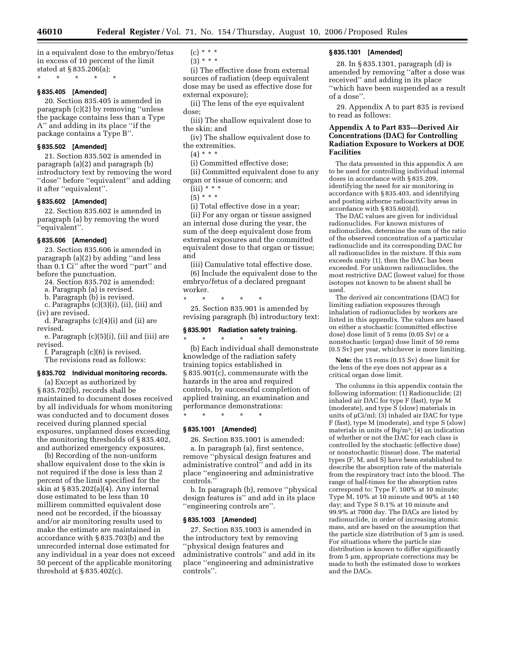in a equivalent dose to the embryo/fetus in excess of 10 percent of the limit stated at § 835.206(a); \* \* \* \* \*

## **§ 835.405 [Amended]**

20. Section 835.405 is amended in paragraph (c)(2) by removing ''unless the package contains less than a Type A'' and adding in its place ''if the package contains a Type B''.

#### **§ 835.502 [Amended]**

21. Section 835.502 is amended in paragraph (a)(2) and paragraph (b) introductory text by removing the word ''dose'' before ''equivalent'' and adding it after ''equivalent''.

#### **§ 835.602 [Amended]**

22. Section 835.602 is amended in paragraph (a) by removing the word ''equivalent''.

#### **§ 835.606 [Amended]**

23. Section 835.606 is amended in paragraph (a)(2) by adding ''and less than 0.1 Ci'' after the word ''part'' and before the punctuation.

24. Section 835.702 is amended:

a. Paragraph (a) is revised.

b. Paragraph (b) is revised.

c. Paragraphs (c)(3)(i), (ii), (iii) and (iv) are revised.

d. Paragraphs (c)(4)(i) and (ii) are revised.

e. Paragraph (c)(5)(i), (ii) and (iii) are revised.

f. Paragraph (c)(6) is revised.

The revisions read as follows:

#### **§ 835.702 Individual monitoring records.**

(a) Except as authorized by § 835.702(b), records shall be maintained to document doses received by all individuals for whom monitoring was conducted and to document doses received during planned special exposures, unplanned doses exceeding the monitoring thresholds of § 835.402, and authorized emergency exposures.

(b) Recording of the non-uniform shallow equivalent dose to the skin is not required if the dose is less than 2 percent of the limit specified for the skin at § 835.202(a)(4). Any internal dose estimated to be less than 10 millirem committed equivalent dose need not be recorded, if the bioassay and/or air monitoring results used to make the estimate are maintained in accordance with § 835.703(b) and the unrecorded internal dose estimated for any individual in a year does not exceed 50 percent of the applicable monitoring threshold at § 835.402(c).

- $(c) * * * *$
- $(3) * * * *$

(i) The effective dose from external sources of radiation (deep equivalent dose may be used as effective dose for external exposure);

(ii) The lens of the eye equivalent dose;

(iii) The shallow equivalent dose to the skin; and

(iv) The shallow equivalent dose to the extremities.

(4) \* \* \*

(i) Committed effective dose;

(ii) Committed equivalent dose to any organ or tissue of concern; and

 $(iii) * * *$ 

 $(5) * * * *$ 

(i) Total effective dose in a year;

(ii) For any organ or tissue assigned an internal dose during the year, the sum of the deep equivalent dose from external exposures and the committed equivalent dose to that organ or tissue; and

(iii) Cumulative total effective dose.

(6) Include the equivalent dose to the embryo/fetus of a declared pregnant worker.

\* \* \* \* \*

25. Section 835.901 is amended by revising paragraph (b) introductory text:

## **§ 835.901 Radiation safety training.**

\* \* \* \* \* (b) Each individual shall demonstrate knowledge of the radiation safety training topics established in § 835.901(c), commensurate with the hazards in the area and required controls, by successful completion of applied training, an examination and performance demonstrations: \* \* \* \* \*

## **§ 835.1001 [Amended]**

26. Section 835.1001 is amended:

a. In paragraph (a), first sentence, remove ''physical design features and administrative control'' and add in its place ''engineering and administrative controls.''

b. In paragraph (b), remove ''physical design features is'' and add in its place ''engineering controls are''.

#### **§ 835.1003 [Amended]**

27. Section 835.1003 is amended in the introductory text by removing ''physical design features and administrative controls'' and add in its place ''engineering and administrative controls''.

#### **§ 835.1301 [Amended]**

28. In § 835.1301, paragraph (d) is amended by removing ''after a dose was received'' and adding in its place ''which have been suspended as a result of a dose''.

29. Appendix A to part 835 is revised to read as follows:

## **Appendix A to Part 835—Derived Air Concentrations (DAC) for Controlling Radiation Exposure to Workers at DOE Facilities**

The data presented in this appendix A are to be used for controlling individual internal doses in accordance with § 835.209, identifying the need for air monitoring in accordance with § 835.403, and identifying and posting airborne radioactivity areas in accordance with § 835.603(d).

The DAC values are given for individual radionuclides. For known mixtures of radionuclides, determine the sum of the ratio of the observed concentration of a particular radionuclide and its corresponding DAC for all radionuclides in the mixture. If this sum exceeds unity (1), then the DAC has been exceeded. For unknown radionuclides, the most restrictive DAC (lowest value) for those isotopes not known to be absent shall be used.

The derived air concentrations (DAC) for limiting radiation exposures through inhalation of radionuclides by workers are listed in this appendix. The values are based on either a stochastic (committed effective dose) dose limit of 5 rems (0.05 Sv) or a nonstochastic (organ) dose limit of 50 rems (0.5 Sv) per year, whichever is more limiting.

**Note:** the 15 rems (0.15 Sv) dose limit for the lens of the eye does not appear as a critical organ dose limit.

The columns in this appendix contain the following information:  $(1)$  Radionuclide;  $(2)$ inhaled air DAC for type F (fast), type M (moderate), and type  $S$  (slow) materials in units of  $\mu$ Ci/ml; (3) inhaled air DAC for type F (fast), type M (moderate), and type S (slow) materials in units of Bq/m3; (4) an indication of whether or not the DAC for each class is controlled by the stochastic (effective dose) or nonstochastic (tissue) dose. The material types (F, M, and S) have been established to describe the absorption rate of the materials from the respiratory tract into the blood. The range of half-times for the absorption rates correspond to: Type F, 100% at 10 minute; Type M, 10% at 10 minute and 90% at 140 day; and Type S 0.1% at 10 minute and 99.9% at 7000 day. The DACs are listed by radionuclide, in order of increasing atomic mass, and are based on the assumption that the particle size distribution of  $5 \text{ }\mu\text{m}$  is used. For situations where the particle size distribution is known to differ significantly from 5 µm, appropriate corrections may be made to both the estimated dose to workers and the DACs.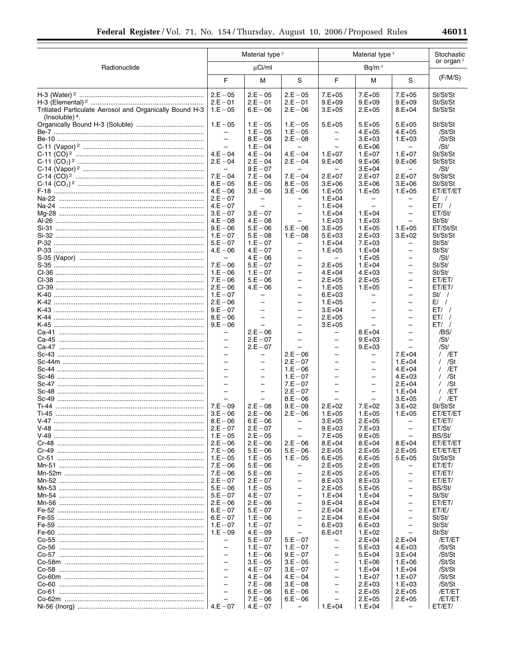|                                                         |                                      | Material type 3                                      |                                                      |                                      | Material type <sup>3</sup>                 |                                      |                    |
|---------------------------------------------------------|--------------------------------------|------------------------------------------------------|------------------------------------------------------|--------------------------------------|--------------------------------------------|--------------------------------------|--------------------|
| Radionuclide                                            |                                      | $\mu$ Ci/ml                                          |                                                      |                                      | Bq/m <sup>3</sup>                          |                                      | or organ $1$       |
|                                                         | F                                    | М                                                    | S                                                    | F                                    | М                                          | S                                    | (F/M/S)            |
|                                                         | $2.E - 05$                           | $2.E - 05$                                           | $2.E - 05$                                           | $7.E+05$                             | $7.E+05$                                   | $7.E+05$                             | St/St/St           |
|                                                         | $2.E - 01$                           | $2.E - 01$                                           | $2.E - 01$                                           | $9.E+09$                             | $9.E+09$                                   | $9.E+09$                             | St/St/St           |
| Tritiated Particulate Aerosol and Organically Bound H-3 | $1.E - 05$                           | $6.E - 06$                                           | $2.E - 06$                                           | $3.E+05$                             | $2.E+05$                                   | $8.E + 04$                           | St/St/St           |
| (Insoluble) $4$ .                                       | $1.E - 05$                           | $1.E - 05$                                           | $1.E - 05$                                           | $5.E+05$                             | $5.E+05$                                   | $5.E+05$                             | St/St/St           |
|                                                         |                                      | $1.E - 05$                                           | $1.E - 05$                                           | $\qquad \qquad -$                    | $4.E+05$                                   | $4.E+05$                             | /St/St             |
|                                                         | $\overline{a}$                       | $8.E - 08$                                           | $2.E - 08$                                           | $\overline{\phantom{0}}$             | $3.E+03$                                   | $1.E+03$                             | /St/St             |
|                                                         |                                      | $1.E - 04$                                           | $\overline{\phantom{0}}$                             |                                      | $6.E+06$                                   |                                      | /St/               |
|                                                         | $4.E - 04$                           | $4.E - 04$                                           | $4.E - 04$                                           | $1.E+07$                             | $1.E+07$                                   | $1.E+07$                             | St/St/St           |
|                                                         | $2.E - 04$                           | $2.E - 04$                                           | $2.E - 04$                                           | $9.E+06$                             | $9.E+06$                                   | $9.E+06$                             | St/St/St           |
|                                                         | $\equiv$<br>$7.E - 04$               | $9.E - 07$<br>$7.E - 04$                             | $\qquad \qquad -$<br>$7.E - 04$                      | $\qquad \qquad -$<br>$2.E+07$        | $3.E+04$                                   | -<br>$2.E+07$                        | /St/<br>St/St/St   |
|                                                         | $8.E - 05$                           | $8.E - 05$                                           | $8.E - 05$                                           | $3.E+06$                             | $2.E+07$<br>$3.E+06$                       | $3.E+06$                             | St/St/St           |
|                                                         | $4.E - 06$                           | $3.E - 06$                                           | $3.E - 06$                                           | $1.E+05$                             | $1.E+05$                                   | $1.E+05$                             | ET/ET/ET           |
|                                                         | $2.E - 07$                           | $\qquad \qquad -$                                    | $\qquad \qquad -$                                    | $1.E+04$                             | $\qquad \qquad -$                          | -                                    | $E/$ /             |
|                                                         | $4.E - 07$                           | $\overline{\phantom{0}}$                             | $\overline{\phantom{0}}$                             | $1.E+04$                             |                                            | $\overline{\phantom{0}}$             | ET/                |
|                                                         | $3.E - 07$                           | $3.E - 07$                                           | $\qquad \qquad -$                                    | $1.E+04$                             | $1.E+04$                                   | $\overline{\phantom{0}}$             | ET/St/             |
|                                                         | $4.E - 08$                           | $4.E - 08$                                           | $\overline{\phantom{0}}$                             | $1.E+03$                             | $1.E+03$                                   | $\equiv$                             | St/St/             |
|                                                         | $9.E - 06$                           | $5.E - 06$                                           | $5.E - 06$                                           | $3.E+05$                             | $1.E+05$                                   | $1.E+05$                             | ET/St/St           |
|                                                         | $1.E - 07$<br>$5.E - 07$             | $5.E - 08$<br>$1.E - 07$                             | $1.E - 08$<br>$\qquad \qquad -$                      | $5.E+03$<br>$1.E+04$                 | $2.E+03$<br>$7.E+03$                       | $3.E+02$<br>$\overline{\phantom{0}}$ | St/St/St<br>St/St/ |
|                                                         | $4.E - 06$                           | $4.E - 07$                                           | $\overline{\phantom{0}}$                             | $1.E+05$                             | $1.E + 04$                                 | $\overline{\phantom{0}}$             | St/St/             |
|                                                         | $\equiv$                             | $4.E - 06$                                           | $\qquad \qquad -$                                    | $\overline{\phantom{0}}$             | $1.E+05$                                   | $\overline{\phantom{0}}$             | /St/               |
|                                                         | $7.E - 06$                           | $5.E - 07$                                           | $\overline{\phantom{0}}$                             | $2.E+05$                             | $1.E+04$                                   | $\overline{\phantom{0}}$             | St/St/             |
|                                                         | $1.E - 06$                           | $1.E - 07$                                           | $\qquad \qquad -$                                    | $4.E+04$                             | $4.E+03$                                   | $\overline{\phantom{0}}$             | St/St/             |
|                                                         | $7.E - 06$                           | $5.E - 06$                                           | $\overline{\phantom{0}}$                             | $2.E+05$                             | $2.E+05$                                   | $\equiv$                             | ET/ET/             |
|                                                         | $2.E - 06$                           | $4.E - 06$                                           | $\overline{\phantom{0}}$                             | $1.E+05$                             | $1.E+05$                                   | $\overline{\phantom{0}}$             | ET/ET/             |
|                                                         | $1.E - 07$                           | $\equiv$                                             | $\overline{\phantom{0}}$<br>$\overline{\phantom{0}}$ | $6.E+03$                             | -<br>$\equiv$                              | $\overline{\phantom{0}}$<br>$\equiv$ | St / /<br>$E/$ /   |
|                                                         | $2.E - 06$<br>$9.E - 07$             | $\overline{\phantom{0}}$                             | $\overline{\phantom{0}}$                             | $1.E+05$<br>$3.E+04$                 | $\overline{\phantom{0}}$                   | $\equiv$                             | ET/                |
|                                                         | $8.E - 06$                           | $\overline{\phantom{0}}$                             | $\qquad \qquad -$                                    | $2.E+05$                             | $\overline{\phantom{0}}$                   | $\overline{\phantom{0}}$             | ET/                |
|                                                         | $9.E - 06$                           | $\overline{a}$                                       | $\overline{\phantom{0}}$                             | $3.E+05$                             |                                            | $\equiv$                             | ET/                |
|                                                         | $\qquad \qquad -$                    | $2.E - 06$                                           | $\overline{\phantom{0}}$                             | $\qquad \qquad -$                    | $8.E+04$                                   | $\overline{\phantom{0}}$             | /BS/               |
|                                                         |                                      | $2.E - 07$                                           | $\overline{\phantom{0}}$                             | $\qquad \qquad -$                    | $9.E+03$                                   |                                      | /St/               |
|                                                         | $\overline{\phantom{0}}$             | $2.E - 07$                                           | $\overline{\phantom{0}}$                             | $\qquad \qquad -$                    | $9.E+03$                                   |                                      | /St/               |
|                                                         | $\overline{\phantom{0}}$             |                                                      | $2.E - 06$                                           | $\qquad \qquad -$                    | -                                          | $7.E+04$                             | / /ET              |
|                                                         |                                      | $\overline{\phantom{0}}$<br>$\overline{\phantom{0}}$ | $2.E - 07$<br>$1.E - 06$                             | $\overline{\phantom{a}}$<br>$\equiv$ | $\overline{\phantom{0}}$<br>$\overline{a}$ | $1.E+04$<br>$4.E+04$                 | / /St<br>$/$ /ET   |
|                                                         | $\overline{\phantom{0}}$             | $\overline{\phantom{0}}$                             | $1.E - 07$                                           | $\overline{\phantom{0}}$             | $\qquad \qquad -$                          | $4.E+03$                             | $/$ /St            |
|                                                         |                                      | $\overline{\phantom{0}}$                             | $7.E - 07$                                           | $\equiv$                             | $\overline{\phantom{0}}$                   | $2.E+04$                             | $/$ /St            |
|                                                         | $\overline{\phantom{0}}$             | $\equiv$                                             | $2.E - 07$                                           | $\qquad \qquad -$                    | $\overline{\phantom{0}}$                   | $1.E+04$                             | / /ET              |
|                                                         |                                      |                                                      | $8.E - 06$                                           |                                      |                                            | $3.E+05$                             | $/$ /ET            |
|                                                         | $7.E - 09$                           | $2.E - 08$                                           | $9.E - 09$                                           | $2.E+02$                             | $7.E+02$                                   | $3.E+02$                             | St/St/St           |
|                                                         | $3.E - 06$                           | $2.E - 06$                                           | $2.E - 06$                                           | $1.E+05$                             | $1.E+05$                                   | $1.E+05$                             | ET/ET/ET           |
|                                                         | $8.E - 06$<br>$2.E - 07$             | $6.E - 06$<br>$2.E - 07$                             | $\overline{\phantom{m}}$<br>$\overline{\phantom{0}}$ | $3.E+05$<br>$9.E+03$                 | $2.E+05$<br>$7.E+03$                       | -<br>$\overline{a}$                  | ET/ET/<br>ET/St/   |
|                                                         | $1.E - 05$                           | $2.E - 05$                                           | $\overline{\phantom{0}}$                             | $7.E+05$                             | $9.E+05$                                   |                                      | BS/St/             |
|                                                         | $2.E - 06$                           | $2.E - 06$                                           | $2.E - 06$                                           | $8.E+04$                             | $8.E+04$                                   | $8.E+04$                             | ET/ET/ET           |
|                                                         | $7.E - 06$                           | $5.E - 06$                                           | $5.E - 06$                                           | $2.E+05$                             | $2.E+05$                                   | $2.E+05$                             | ET/ET/ET           |
|                                                         | $1.E - 05$                           | $1.E - 05$                                           | $1.E - 05$                                           | $6.E+05$                             | $6.E+05$                                   | $5.E+05$                             | St/St/St           |
|                                                         | $7.E - 06$                           | $5.E - 06$                                           | $\overline{\phantom{0}}$                             | $2.E+05$                             | $2.E+05$                                   | -                                    | ET/ET/             |
|                                                         | $7.E - 06$<br>$2.E - 07$             | $5.E - 06$<br>$2.E - 07$                             | $\overline{\phantom{0}}$<br>$\qquad \qquad -$        | $2.E+05$<br>$8.E+03$                 | $2.E+05$<br>$8.E+03$                       | ÷.<br>$\overline{\phantom{0}}$       | ET/ET/<br>ET/ET/   |
|                                                         | $5.E - 06$                           | $1.E - 05$                                           | $\overline{\phantom{0}}$                             | $2.E+05$                             | $5.E+05$                                   | $\equiv$                             | BS/St/             |
|                                                         | $5.E - 07$                           | $4.E - 07$                                           | $\qquad \qquad -$                                    | $1.E+04$                             | $1.E+04$                                   | $\overline{\phantom{0}}$             | St/St/             |
|                                                         | $2.E - 06$                           | $2.E - 06$                                           | $\overline{\phantom{0}}$                             | $9.E+04$                             | $8.E + 04$                                 | $\overline{\phantom{0}}$             | ET/ET/             |
|                                                         | $6.E - 07$                           | $5.E - 07$                                           | $\overline{\phantom{0}}$                             | $2.E+04$                             | $2.E+04$                                   | $\equiv$                             | ET/E/              |
|                                                         | $6.E - 07$                           | $1.E - 06$                                           | $\overline{\phantom{0}}$                             | $2.E+04$                             | $6.E + 04$                                 | $\overline{\phantom{0}}$             | St/St/             |
|                                                         | $1.E - 07$                           | $1.E - 07$                                           | $\qquad \qquad -$                                    | $6.E+03$                             | $6.E+03$                                   | $\overline{\phantom{0}}$             | St/St/             |
|                                                         | $1.E - 09$                           | $4.E - 09$                                           | $\overline{\phantom{0}}$                             | $6.E+01$                             | $1.E+02$                                   | $\equiv$                             | St/St/             |
|                                                         | -<br>$\overline{a}$                  | $5.E - 07$<br>$1.E - 07$                             | $5.E - 07$<br>$1.E - 07$                             | -<br>$\qquad \qquad -$               | $2.E + 04$<br>$5.E+03$                     | $2.E+04$<br>$4.E+03$                 | /ET/ET<br>/St/St   |
|                                                         | $\bar{\phantom{0}}$                  | $1.E - 06$                                           | $9.E - 07$                                           | $\qquad \qquad -$                    | $5.E+04$                                   | $3.E+04$                             | /St/St             |
|                                                         | $\equiv$                             | $3.E - 05$                                           | $3.E - 05$                                           | $\qquad \qquad -$                    | $1.E+06$                                   | $1.E+06$                             | /St/St             |
|                                                         | $\equiv$                             | $4.E - 07$                                           | $3.E - 07$                                           | $\qquad \qquad -$                    | $1.E+04$                                   | $1.E+04$                             | /St/St             |
|                                                         | $\equiv$                             | $4.E - 04$                                           | $4.E - 04$                                           | $\overline{\phantom{0}}$             | $1.E+07$                                   | $1.E+07$                             | /St/St             |
|                                                         | $\equiv$                             | $7.E - 08$                                           | $3.E - 08$                                           | $\qquad \qquad -$                    | $2.E+03$                                   | $1.E+03$                             | /St/St             |
|                                                         | $\equiv$<br>$\overline{\phantom{0}}$ | $6.E - 06$                                           | $6.E - 06$                                           | $\overline{\phantom{0}}$<br>$\equiv$ | $2.E+05$                                   | $2.E+05$                             | /ET/ET             |
|                                                         | $4.E - 07$                           | $7.E - 06$<br>$4.E - 07$                             | $6.E - 06$<br>$\overline{\phantom{m}}$               | $1.E+04$                             | $2.E+05$<br>$1.E+04$                       | $2.E+05$                             | /ET/ET<br>ET/ET/   |
|                                                         |                                      |                                                      |                                                      |                                      |                                            |                                      |                    |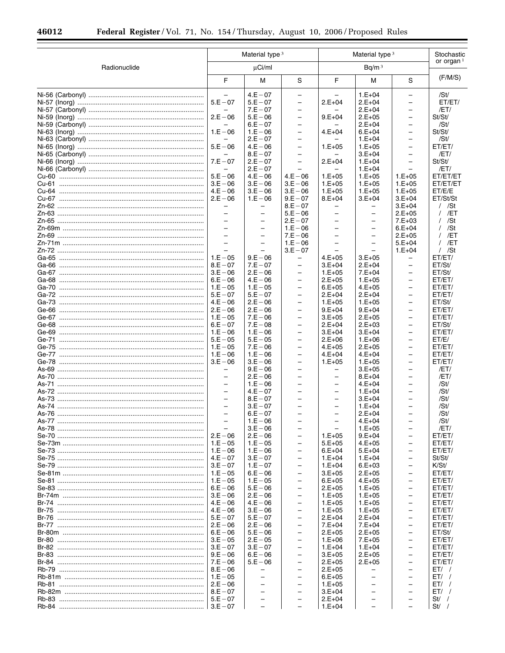|              | Material type 3                                      |                          |                                                      | Material type <sup>3</sup>                    | Stochastic               |                                               |                    |
|--------------|------------------------------------------------------|--------------------------|------------------------------------------------------|-----------------------------------------------|--------------------------|-----------------------------------------------|--------------------|
| Radionuclide |                                                      | $\mu$ Ci/ml              |                                                      |                                               | Bq/m <sup>3</sup>        |                                               | or organ $1$       |
|              | F                                                    | М                        | S                                                    | F                                             | M                        | S                                             | (F/M/S)            |
|              | $\overline{\phantom{0}}$                             | $4.E - 07$               | $\overline{\phantom{0}}$                             |                                               | $1.E+04$                 | -                                             | /St/               |
|              | $5.E - 07$                                           | $5.E - 07$               | $\overline{\phantom{0}}$                             | $2.E + 04$                                    | $2.E+04$                 | $\overline{\phantom{0}}$                      | ET/ET/             |
|              | $2.E - 06$                                           | $7.E - 07$               | $\qquad \qquad -$<br>$\overline{\phantom{0}}$        |                                               | $2.E+04$                 | -<br>$\overline{\phantom{0}}$                 | /ET/               |
|              |                                                      | $5.E - 06$<br>$6.E - 07$ | $\overline{\phantom{m}}$                             | $9.E+04$                                      | $2.E+05$<br>$2.E+04$     | $\overline{\phantom{0}}$                      | St/St/<br>/St/     |
|              | $1.E - 06$                                           | $1.E - 06$               | $\overline{\phantom{0}}$                             | $4.E+04$                                      | $6.E+04$                 | $\qquad \qquad -$                             | St/St/             |
|              |                                                      | $2.E - 07$               | $\overline{\phantom{m}}$                             |                                               | $1.E+04$                 | $\overline{\phantom{0}}$                      | /St/               |
|              | $5.E - 06$                                           | $4.E - 06$               | $\overline{\phantom{0}}$                             | $1.E+05$                                      | $1.E+05$                 | $\qquad \qquad -$                             | ET/ET/             |
|              |                                                      | $8.E - 07$               | $\overline{\phantom{m}}$                             |                                               | $3.E+04$                 | $\qquad \qquad -$                             | /ET/               |
|              | $7.E - 07$                                           | $2.E - 07$               | $\overline{\phantom{0}}$                             | $2.E+04$                                      | $1.E+04$                 | $\qquad \qquad -$                             | St/St/             |
|              |                                                      | $2.E - 07$               |                                                      |                                               | $1.E+04$                 |                                               | /ET/               |
|              | $5.E - 06$                                           | $4.E - 06$               | $4.E - 06$                                           | $1.E+05$                                      | $1.E+05$                 | $1.E+05$                                      | ET/ET/ET           |
|              | $3.E - 06$<br>$4.E - 06$                             | $3.E - 06$               | $3.E - 06$                                           | $1.E+05$                                      | $1.E+05$                 | $1.E+05$                                      | ET/ET/ET           |
|              | $2.E - 06$                                           | $3.E - 06$<br>$1.E - 06$ | $3.E - 06$<br>$9.E - 07$                             | $1.E+05$<br>$8.E+04$                          | $1.E+05$<br>$3.E+04$     | $1.E+05$<br>$3.E+04$                          | ET/E/E<br>ET/St/St |
|              | $\overline{\phantom{0}}$                             | -                        | $8.E - 07$                                           | -                                             | -                        | $3.E+04$                                      | / /St              |
|              | $\overline{a}$                                       | $\equiv$                 | $5.E - 06$                                           | $\overline{\phantom{0}}$                      | $\overline{\phantom{0}}$ | $2.E+05$                                      | $/$ /ET            |
|              | $\overline{\phantom{0}}$                             | $\qquad \qquad -$        | $2.E - 07$                                           | $\overline{\phantom{0}}$                      | $\overline{\phantom{m}}$ | $7.E+03$                                      | $/$ /St            |
|              | $\equiv$                                             | $\overline{\phantom{0}}$ | $1.E - 06$                                           | $\overline{\phantom{0}}$                      | $\overline{\phantom{0}}$ | $6.E+04$                                      | / /St              |
|              | $\overline{\phantom{0}}$                             | $\overline{\phantom{0}}$ | $7.E - 06$                                           | $\overline{\phantom{0}}$                      | $\qquad \qquad -$        | $2.E+05$                                      | $/$ /ET            |
|              | $\overline{\phantom{0}}$                             | $\overline{\phantom{0}}$ | $1.E - 06$                                           | $\overline{\phantom{0}}$                      | $\overline{\phantom{0}}$ | $5.E+04$                                      | $/$ /ET            |
|              |                                                      |                          | $3.E - 07$                                           |                                               |                          | $1.E+04$                                      | $/$ /St            |
|              | $1.E - 05$<br>$8.E - 07$                             | $9.E - 06$               | $\overline{\phantom{0}}$<br>$\overline{\phantom{0}}$ | $4.E+05$                                      | $3.E+05$                 | $\qquad \qquad -$                             | ET/ET/             |
|              | $3.E - 06$                                           | $7.E - 07$<br>$2.E - 06$ | $\overline{\phantom{0}}$                             | $3.E+04$<br>$1.E+05$                          | $2.E+04$<br>$7.E+04$     | -                                             | ET/St/<br>ET/St/   |
|              | $6.E - 06$                                           | $4.E - 06$               | $\overline{\phantom{0}}$                             | $2.E+05$                                      | $1.E+05$                 | $\overline{\phantom{0}}$                      | ET/ET/             |
|              | $1.E - 05$                                           | $1.E - 05$               | $\overline{\phantom{0}}$                             | $6.E+05$                                      | $4.E+05$                 | $\qquad \qquad -$                             | ET/ET/             |
|              | $5.E - 07$                                           | $5.E - 07$               | $\overline{\phantom{0}}$                             | $2.E+04$                                      | $2.E+04$                 | $\overline{\phantom{m}}$                      | ET/ET/             |
|              | $4.E - 06$                                           | $2.E - 06$               | $\overline{\phantom{0}}$                             | $1.E+05$                                      | $1.E+05$                 | $\qquad \qquad -$                             | ET/St/             |
|              | $2.E - 06$                                           | $2.E - 06$               | $\qquad \qquad -$                                    | $9.E+04$                                      | $9.E+04$                 | $\qquad \qquad -$                             | ET/ET/             |
|              | $1.E - 05$                                           | $7.E - 06$               | $\overline{\phantom{0}}$                             | $3.E+05$                                      | $2.E+05$                 | $\overline{\phantom{0}}$                      | ET/ET/             |
|              | $6.E - 07$                                           | $7.E - 08$               | $\qquad \qquad -$                                    | $2.E+04$                                      | $2.E+03$                 | $\qquad \qquad -$                             | ET/St/             |
|              | $1.E - 06$<br>$5.E - 05$                             | $1.E - 06$<br>$5.E - 05$ | $\overline{\phantom{0}}$<br>$\overline{\phantom{0}}$ | $3.E+04$<br>$2.E+06$                          | $3.E+04$<br>$1.E+06$     | $\qquad \qquad -$<br>$\overline{\phantom{0}}$ | ET/ET/<br>ET/E/    |
|              | $1.E - 05$                                           | $7.E - 06$               | $\overline{\phantom{0}}$                             | $4.E+05$                                      | $2.E+05$                 | $\qquad \qquad -$                             | ET/ET/             |
|              |                                                      | $1.E - 06$               | $\overline{\phantom{0}}$                             | $4.E+04$                                      | $4.E+04$                 | $\overline{\phantom{0}}$                      | ET/ET/             |
|              | $3.E - 06$                                           | $3.E - 06$               | $\overline{\phantom{0}}$                             | $1.E+05$                                      | $1.E+05$                 | $\qquad \qquad -$                             | ET/ET/             |
|              | $\qquad \qquad -$                                    | $9.E - 06$               | $\overline{\phantom{0}}$                             | $\overline{\phantom{0}}$                      | $3.E+05$                 | $\overline{\phantom{0}}$                      | /ET/               |
|              | $\overline{\phantom{0}}$                             | $2.E - 06$               | $\overline{\phantom{0}}$                             | $\overline{\phantom{0}}$                      | $8.E+04$                 | $\qquad \qquad -$                             | /ET/               |
|              | $\overline{\phantom{0}}$                             | $1.E - 06$               | $\overline{\phantom{0}}$                             | $\overline{\phantom{0}}$                      | $4.E+04$                 | $\overline{\phantom{0}}$                      | /St/               |
|              | $\overline{\phantom{0}}$<br>$\overline{\phantom{0}}$ | $4.E - 07$               | $\overline{\phantom{m}}$<br>$\overline{\phantom{0}}$ | $\qquad \qquad -$<br>$\overline{\phantom{0}}$ | $1.E+04$                 | $\qquad \qquad -$<br>$\overline{\phantom{0}}$ | /St/               |
|              | $\equiv$                                             | $8.E - 07$<br>$3.E - 07$ | $\overline{\phantom{0}}$                             | $\overline{\phantom{0}}$                      | $3.E+04$<br>$1.E+04$     | $\overline{\phantom{0}}$                      | /St/<br>/St/       |
| As-76        |                                                      | $6.E - 07$               |                                                      |                                               | $2.E+04$                 |                                               | /St/               |
|              | $\equiv$                                             | $1.E - 06$               |                                                      |                                               | $4.E+04$                 |                                               | /St/               |
|              |                                                      | $3.E - 06$               |                                                      |                                               | $1.E+05$                 | $\overline{\phantom{0}}$                      | /ET/               |
|              | $2.E - 06$                                           | $2.E - 06$               | $\overline{\phantom{0}}$                             | $1.E+05$                                      | $9.E+04$                 | $\qquad \qquad -$                             | ET/ET/             |
|              |                                                      | $1.E - 05$               | $\overline{\phantom{0}}$                             | $5.E+05$                                      | $4.E+05$                 | $\overline{\phantom{0}}$                      | ET/ET/             |
|              | $1.E - 06$                                           | $1.E - 06$               | $\overline{\phantom{m}}$                             | $6.E+04$                                      | $5.E+04$                 | -                                             | ET/ET/             |
|              |                                                      | $3.E - 07$               | $\overline{\phantom{0}}$                             | $1.E+04$                                      | $1.E+04$                 | $\overline{\phantom{0}}$                      | St/St/             |
|              | $3.E - 07$                                           | $1.E - 07$<br>$6.E - 06$ | $\overline{\phantom{0}}$<br>$\overline{\phantom{0}}$ | $1.E+04$<br>$3.E+05$                          | $6.E+03$<br>$2.E+05$     | $\qquad \qquad -$<br>$\overline{\phantom{0}}$ | K/St/<br>ET/ET/    |
|              | $1.E - 05$                                           | $1.E - 05$               | $\overline{\phantom{0}}$                             | $6.E+05$                                      | $4.E+05$                 | $\qquad \qquad -$                             | ET/ET/             |
|              |                                                      | $5.E - 06$               | $\overline{\phantom{0}}$                             | $2.E+05$                                      | $1.E+05$                 | $\qquad \qquad -$                             | ET/ET/             |
|              | $3.E - 06$                                           | $2.E - 06$               | $\overline{\phantom{0}}$                             | $1.E+05$                                      | $1.E+05$                 | $\overline{\phantom{0}}$                      | ET/ET/             |
|              |                                                      | $4.E - 06$               | $\qquad \qquad -$                                    | $1.E+05$                                      | $1.E+05$                 | $\qquad \qquad -$                             | ET/ET/             |
|              | $4.E - 06$                                           | $3.E - 06$               | $\overline{\phantom{0}}$                             | $1.E+05$                                      | $1.E+05$                 | $\overline{\phantom{0}}$                      | ET/ET/             |
|              |                                                      | $5.E - 07$               | $\qquad \qquad -$                                    | $2.E+04$                                      | $2.E+04$                 | $\overline{\phantom{0}}$                      | ET/ET/             |
|              |                                                      | $2.E - 06$               | $\overline{\phantom{0}}$                             | $7.E+04$                                      | $7.E+04$                 | $\qquad \qquad -$                             | ET/ET/             |
|              |                                                      | $5.E - 06$               | $\overline{\phantom{0}}$<br>$\overline{\phantom{0}}$ | $2.E+05$                                      | $2.E+05$                 | $\overline{\phantom{0}}$                      | ET/St/             |
|              | $3.E - 05$                                           | $2.E - 05$<br>$3.E - 07$ | $\overline{\phantom{0}}$                             | $1.E+06$<br>$1.E+04$                          | $7.E+05$<br>$1.E+04$     | $\qquad \qquad -$<br>$\overline{\phantom{0}}$ | ET/ET/<br>ET/ET/   |
|              | $9.E - 06$                                           | $6.E - 06$               | $\overline{\phantom{0}}$                             | $3.E+05$                                      | $2.E+05$                 | -                                             | ET/ET/             |
|              |                                                      | $5.E - 06$               | $\overline{\phantom{0}}$                             | $2.E+05$                                      | $2.E+05$                 | $\overline{\phantom{0}}$                      | ET/ET/             |
|              |                                                      |                          | ÷                                                    | $2.E+05$                                      |                          | $\qquad \qquad -$                             | ET/                |
|              |                                                      | $\overline{\phantom{0}}$ | $\overline{\phantom{0}}$                             | $6.E+05$                                      |                          | $\overline{\phantom{0}}$                      | $ET/$ /            |
|              |                                                      | $\equiv$                 | $\overline{\phantom{0}}$                             | $1.E+05$                                      |                          | $\overline{\phantom{0}}$                      | ET/                |
|              |                                                      | $\overline{\phantom{m}}$ |                                                      | $3.E+04$                                      |                          | $\overline{\phantom{0}}$                      | ET/                |
|              |                                                      | $\qquad \qquad -$        | $\overline{\phantom{0}}$<br>$\overline{\phantom{0}}$ | $2.E+04$<br>$1.E+04$                          |                          | $\qquad \qquad -$                             | $St/$ /<br>$St/$ / |
|              |                                                      |                          |                                                      |                                               |                          |                                               |                    |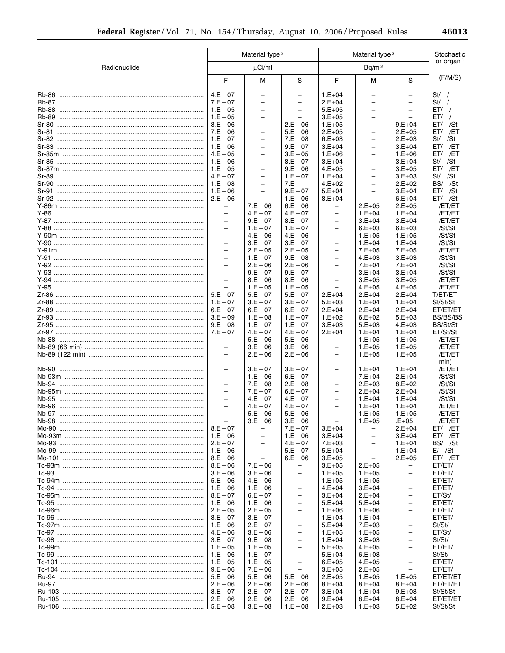|              | Material type <sup>3</sup>                    |                          |                          | Material type <sup>3</sup>           | Stochastic<br>or organ $1$ |                          |                  |
|--------------|-----------------------------------------------|--------------------------|--------------------------|--------------------------------------|----------------------------|--------------------------|------------------|
| Radionuclide |                                               | $\mu$ Ci/ml              |                          |                                      | Bq/m <sup>3</sup>          |                          |                  |
|              | F                                             | M                        | S                        | F                                    | M                          | S                        | (F/M/S)          |
|              | $4.E - 07$                                    | $\qquad \qquad -$        | $\qquad \qquad -$        | $1.E+04$                             | $\qquad \qquad -$          | $\overline{\phantom{0}}$ | $St/$ /          |
|              | $7.E - 07$                                    | -                        | $\overline{\phantom{0}}$ | $2.E+04$                             | $\overline{\phantom{0}}$   | $\overline{\phantom{0}}$ | $St/$ /          |
|              | $1.E - 05$                                    | $\overline{\phantom{m}}$ | $\qquad \qquad -$        | $5.E+05$                             | $\overline{\phantom{0}}$   | $\overline{\phantom{0}}$ | ET/              |
|              | $1.E - 05$                                    | $\overline{\phantom{m}}$ | $\overline{\phantom{0}}$ | $3.E+05$                             | $\qquad \qquad -$          | $\equiv$                 | $ET/$ /          |
|              | $3.E - 06$                                    | $\overline{\phantom{m}}$ | $2.E - 06$               | $1.E+05$                             | $\overline{\phantom{0}}$   | $9.E+04$                 | $ET/$ /St        |
|              | $7.E - 06$                                    | $\overline{\phantom{0}}$ | $5.E - 06$               | $2.E+05$                             | $\overline{\phantom{0}}$   | $2.E+05$                 | ET/ /ET          |
|              | $1.E - 07$                                    | $\overline{\phantom{m}}$ | $7.E - 08$               | $6.E+03$                             | $\overline{\phantom{0}}$   | $2.E+03$                 | St/<br>/St       |
|              | $1.E - 06$                                    | $\overline{\phantom{m}}$ | $9.E - 07$               | $3.E+04$                             | -                          | $3.E+04$                 | $ET/$ /ET        |
|              | $4.E - 05$                                    | $\overline{\phantom{0}}$ | $3.E - 05$               | $1.E+06$                             | $\overline{\phantom{0}}$   | $1.E+06$                 | $ET/$ /ET        |
|              | $1.E - 06$                                    | $\overline{\phantom{m}}$ | $8.E - 07$               | $3.E+04$                             | -                          | $3.E+04$                 | St/ /St          |
|              | $1.E - 05$                                    | $\overline{\phantom{m}}$ | $9.E - 06$               | $4.E+05$                             | $\overline{\phantom{0}}$   | $3.E+05$                 | $ET/$ /ET        |
|              | $4.E - 07$                                    | $\overline{\phantom{m}}$ | $1.E - 07$               | $1.E+04$                             | $\overline{\phantom{0}}$   | $3.E+03$                 | St/ /St          |
|              | $1.E - 08$                                    | $\overline{\phantom{m}}$ | $7.E -$                  | $4.E+02$                             | $\overline{\phantom{0}}$   | $2.E+02$                 | BS/ /St          |
| Sr-91        | $1.E - 06$                                    | $\overline{\phantom{0}}$ | $9.E - 07$               | $5.E+04$                             | $\overline{\phantom{0}}$   | $3.E+04$                 | $ET/$ /St        |
|              | $2.E - 06$                                    | $\overline{\phantom{m}}$ | $1.E - 06$               | $8.E+04$                             | $\overline{\phantom{m}}$   | $6.E+04$                 | $ET/$ /St        |
|              | $\overline{\phantom{0}}$                      | $7.E - 06$               | $6.E - 06$               | -                                    | $2.E+05$                   | $2.E+05$                 | /ET/ET           |
|              | $\overline{\phantom{m}}$                      | $4.E - 07$               | $4.E - 07$               | $\overline{\phantom{0}}$             | $1.E+04$                   | $1.E+04$                 | /ET/ET           |
|              | $\overline{\phantom{m}}$                      | $9.E - 07$               | $8.E - 07$               | $\qquad \qquad -$                    | $3.E+04$                   | $3.E+04$                 | /ET/ET           |
|              | $\qquad \qquad -$                             | $1.E - 07$               | $1.E - 07$               | $\qquad \qquad -$                    | $6.E+03$                   | $6.E+03$                 | /St/St           |
|              | $\overline{\phantom{m}}$                      | $4.E - 06$               | $4.E - 06$               | $\overline{\phantom{0}}$             | $1.E+05$                   | $1.E+05$                 | /St/St           |
|              | $\overline{\phantom{m}}$                      | $3.E - 07$               | $3.E - 07$               | $\overline{\phantom{0}}$             | $1.E+04$                   | $1.E + 04$               | /St/St           |
|              | $\qquad \qquad -$<br>$\overline{\phantom{m}}$ | $2.E - 05$               | $2.E - 05$               | $\qquad \qquad -$                    | $7.E+05$                   | $7.E+05$                 | /ET/ET           |
|              |                                               | $1.E - 07$               | $9.E - 08$               | $\overline{\phantom{0}}$             | $4.E+03$                   | $3.E+03$                 | /St/St           |
|              | $\qquad \qquad -$<br>$\overline{\phantom{m}}$ | $2.E - 06$               | $2.E - 06$               | $\qquad \qquad -$                    | $7.E+04$                   | $7.E+04$                 | /St/St           |
|              | $\equiv$                                      | $9.E - 07$               | $9.E - 07$               | $\qquad \qquad -$<br>$\equiv$        | $3.E+04$<br>$3.E+05$       | $3.E+04$                 | /St/St<br>/ET/ET |
|              |                                               | $8.E - 06$<br>$1.E - 05$ | $8.E - 06$               |                                      |                            | $3.E+05$<br>$4.E+05$     | /ET/ET           |
| Y-95         | $\overbrace{\phantom{1232211}}$<br>$5.E - 07$ | $5.E - 07$               | $1.E - 05$<br>$5.E - 07$ | $\overline{\phantom{m}}$<br>$2.E+04$ | $4.E+05$<br>$2.E+04$       | $2.E+04$                 | T/ET/ET          |
|              | $1.E - 07$                                    | $3.E - 07$               | $3.E - 07$               | $5.E+03$                             | $1.E+04$                   | $1.E+04$                 | St/St/St         |
|              | $6.E - 07$                                    | $6.E - 07$               | $6.E - 07$               | $2.E+04$                             | $2.E+04$                   | $2.E+04$                 | ET/ET/ET         |
|              | $3.E - 09$                                    | $1.E - 08$               | $1.E - 07$               | $1.E+02$                             | $6.E+02$                   | $5.E+03$                 | BS/BS/BS         |
|              | $9.E - 08$                                    | $1.E - 07$               | $1.E - 07$               | $3.E+03$                             | $5.E+03$                   | $4.E+03$                 | BS/St/St         |
|              | $7.E - 07$                                    | $4.E - 07$               | $4.E - 07$               | $2.E+04$                             | $1.E+04$                   | $1.E+04$                 | ET/St/St         |
|              | $\overline{\phantom{0}}$                      | $5.E - 06$               | $5.E - 06$               | $\qquad \qquad -$                    | $1.E+05$                   | $1.E+05$                 | /ET/ET           |
|              | $\overline{\phantom{m}}$                      | $3.E - 06$               | $3.E - 06$               | $\overline{\phantom{0}}$             | $1.E+05$                   | $1.E+05$                 | /ET/ET           |
|              | $\qquad \qquad -$                             | $2.E - 06$               | $2.E - 06$               | $\qquad \qquad -$                    | $1.E+05$                   | $1.E+05$                 | /ET/ET           |
|              |                                               |                          |                          |                                      |                            |                          | min)             |
|              | $\overbrace{\phantom{1232211}}$               | $3.E - 07$               | $3.E - 07$               | $\qquad \qquad -$                    | $1.E+04$                   | $1.E+04$                 | /ET/ET           |
|              | $\qquad \qquad -$                             | $1.E - 06$               | $6.E - 07$               | $\qquad \qquad -$                    | $7.E+04$                   | $2.E+04$                 | /St/St           |
|              | $\overline{\phantom{m}}$                      | $7.E - 08$               | $2.E - 08$               | $\overline{\phantom{0}}$             | $2.E+03$                   | $8.E+02$                 | /St/St           |
|              | $\qquad \qquad -$                             | $7.E - 07$               | $6.E - 07$               | $\qquad \qquad -$                    | $2.E+04$                   | $2.E+04$                 | /St/St           |
| Nb-95        | $\overline{\phantom{0}}$                      | $4.E - 07$               | $4.E - 07$               | $\qquad \qquad -$                    | $1.E+04$                   | $1.E+04$                 | /St/St           |
|              | $\overline{\phantom{m}}$                      | $4.E - 07$               | $4.E - 07$               | $\overline{\phantom{m}}$             | $1.E+04$                   | $1.E+04$                 | /ET/ET           |
|              |                                               | $5.E - 06$               | $5.E - 06$               | $\overline{\phantom{0}}$             | $1.E+05$                   | $1.E+05$                 | /ET/ET           |
|              | $\overline{\phantom{m}}$                      | $3.E - 06$               | $3.E - 06$               |                                      | $1.E+05$                   | E+05.                    | /ET/ET           |
|              | $8.E - 07$                                    | $\overline{\phantom{m}}$ | $7.E - 07$               | $3.E+04$                             | -                          | $2.E+04$                 | $ET/$ /ET        |
|              | $1.E - 06$                                    | $\qquad \qquad -$        | $1.E - 06$               | $3.E+04$                             | $\overline{\phantom{0}}$   | $3.E+04$                 | ET/ /ET          |
|              | $2.E - 07$                                    | $\qquad \qquad -$        | $4.E - 07$               | $7.E+03$                             | $\overline{\phantom{0}}$   | $1.E+04$                 | BS/ /St          |
|              | $1.E - 06$                                    | $\overline{\phantom{0}}$ | $5.E - 07$               | $5.E+04$                             | $\overline{\phantom{0}}$   | $1.E+04$                 | $E /$ /St        |
|              | $8.E - 06$                                    | $\qquad \qquad -$        | $6.E - 06$               | $3.E+05$                             | $\overline{\phantom{0}}$   | $2.E+05$                 | $ET/$ /ET        |
|              | $8.E - 06$                                    | $7.E - 06$               | $\overline{\phantom{m}}$ | $3.E+05$                             | $2.E+05$                   | -                        | ET/ET/           |
|              | $3.E - 06$                                    | $3.E - 06$               | -                        | $1.E+05$                             | $1.E+05$                   | -                        | ET/ET/           |
|              | $5.E - 06$                                    | $4.E - 06$               | $\qquad \qquad -$        | $1.E+05$                             | $1.E+05$                   | $\overline{\phantom{m}}$ | ET/ET/           |
|              | $1.E - 06$                                    | $1.E - 06$               | $\overline{\phantom{0}}$ | $4.E+04$                             | $3.E+04$                   | -                        | ET/ET/           |
|              | $8.E - 07$                                    | $6.E - 07$               | $\qquad \qquad -$        | $3.E+04$                             | $2.E+04$                   | $\overline{\phantom{0}}$ | ET/St/           |
|              | $1.E - 06$                                    | $1.E - 06$               | $\qquad \qquad -$        | $5.E+04$                             | $5.E+04$                   | -                        | ET/ET/           |
|              | $2.E - 05$                                    | $2.E - 05$               | $\qquad \qquad -$        | $1.E+06$                             | $1.E+06$                   | $\overline{\phantom{0}}$ | ET/ET/           |
|              | $3.E - 07$                                    | $3.E - 07$               | -                        | $1.E+04$                             | $1.E+04$                   | -                        | ET/ET/           |
|              | $1.E - 06$                                    | $2.E - 07$               | $\overline{\phantom{0}}$ | $5.E+04$                             | $7.E+03$                   | $\overline{\phantom{0}}$ | St/St/           |
|              | $4.E - 06$                                    | $3.E - 06$               | -                        | $1.E+05$                             | $1.E+05$                   | $\overline{\phantom{0}}$ | ET/St/           |
|              | $3.E - 07$                                    | $9.E - 08$               | $\qquad \qquad -$        | $1.E+04$                             | $3.E+03$                   | $\overline{\phantom{0}}$ | St/St/           |
|              | $1.E - 05$                                    | $1.E - 05$               | $\overline{\phantom{0}}$ | $5.E+05$                             | $4.E+05$                   | $\overline{\phantom{m}}$ | ET/ET/           |
|              | $1.E - 06$                                    | $1.E - 07$               | $\qquad \qquad -$        | $5.E+04$                             | $6.E+03$                   | $\overline{\phantom{0}}$ | St/St/           |
|              | $1.E - 05$                                    | $1.E - 05$               | $\qquad \qquad -$        | $6.E+05$                             | $4.E+05$                   | -                        | ET/ET/           |
|              | $9.E - 06$                                    | $7.E - 06$               | $\overline{\phantom{0}}$ | $3.E+05$                             | $2.E+05$                   | ÷.                       | ET/ET/           |
|              | $5.E - 06$                                    | $5.E - 06$               | $5.E - 06$               | $2.E+05$                             | $1.E+05$                   | $1.E+05$                 | ET/ET/ET         |
|              | $2.E - 06$                                    | $2.E - 06$               | $2.E - 06$               | $8.E+04$                             | $8.E+04$                   | $8.E+04$                 | ET/ET/ET         |
|              | $8.E - 07$                                    | $2.E - 07$               | $2.E - 07$               | $3.E+04$                             | $1.E+04$                   | $9.E+03$                 | St/St/St         |
|              |                                               | $2.E - 06$               | $2.E - 06$               | $9.E+04$                             | $8.E+04$                   | $8.E+04$                 | ET/ET/ET         |
|              |                                               | $3.E - 08$               | $1.E - 08$               | $2.E+03$                             | $1.E+03$                   | $5.E+02$                 | St/St/St         |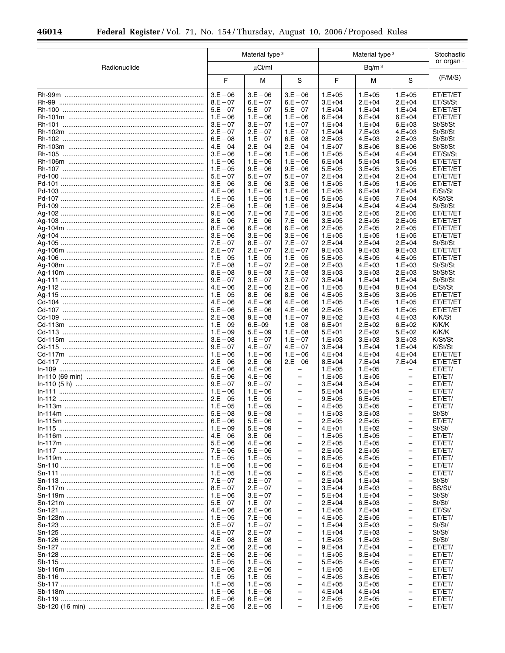|              |                                  | Material type <sup>3</sup> |                                                      |                      | Material type <sup>3</sup> |                                                      |                      |  |
|--------------|----------------------------------|----------------------------|------------------------------------------------------|----------------------|----------------------------|------------------------------------------------------|----------------------|--|
| Radionuclide | $\mu$ Ci/ml<br>Bq/m <sup>3</sup> |                            |                                                      |                      | or organ $1$               |                                                      |                      |  |
|              | F                                | М                          | S                                                    | F                    | M                          | S                                                    | (F/M/S)              |  |
|              | $3.E - 06$                       | $3.E - 06$                 | $3.E - 06$                                           | $1.E+05$             | $1.E+05$                   | $1.E+05$                                             | ET/ET/ET             |  |
|              | $8.E - 07$                       | $6.E - 07$                 | $6.E - 07$                                           | $3.E+04$             | $2.E+04$                   | $2.E+04$                                             | ET/St/St             |  |
|              | $5.E - 07$<br>$1.E - 06$         | $5.E - 07$<br>$1.E - 06$   | $5.E - 07$<br>$1.E - 06$                             | $1.E+04$<br>$6.E+04$ | $1.E+04$<br>$6.E+04$       | $1.E + 04$<br>$6.E + 04$                             | ET/ET/ET<br>ET/ET/ET |  |
|              | $3.E - 07$                       | $3.E - 07$                 | $1.E - 07$                                           | $1.E+04$             | $1.E+04$                   | $6.E+03$                                             | St/St/St             |  |
|              | $2.E - 07$                       | $2.E - 07$                 | $1.E - 07$                                           | $1.E+04$             | $7.E+03$                   | $4.E+03$                                             | St/St/St             |  |
|              | $6.E - 08$                       | $1.E - 07$                 | $6.E - 08$                                           | $2.E+03$             | $4.E+03$                   | $2.E+03$                                             | St/St/St             |  |
|              | $4.E - 04$                       | $2.E - 04$                 | $2.E - 04$                                           | $1.E+07$             | $8.E+06$                   | $8.E+06$                                             | St/St/St             |  |
|              | $3.E - 06$                       | $1.E - 06$                 | $1.E - 06$                                           | $1.E+05$             | $5.E+04$                   | $4.E + 04$                                           | ET/St/St             |  |
|              | $1.E - 06$                       | $1.E - 06$                 | $1.E - 06$                                           | $6.E+04$             | $5.E+04$                   | $5.E+04$                                             | ET/ET/ET             |  |
|              | $1.E - 05$                       | $9.E - 06$                 | $9.E - 06$                                           | $5.E+05$             | $3.E+05$                   | $3.E+05$                                             | ET/ET/ET             |  |
|              | $5.E - 07$                       | $5.E - 07$                 | $5.E - 07$                                           | $2.E+04$             | $2.E+04$                   | $2.E+04$                                             | ET/ET/ET             |  |
|              | $3.E - 06$                       | $3.E - 06$                 | $3.E - 06$                                           | $1.E+05$             | $1.E+05$                   | $1.E+05$<br>$7.E+04$                                 | ET/ET/ET             |  |
|              | $4.E - 06$<br>$1.E - 05$         | $1.E - 06$<br>$1.E - 05$   | $1.E - 06$<br>$1.E - 06$                             | $1.E+05$<br>$5.E+05$ | $6.E+04$<br>$4.E+05$       | $7.E+04$                                             | E/St/St<br>K/St/St   |  |
|              | $2.E - 06$                       | $1.E - 06$                 | $1.E - 06$                                           | $9.E+04$             | $4.E+04$                   | $4.E + 04$                                           | St/St/St             |  |
|              | $9.E - 06$                       | $7.E - 06$                 | $7.E - 06$                                           | $3.E+05$             | $2.E+05$                   | $2.E+05$                                             | ET/ET/ET             |  |
|              | $8.E - 06$                       | $7.E - 06$                 | $7.E - 06$                                           | $3.E+05$             | $2.E+05$                   | $2.E+05$                                             | ET/ET/ET             |  |
|              | $8.E - 06$                       | $6.E - 06$                 | $6.E - 06$                                           | $2.E+05$             | $2.E+05$                   | $2.E+05$                                             | ET/ET/ET             |  |
|              | $3.E - 06$                       | $3.E - 06$                 | $3.E - 06$                                           | $1.E+05$             | $1.E+05$                   | $1.E+05$                                             | ET/ET/ET             |  |
|              | $7.E - 07$                       | $8.E - 07$                 | $7.E - 07$                                           | $2.E+04$             | $2.E+04$                   | $2.E+04$                                             | St/St/St             |  |
|              | $2.E - 07$                       | $2.E - 07$                 | $2.E - 07$                                           | $9.E+03$             | $9.E+03$                   | $9.E+03$                                             | ET/ET/ET             |  |
|              | $1.E - 05$                       | $1.E - 05$                 | $1.E - 05$                                           | $5.E+05$             | $4.E+05$                   | $4.E+05$                                             | ET/ET/ET             |  |
|              | $7.E - 08$<br>$8.E - 08$         | $1.E - 07$<br>$9.E - 08$   | $2.E - 08$<br>$7.E - 08$                             | $2.E+03$<br>$3.E+03$ | $4.E+03$<br>$3.E+03$       | $1.E+03$<br>$2.E+03$                                 | St/St/St<br>St/St/St |  |
|              | $9.E - 07$                       | $3.E - 07$                 | $3.E - 07$                                           | $3.E+04$             | $1.E+04$                   | $1.E + 04$                                           | St/St/St             |  |
|              | $4.E - 06$                       | $2.E - 06$                 | $2.E - 06$                                           | $1.E+05$             | $8.E+04$                   | $8.E + 04$                                           | E/St/St              |  |
|              | $1.E - 05$                       | $8.E - 06$                 | $8.E - 06$                                           | $4.E+05$             | $3.E+05$                   | $3.E+05$                                             | ET/ET/ET             |  |
|              | $4.E - 06$                       | $4.E - 06$                 | $4.E - 06$                                           | $1.E+05$             | $1.E+05$                   | $1.E+05$                                             | ET/ET/ET             |  |
|              | $5.E - 06$                       | $5.E - 06$                 | $4.E - 06$                                           | $2.E+05$             | $1.E+05$                   | $1.E+05$                                             | ET/ET/ET             |  |
|              | $2.E - 08$                       | $9.E - 08$                 | $1.E - 07$                                           | $9.E+02$             | $3.E+03$                   | $4.E+03$                                             | K/K/St               |  |
|              | $1.E - 09$                       | $6.E - 09$                 | $1.E - 08$                                           | $6.E+01$             | $2.E+02$                   | $6.E+02$                                             | K/K/K                |  |
|              | $1.E - 09$<br>$3.E - 08$         | $5.E - 09$<br>$1.E - 07$   | $1.E - 08$<br>$1.E - 07$                             | $5.E+01$<br>$1.E+03$ | $2.E+02$<br>$3.E+03$       | $5.E+02$<br>$3.E+03$                                 | K/K/K<br>K/St/St     |  |
|              | $9.E - 07$                       | $4.E - 07$                 | $4.E - 07$                                           | $3.E+04$             | $1.E+04$                   | $1.E+04$                                             | K/St/St              |  |
|              | $1.E - 06$                       | $1.E - 06$                 | $1.E - 06$                                           | $4.E+04$             | $4.E+04$                   | $4.E + 04$                                           | ET/ET/ET             |  |
|              | $2.E - 06$                       | $2.E - 06$                 | $2.E - 06$                                           | $8.E+04$             | $7.E+04$                   | $7.E+04$                                             | ET/ET/ET             |  |
|              | $4.E - 06$                       | $4.E - 06$                 | $\overline{\phantom{0}}$                             | $1.E+05$             | $1.E+05$                   | $\qquad \qquad -$                                    | ET/ET/               |  |
|              | $5.E - 06$                       | $4.E - 06$                 | $\overline{a}$                                       | $1.E+05$             | $1.E+05$                   | $\overline{\phantom{0}}$                             | ET/ET/               |  |
|              | $9.E - 07$                       | $9.E - 07$<br>$1.E - 06$   | $\qquad \qquad -$<br>$\equiv$                        | $3.E+04$             | $3.E+04$<br>$5.E+04$       | $\qquad \qquad -$<br>$\equiv$                        | ET/ET/               |  |
|              | $1.E - 06$<br>$2.E - 05$         | $1.E - 05$                 | $\overline{\phantom{0}}$                             | $5.E+04$<br>$9.E+05$ | $6.E+05$                   | $\overline{\phantom{0}}$                             | ET/ET/<br>ET/ET/     |  |
|              | $1.E - 05$                       | $1.E - 05$                 | $\overline{a}$                                       | $4.E+05$             | $3.E+05$                   | $\equiv$                                             | ET/ET/               |  |
|              | $5.E - 08$                       | $9.E - 08$                 | $\equiv$                                             | $1.E+03$             | $3.E+03$                   | $\equiv$                                             | St/St/               |  |
|              | $6.E - 06$                       | $5.E - 06$                 |                                                      | $2.E+05$             | $2.E+05$                   |                                                      | ET/ET/               |  |
|              | l 1.E – 09                       | $5.E - 09$                 | $\overline{\phantom{0}}$                             | $4.E+01$             | $1.E+02$                   | $\overline{\phantom{0}}$                             | St/St/               |  |
|              | ∣ 4.E – 06                       | $3.E - 06$                 | $\overline{\phantom{0}}$                             | $1.E+05$             | $1.E+05$                   | $\overline{\phantom{0}}$                             | ET/ET/               |  |
|              | $5.E - 06$                       | $4.E - 06$                 | $\overline{\phantom{0}}$<br>$\overline{a}$           | $2.E+05$             | $1.E+05$<br>$2.E+05$       | $\qquad \qquad -$<br>$\equiv$                        | ET/ET/               |  |
|              | $ 7.E-06$<br>l 1.E – 05          | $5.E - 06$<br>$1.E - 05$   | $\overline{\phantom{0}}$                             | $2.E+05$<br>$6.E+05$ | $4.E+05$                   | $\qquad \qquad -$                                    | ET/ET/<br>ET/ET/     |  |
|              | $1.E-06$                         | $1.E - 06$                 | $\overline{a}$                                       | $6.E+04$             | $6.E+04$                   | $\equiv$                                             | ET/ET/               |  |
|              | l 1.E – 05                       | $1.E - 05$                 | $\qquad \qquad -$                                    | $6.E+05$             | $5.E+05$                   | $\overline{\phantom{0}}$                             | ET/ET/               |  |
|              | ∣ 7.E – 07                       | $2.E - 07$                 | $\overline{\phantom{0}}$                             | $2.E+04$             | $1.E+04$                   | $\overline{\phantom{0}}$                             | St/St/               |  |
|              | $8.E - 07$                       | $2.E - 07$                 | $\overline{\phantom{0}}$                             | $3.E+04$             | $9.E+03$                   | $\equiv$                                             | BS/St/               |  |
|              | $1.E-06$                         | $3.E - 07$                 | $\overline{\phantom{0}}$                             | $5.E+04$             | $1.E+04$                   | $\overline{\phantom{0}}$                             | St/St/               |  |
|              | $5.E - 07$                       | $1.E - 07$                 | $\overline{\phantom{0}}$                             | $2.E+04$             | $6.E+03$                   | $\overline{\phantom{0}}$<br>$\overline{\phantom{0}}$ | St/St/               |  |
|              | $4.E - 06$<br>l 1.E – 05         | $2.E - 06$<br>$7.E - 06$   | $\overline{\phantom{0}}$<br>$\overline{\phantom{0}}$ | $1.E+05$<br>$4.E+05$ | $7.E+04$<br>$2.E+05$       | $\overline{\phantom{0}}$                             | E T/St/<br>ET/ET/    |  |
|              | $3.E - 07$                       | $1.E - 07$                 | $\overline{a}$                                       | $1.E+04$             | $3.E+03$                   | $\equiv$                                             | St/St/               |  |
|              | $4.E - 07$                       | $2.E - 07$                 | $\overline{\phantom{0}}$                             | $1.E+04$             | $7.E+03$                   | $\qquad \qquad -$                                    | St/St/               |  |
|              | $4.E - 08$                       | $3.E - 08$                 | $\overline{a}$                                       | $1.E+03$             | $1.E+03$                   | $\equiv$                                             | St/St/               |  |
|              | l 2.E – 06                       | $2.E - 06$                 | $\overline{\phantom{0}}$                             | $9.E+04$             | $7.E+04$                   | $\overline{\phantom{0}}$                             | ET/ET/               |  |
|              | $\vert 2.E-06$                   | $2.E - 06$                 | $\overline{\phantom{0}}$                             | $1.E+05$             | $8.E+04$                   | $\overline{\phantom{0}}$                             | ET/ET/               |  |
|              | ∣ 1.E – 05                       | $1.E - 05$                 | $\overline{\phantom{0}}$                             | $5.E+05$             | $4.E+05$                   | $\overline{\phantom{0}}$                             | ET/ET/               |  |
|              | $ 3.E-06$                        | $2.E - 06$                 | $\overline{\phantom{0}}$                             | $1.E+05$             | $1.E+05$                   | $\overline{\phantom{0}}$                             | ET/ET/               |  |
|              | $ 1.E-05$                        | $1.E - 05$                 | $\overline{\phantom{0}}$                             | $4.E+05$             | $3.E+05$                   | $\overline{\phantom{0}}$                             | ET/ET/               |  |
|              | $\vert$ 1.E $-$ 05<br>$ 1.E-06$  | $1.E - 05$<br>$1.E - 06$   | $\overline{\phantom{0}}$<br>$\overline{\phantom{0}}$ | $4.E+05$<br>$4.E+04$ | $3.E+05$<br>$4.E+04$       | $\equiv$<br>$\qquad \qquad -$                        | ET/ET/<br>ET/ET/     |  |
|              |                                  | $6.E - 06$                 | $\overline{\phantom{0}}$                             | $2.E+05$             | $2.E+05$                   | $\equiv$                                             | ET/ET/               |  |
|              |                                  | $2.E - 05$                 | $\qquad \qquad -$                                    | $1.E+06$             | 7.E+05                     | $\qquad \qquad -$                                    | ET/ET/               |  |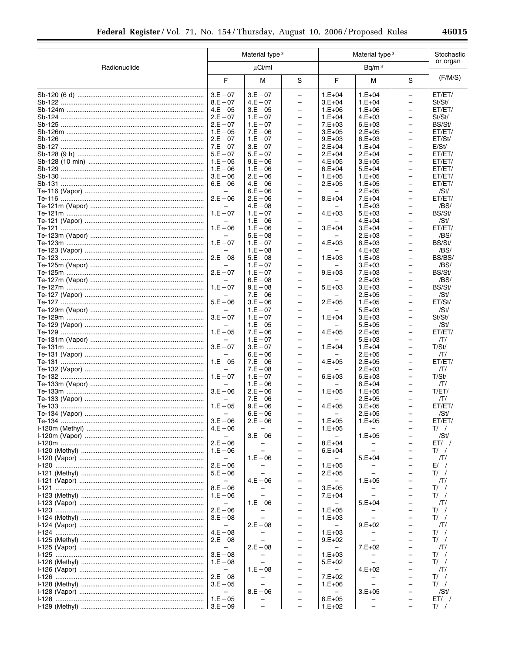|              |                                        | Material type <sup>3</sup> |                                                      |                               | Material type <sup>3</sup> |                                                      |                  |  |
|--------------|----------------------------------------|----------------------------|------------------------------------------------------|-------------------------------|----------------------------|------------------------------------------------------|------------------|--|
| Radionuclide |                                        | $\mu$ Ci/ml                |                                                      |                               | Bq/m <sup>3</sup>          |                                                      |                  |  |
|              | F                                      | М                          | S                                                    | F.                            | М                          | S                                                    | (F/M/S)          |  |
|              | $3.E - 07$                             | $3.E - 07$                 | $\overline{\phantom{0}}$                             | $1.E+04$                      | $1.E + 04$                 | $\equiv$                                             | ET/ET/           |  |
|              | $8.E - 07$<br>$4.E - 05$               | $4.E - 07$<br>$3.E - 05$   | $\qquad \qquad -$<br>$\overline{\phantom{0}}$        | $3.E+04$<br>$1.E+06$          | $1.E+04$<br>$1.E+06$       | $\qquad \qquad -$<br>$\overline{\phantom{0}}$        | St/St/<br>ET/ET/ |  |
|              | $2.E - 07$                             | $1.E - 07$                 | $\overline{\phantom{0}}$                             | $1.E+04$                      | $4.E+03$                   | $\qquad \qquad -$                                    | St/St/           |  |
|              | $2.E - 07$                             | $1.E - 07$                 | $\overline{\phantom{0}}$                             | $7.E+03$                      | $6.E+03$                   | $\overline{\phantom{0}}$                             | BS/St/           |  |
|              | $1.E - 05$                             | $7.E - 06$                 | $\overline{\phantom{0}}$                             | $3.E+05$                      | $2.E+05$                   | -                                                    | ET/ET/           |  |
|              | $2.E - 07$                             | $1.E - 07$                 | $\overline{\phantom{0}}$                             | $9.E+03$                      | $6.E+03$                   | $\overline{\phantom{0}}$                             | ET/St/           |  |
|              | $7.E - 07$                             | $3.E - 07$                 | $\overline{\phantom{0}}$                             | $2.E+04$                      | $1.E+04$                   | $\qquad \qquad -$                                    | E/St/            |  |
|              | $5.E - 07$                             | $5.E - 07$                 | $\overline{\phantom{0}}$                             | $2.E+04$                      | $2.E+04$                   | $\overline{\phantom{0}}$                             | ET/ET/           |  |
|              | $1.E - 05$                             | $9.E - 06$                 | $\overline{\phantom{0}}$                             | $4.E+05$                      | $3.E+05$                   | $\qquad \qquad -$                                    | ET/ET/           |  |
|              | $1.E - 06$<br>$3.E - 06$               | $1.E - 06$<br>$2.E - 06$   | $\overline{\phantom{0}}$<br>$\overline{\phantom{0}}$ | $6.E+04$<br>$1.E+05$          | $5.E+04$<br>$1.E+05$       | $\overline{\phantom{0}}$<br>$\qquad \qquad -$        | ET/ET/<br>ET/ET/ |  |
|              | $6.E - 06$                             | $4.E - 06$                 | $\overline{\phantom{0}}$                             | $2.E+05$                      | $1.E+05$                   | $\overline{\phantom{0}}$                             | ET/ET/           |  |
|              | $\overline{\phantom{0}}$               | $6.E - 06$                 | $\qquad \qquad -$                                    | $\overline{\phantom{0}}$      | $2.E+05$                   | $\qquad \qquad -$                                    | /St/             |  |
|              | $2.E - 06$                             | $2.E - 06$                 | $\overline{\phantom{0}}$                             | $8.E+04$                      | $7.E+04$                   | $\overline{\phantom{0}}$                             | ET/ET/           |  |
|              | $\overline{\phantom{0}}$               | $4.E - 08$                 | $\overline{\phantom{0}}$                             |                               | $1.E+03$                   | $\overline{\phantom{0}}$                             | /BS/             |  |
|              | $1.E - 07$                             | $1.E - 07$                 | $\overline{\phantom{0}}$                             | $4.E+03$                      | $5.E+03$                   | $\overline{\phantom{0}}$                             | BS/St/           |  |
|              |                                        | $1.E - 06$                 | -                                                    |                               | $4.E+04$                   | -                                                    | /St/             |  |
|              | $1.E - 06$                             | $1.E - 06$                 | $\overline{\phantom{0}}$                             | $3.E+04$                      | $3.E+04$                   | $\qquad \qquad -$                                    | ET/ET/           |  |
|              | $\overline{\phantom{0}}$               | $5.E - 08$                 | $\overline{\phantom{0}}$                             | $\overline{\phantom{0}}$      | $2.E+03$                   | $\qquad \qquad -$                                    | /BS/             |  |
|              | $1.E - 07$                             | $1.E - 07$<br>$1.E - 08$   | $\overline{\phantom{0}}$<br>-                        | $4.E+03$                      | $6.E+03$<br>$4.E+02$       | $\overline{\phantom{0}}$<br>-                        | BS/St/<br>/BS/   |  |
|              | $2.E - 08$                             | $5.E - 08$                 | $\overline{\phantom{0}}$                             | $1.E+03$                      | $1.E+03$                   | $\overline{\phantom{0}}$                             | BS/BS/           |  |
|              | $\overline{\phantom{0}}$               | $1.E - 07$                 | $\overline{\phantom{0}}$                             |                               | $3.E+03$                   | -                                                    | /BS/             |  |
|              | $2.E - 07$                             | $1.E - 07$                 | $\overline{\phantom{0}}$                             | $9.E+03$                      | $7.E+03$                   | $\qquad \qquad -$                                    | BS/St/           |  |
|              |                                        | $6.E - 08$                 | $\qquad \qquad -$                                    |                               | $2.E+03$                   | $\qquad \qquad -$                                    | /BS/             |  |
|              | $1.E - 07$                             | $9.E - 08$                 | $\overline{\phantom{0}}$                             | $5.E+03$                      | $3.E+03$                   | $\qquad \qquad -$                                    | BS/St/           |  |
|              | -                                      | $7.E - 06$                 | -                                                    |                               | $2.E+05$                   | -                                                    | /St/             |  |
|              | $5.E - 06$                             | $3.E - 06$<br>$1.E - 07$   | $\overline{\phantom{0}}$<br>$\overline{\phantom{0}}$ | $2.E+05$                      | $1.E+05$<br>$5.E+03$       | $\overline{\phantom{0}}$<br>$\overline{\phantom{0}}$ | ET/St/<br>/St/   |  |
|              | $3.E - 07$                             | $1.E - 07$                 | $\overline{\phantom{0}}$                             | $1.E+04$                      | $3.E+03$                   | $\overline{\phantom{0}}$                             | St/St/           |  |
|              | $\overline{\phantom{0}}$               | $1.E - 05$                 | $\overline{\phantom{0}}$                             | -                             | $5.E+05$                   | $\qquad \qquad -$                                    | /St/             |  |
|              | $1.E - 05$                             | $7.E - 06$                 | $\overline{\phantom{0}}$                             | $4.E+05$                      | $2.E+05$                   | $\overline{\phantom{0}}$                             | ET/ET/           |  |
|              |                                        | $1.E - 07$                 | -                                                    |                               | $5.E+03$                   | -                                                    | Π/               |  |
|              | $3.E - 07$                             | $3.E - 07$                 | $\overline{\phantom{0}}$                             | $1.E+04$                      | $1.E+04$                   | $\overline{\phantom{0}}$                             | T/St/            |  |
|              | $\overline{\phantom{0}}$<br>$1.E - 05$ | $6.E - 06$                 | $\overline{\phantom{0}}$                             | -                             | $2.E+05$                   | $\qquad \qquad -$                                    | ЛΊ               |  |
|              |                                        | $7.E - 06$<br>$7.E - 08$   | $\overline{\phantom{0}}$<br>$\overline{\phantom{0}}$ | $4.E+05$                      | $2.E+05$<br>$2.E+03$       | $\overline{\phantom{0}}$<br>$\qquad \qquad -$        | ET/ET/<br>Π/     |  |
|              | $1.E - 07$                             | $1.E - 07$                 | $\overline{\phantom{0}}$                             | $6.E+03$                      | $6.E+03$                   | $\overline{\phantom{0}}$                             | T/St/            |  |
|              | $\overline{\phantom{0}}$               | $1.E - 06$                 | -                                                    |                               | $6.E+04$                   | -                                                    | ПΙ               |  |
|              | $3.E - 06$                             | $2.E - 06$                 | $\overline{\phantom{0}}$                             | $1.E+05$                      | $1.E+05$                   | $\overline{\phantom{0}}$                             | T/ET/            |  |
|              |                                        | $7.E - 06$                 | $\qquad \qquad -$                                    |                               | $2.E+05$                   | $\overline{\phantom{0}}$                             | ПΙ               |  |
|              | $1.E - 05$                             | $9.E - 06$                 | $\overline{\phantom{0}}$                             | $4.E+05$                      | $3.E+05$                   | $\overline{\phantom{0}}$                             | ET/ET/           |  |
|              | $\overline{\phantom{0}}$<br>$3.E - 06$ | $6.E - 06$<br>$2.E - 06$   | $\overline{\phantom{0}}$                             | $1.E+05$                      | $2.E+05$<br>$1.E+05$       | $\overline{\phantom{0}}$                             | /St/<br>ET/ET/   |  |
|              | $4.E - 06$                             |                            |                                                      | $1.E+05$                      |                            |                                                      | $T/$ /           |  |
|              |                                        | $3.E - 06$                 |                                                      |                               | $1.E+05$                   |                                                      | /St/             |  |
|              | $2.E - 06$                             |                            | $\qquad \qquad -$                                    | $8.E+04$                      |                            |                                                      | $ET/$ /          |  |
|              | $1.E - 06$                             |                            | $\overline{\phantom{0}}$                             | $6.E+04$                      |                            |                                                      | T/               |  |
|              | $\overline{\phantom{0}}$               | $1.E - 06$                 | -                                                    |                               | $5.E+04$                   |                                                      | Π/               |  |
|              | $2.E - 06$                             |                            | $\overline{\phantom{0}}$                             | $1.E+05$                      |                            |                                                      | E/ /             |  |
|              | $5.E - 06$<br>$\qquad \qquad -$        | $4.E - 06$                 | -<br>-                                               | $2.E+05$<br>$\qquad \qquad -$ | $1.E+05$                   |                                                      | $T/$ /<br>ЛΙ     |  |
|              | $8.E - 06$                             |                            | $\qquad \qquad -$                                    | $3.E+05$                      |                            | -                                                    | $T/$ /           |  |
|              | $1.E - 06$                             |                            | $\overline{\phantom{0}}$                             | $7.E+04$                      |                            |                                                      | $T/$ /           |  |
|              | $\qquad \qquad -$                      | $1.E - 06$                 | -                                                    |                               | $5.E+04$                   | -                                                    | ЛI               |  |
|              | $2.E - 06$                             | $\qquad \qquad -$          | $\overline{\phantom{0}}$                             | $1.E+05$                      |                            |                                                      | $T/$ /           |  |
|              | $3.E - 08$                             |                            | $\overline{\phantom{0}}$                             | $1.E+03$                      |                            | -                                                    | $T/$ /           |  |
|              |                                        | $2.E - 08$                 | -                                                    |                               | $9.E+02$                   |                                                      | ЛΙ               |  |
|              | $4.E - 08$<br>$2.E - 08$               |                            | $\qquad \qquad -$<br>$\qquad \qquad -$               | $1.E+03$<br>$9.E+02$          | $\overline{\phantom{0}}$   | $\overline{\phantom{0}}$                             | $T/$ /<br>$T/$ / |  |
|              | $\qquad \qquad -$                      | $2.E - 08$                 | -                                                    |                               | $7.E+02$                   | -                                                    | ЛΙ               |  |
|              | $3.E - 08$                             |                            | $\overline{\phantom{0}}$                             | $1.E+03$                      |                            |                                                      | T/               |  |
|              | $1.E - 08$                             | $\overline{\phantom{0}}$   | $\qquad \qquad -$                                    | $5.E+02$                      | $\overline{\phantom{0}}$   | $\overline{\phantom{0}}$                             | $T/$ /           |  |
|              | $\qquad \qquad -$                      | $1.E - 08$                 | $\overline{\phantom{0}}$                             | $\qquad \qquad -$             | $4.E+02$                   |                                                      | ЛΙ               |  |
|              | $2.E - 08$                             |                            | $\qquad \qquad -$                                    | $7.E+02$                      |                            |                                                      | T/               |  |
|              | $3.E - 05$                             | $\qquad \qquad -$          | $\qquad \qquad -$                                    | $1.E+06$                      |                            | $\overline{\phantom{0}}$                             | $T/$ /           |  |
|              | $\qquad \qquad -$<br>$1.E - 05$        | $8.E - 06$                 | -<br>-                                               | $6.E+05$                      | $3.E+05$                   | -                                                    | /St/<br>$ET/$ /  |  |
|              |                                        |                            | $\qquad \qquad -$                                    | $1.E+02$                      |                            |                                                      | $T/$ /           |  |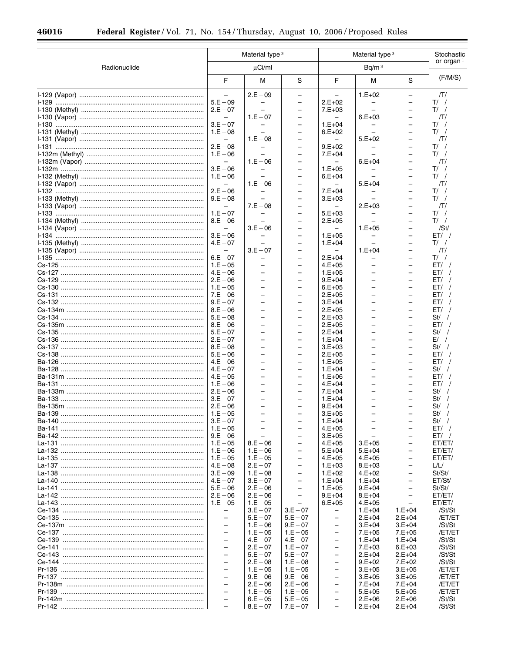|                                             | Material type <sup>3</sup><br>Material type <sup>3</sup> |                                |                                                      |                                                      | Stochastic               |                                                      |                    |
|---------------------------------------------|----------------------------------------------------------|--------------------------------|------------------------------------------------------|------------------------------------------------------|--------------------------|------------------------------------------------------|--------------------|
| Radionuclide                                |                                                          | $\mu$ Ci/ml                    |                                                      | Bq/m <sup>3</sup>                                    |                          |                                                      | or organ $1$       |
|                                             | F                                                        | M                              | S                                                    | F                                                    | M                        | S                                                    | (F/M/S)            |
|                                             |                                                          | $2.E - 09$                     |                                                      |                                                      | $1.E+02$                 | -                                                    | ЛΊ                 |
|                                             | $5.E - 09$<br>$2.E - 07$                                 |                                | $\overline{\phantom{m}}$<br>$\overline{\phantom{0}}$ | $2.E+02$<br>$7.E+03$                                 |                          | $\overline{\phantom{0}}$<br>$\qquad \qquad -$        | $T/$ /<br>$T/$ /   |
|                                             | $\qquad \qquad -$                                        | $1.E - 07$                     | $\overline{\phantom{0}}$                             |                                                      | $6.E+03$                 | $\overline{\phantom{0}}$                             | ЛΊ                 |
|                                             | $3.E - 07$                                               |                                | $\overline{\phantom{0}}$                             | $1.E+04$                                             |                          | $\overline{\phantom{0}}$                             | $T/$ /             |
|                                             | $1.E - 08$<br>$\overline{\phantom{0}}$                   | $1.E - 08$                     | $\overline{\phantom{0}}$<br>÷                        | $6.E+02$                                             | $5.E+02$                 | $\qquad \qquad -$<br>$\overline{\phantom{0}}$        | $T/$ /<br>ΠI       |
|                                             | $2.E - 08$                                               |                                | $\overline{\phantom{0}}$                             | $9.E+02$                                             |                          | $\overline{\phantom{0}}$                             | $T/$ /             |
|                                             | $1.E - 06$                                               |                                | -<br>$\overline{\phantom{0}}$                        | $7.E+04$                                             |                          | $\overline{\phantom{0}}$<br>$\overline{\phantom{0}}$ | $T/$ /             |
|                                             | $3.E - 06$                                               | $1.E - 06$                     | $\overline{\phantom{0}}$                             | $1.E+05$                                             | $6.E+04$                 | $\qquad \qquad -$                                    | ΠI<br>$T/$ /       |
|                                             | $1.E - 06$                                               |                                | $\qquad \qquad -$                                    | $6.E + 04$                                           |                          | $\overline{\phantom{0}}$                             | $T/$ /             |
|                                             | $2.E - 06$                                               | $1.E - 06$                     | $\overline{\phantom{0}}$<br>$\qquad \qquad -$        | $7.E+04$                                             | $5.E+04$                 | $\qquad \qquad -$<br>$\overline{\phantom{0}}$        | ΠI<br>$T/$ /       |
|                                             | $9.E - 08$                                               | $\equiv$                       | ÷                                                    | $3.E+03$                                             |                          | $\overline{\phantom{0}}$                             | $T/$ /             |
|                                             | $\overline{\phantom{0}}$                                 | $7.E - 08$                     | $\overline{\phantom{0}}$                             | $\qquad \qquad -$                                    | $2.E+03$                 | $\qquad \qquad -$                                    | ЛΊ                 |
|                                             | $1.E - 07$<br>$8.E - 06$                                 |                                | $\overline{\phantom{0}}$<br>$\overline{\phantom{m}}$ | $5.E+03$<br>$2.E+05$                                 |                          | $\overline{\phantom{0}}$<br>$\qquad \qquad -$        | $T/$ /<br>$T/$ /   |
|                                             | $\overline{\phantom{0}}$                                 | $3.E - 06$                     | ÷                                                    |                                                      | $1.E+05$                 | $\overline{\phantom{0}}$                             | /St/               |
|                                             | $3.E - 06$                                               |                                | $\overline{\phantom{0}}$                             | $1.E+05$                                             |                          | $\qquad \qquad -$                                    | ET/                |
|                                             | $4.E - 07$<br>$\qquad \qquad -$                          | $3.E - 07$                     | $\overline{\phantom{0}}$<br>$\overline{\phantom{0}}$ | $1.E+04$                                             | $1.E+04$                 | $\qquad \qquad -$<br>$\overline{\phantom{0}}$        | $T/$ /<br>$\pi$    |
|                                             | $6.E - 07$                                               |                                | $\qquad \qquad -$                                    | $2.E+04$                                             |                          | $\overline{\phantom{0}}$                             | $T/$ /             |
|                                             | $1.E - 05$                                               |                                | $\qquad \qquad -$                                    | $4.E+05$                                             |                          | $\overline{\phantom{0}}$                             | ET/                |
|                                             | $4.E - 06$<br>$2.E - 06$                                 | -<br>÷.                        | $\overline{\phantom{0}}$<br>$\overline{\phantom{0}}$ | $1.E+05$<br>$9.E+04$                                 | ÷                        | $\overline{\phantom{0}}$<br>$\overline{\phantom{0}}$ | ET/<br>ET/         |
|                                             | $1.E - 05$                                               |                                | ÷                                                    | $6.E+05$                                             |                          | $\overline{\phantom{0}}$                             | ET/                |
|                                             | $7.E - 06$                                               | $\overline{\phantom{0}}$       | $\overline{\phantom{0}}$                             | $2.E+05$                                             | −                        | $\qquad \qquad -$                                    | ET/                |
|                                             | $9.E - 07$<br>$8.E - 06$                                 | -                              | $\overline{\phantom{0}}$<br>$\overline{\phantom{0}}$ | $3.E+04$<br>$2.E+05$                                 | -                        | $\overline{\phantom{0}}$<br>$\overline{\phantom{0}}$ | ET/<br>ET/         |
|                                             | $5.E - 08$                                               |                                |                                                      | $2.E+03$                                             |                          | $\overline{\phantom{0}}$                             | $St/$ /            |
|                                             | $8.E - 06$                                               | $\overline{\phantom{0}}$       | $\overline{\phantom{0}}$                             | $2.E+05$                                             | -                        | $\qquad \qquad -$                                    | ET/                |
|                                             | $5.E - 07$<br>$2.E - 07$                                 | ÷.                             | ÷<br>$\qquad \qquad -$                               | $2.E+04$<br>$1.E+04$                                 | -                        | $\overline{\phantom{0}}$<br>$\overline{\phantom{0}}$ | $St/$ /<br>$E/$ /  |
|                                             | $8.E - 08$                                               |                                | $\qquad \qquad -$                                    | $3.E+03$                                             |                          | $\overline{\phantom{0}}$                             | $St/$ /            |
|                                             | $5.E - 06$<br>$4.E - 06$                                 | ÷.<br>$\overline{\phantom{0}}$ | $\overline{\phantom{0}}$<br>$\qquad \qquad -$        | $2.E+05$                                             | -<br>▃                   | $\overline{\phantom{0}}$<br>$\overline{\phantom{0}}$ | ET/<br>ET/         |
|                                             | $4.E - 07$                                               | ÷.                             | $\qquad \qquad -$                                    | $1.E+05$<br>$1.E+04$                                 | -                        | $\overline{\phantom{0}}$                             | $St/$ /            |
|                                             | $4.E - 05$                                               | $\overline{\phantom{0}}$       | $\overline{\phantom{0}}$                             | $1.E+06$                                             |                          | $\overline{\phantom{0}}$                             | ET/                |
|                                             | $1.E - 06$<br>$2.E - 06$                                 | $\overline{\phantom{0}}$       | $\overline{\phantom{0}}$                             | $4.E+04$<br>$7.E+04$                                 | -                        | $\qquad \qquad -$<br>$\overline{\phantom{0}}$        | ET/<br>$St/$ /     |
|                                             | $3.E - 07$                                               | $\overline{\phantom{0}}$       | $\overline{\phantom{0}}$                             | $1.E+04$                                             | $\overline{\phantom{0}}$ | $\overline{\phantom{0}}$                             | $St/$ /            |
|                                             |                                                          |                                |                                                      | $9.E+04$                                             |                          |                                                      | St/<br>$\sqrt{ }$  |
|                                             | $3.E - 07$                                               |                                |                                                      | $3.E+05$<br>$1.E+04$                                 |                          |                                                      | $St/$ /<br>$St/$ / |
|                                             |                                                          | $\equiv$                       | $\overline{\phantom{0}}$                             | $4.E+05$                                             |                          | $\overline{\phantom{0}}$                             | $ET/$ /            |
|                                             | $9.E - 06$                                               |                                |                                                      | $3.E+05$                                             |                          |                                                      | $ET/$ /            |
| La-131 ………………………………………………………………………   1.E-05 | $1.E - 06$                                               | $8.E - 06$<br>$1.E - 06$       | $\overline{\phantom{0}}$                             | $4.E+05$<br>$5.E+04$                                 | $3.E+05$<br>$5.E+04$     | $\equiv$<br>$\overline{\phantom{0}}$                 | ET/ET/<br>ET/ET/   |
|                                             |                                                          | $1.E - 05$                     | $\overline{\phantom{0}}$                             | $4.E+05$                                             | $4.E+05$                 | $\overline{\phantom{0}}$                             | ET/ET/             |
|                                             | $4.E - 08$                                               | $2.E - 07$                     | $\overline{\phantom{0}}$                             | $1.E+03$                                             | $8.E+03$                 | $\overline{\phantom{0}}$                             | L/L/               |
|                                             | $4.E - 07$                                               | $1.E - 08$<br>$3.E - 07$       | $\qquad \qquad -$<br>$\equiv$                        | $1.E+02$<br>$1.E + 04$                               | $4.E+02$<br>$1.E+04$     | $\overline{\phantom{0}}$<br>$\equiv$                 | St/St/<br>ET/St/   |
|                                             |                                                          | $2.E - 06$                     | $\qquad \qquad -$                                    | $1.E+05$                                             | $9.E+04$                 | $\qquad \qquad -$                                    | St/St/             |
|                                             | $\vert$ 2.E $-$ 06<br>$1.E - 05$                         | $2.E - 06$                     | $\overline{\phantom{0}}$                             | $9.E+04$                                             | $8.E+04$                 | $\overline{\phantom{0}}$                             | ET/ET/             |
|                                             | $\overline{\phantom{0}}$                                 | $1.E - 05$<br>$3.E - 07$       | $3.E - 07$                                           | $6.E+05$                                             | $4.E+05$<br>$1.E+04$     | $\overline{\phantom{0}}$<br>$1.E+04$                 | ET/ET/<br>/St/St   |
|                                             | $\overline{\phantom{0}}$                                 | $5.E - 07$                     | $5.E - 07$                                           | $\overline{\phantom{0}}$                             | $2.E+04$                 | $2.E+04$                                             | /ET/ET             |
|                                             | $\overline{\phantom{0}}$<br>$\overline{\phantom{0}}$     | $1.E - 06$<br>$1.E - 05$       | $9.E - 07$                                           | $\qquad \qquad -$<br>$\overline{\phantom{0}}$        | $3.E+04$                 | $3.E+04$                                             | /St/St             |
|                                             | $\overline{\phantom{0}}$                                 | $4.E - 07$                     | $1.E - 05$<br>$4.E - 07$                             | $\overline{\phantom{0}}$                             | $7.E+05$<br>$1.E+04$     | $7.E+05$<br>$1.E+04$                                 | /ET/ET<br>/St/St   |
|                                             | $\overline{\phantom{0}}$                                 | $2.E - 07$                     | $1.E - 07$                                           | $\overline{\phantom{0}}$                             | $7.E+03$                 | $6.E+03$                                             | /St/St             |
|                                             | $\overline{\phantom{0}}$<br>$\overline{\phantom{0}}$     | $5.E - 07$<br>$2.E - 08$       | $5.E - 07$<br>$1.E - 08$                             | $\overline{\phantom{0}}$<br>$\overline{\phantom{0}}$ | $2.E+04$<br>$9.E+02$     | $2.E+04$<br>$7.E+02$                                 | /St/St<br>/St/St   |
|                                             | $\overline{\phantom{0}}$                                 | $1.E - 05$                     | $1.E - 05$                                           | $\overline{\phantom{0}}$                             | $3.E+05$                 | $3.E+05$                                             | /ET/ET             |
|                                             | $\overline{\phantom{0}}$                                 | $9.E - 06$                     | $9.E - 06$                                           | $\overline{\phantom{0}}$                             | $3.E+05$                 | $3.E+05$                                             | /ET/ET             |
|                                             | $\overline{\phantom{0}}$<br>$\overline{\phantom{0}}$     | $2.E - 06$<br>$1.E - 05$       | $2.E - 06$<br>$1.E - 05$                             | $\equiv$<br>$\qquad \qquad -$                        | $7.E+04$<br>$5.E+05$     | $7.E+04$<br>$5.E+05$                                 | /ET/ET<br>/ET/ET   |
|                                             | $\overline{\phantom{0}}$                                 | $6.E - 05$                     | $5.E - 05$                                           | $\overline{\phantom{0}}$                             | $2.E+06$                 | $2.E+06$                                             | /St/St             |
|                                             | $\equiv$                                                 | $8.E - 07$                     | $7.E - 07$                                           | $\overline{\phantom{0}}$                             | $2.E+04$                 | $2.E+04$                                             | /St/St             |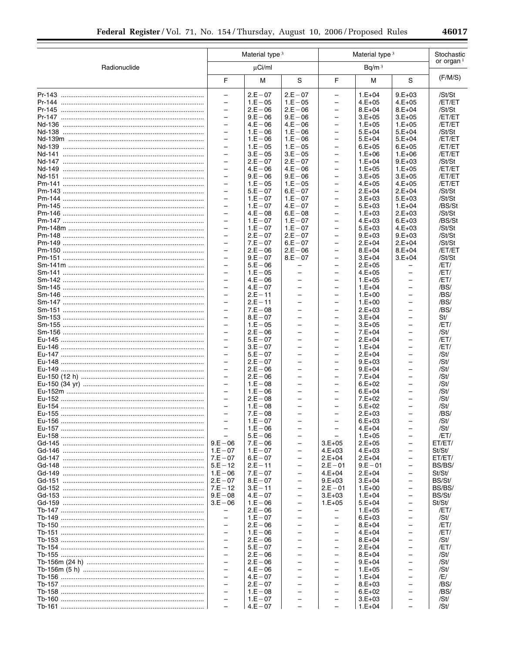|              | Material type <sup>3</sup>                           |                          |                                                      | Material type <sup>3</sup>                           | Stochastic             |                                                      |                  |
|--------------|------------------------------------------------------|--------------------------|------------------------------------------------------|------------------------------------------------------|------------------------|------------------------------------------------------|------------------|
| Radionuclide |                                                      | µCi/ml                   |                                                      |                                                      | Bq/m <sup>3</sup>      |                                                      | or organ $1$     |
|              | F                                                    | M                        | $\mathbf S$                                          | F                                                    | M                      | ${\mathsf S}$                                        | (F/M/S)          |
|              | $\overline{\phantom{0}}$                             | $2.E - 07$               | $2.E - 07$                                           | $\qquad \qquad -$                                    | $1.E+04$               | $9.E+03$                                             | /St/St           |
|              | $\overline{\phantom{0}}$                             | $1.E - 05$               | $1.E - 05$                                           | $\qquad \qquad -$                                    | $4.E+05$               | $4.E+05$                                             | /ET/ET           |
|              | $\overline{\phantom{0}}$<br>$\qquad \qquad -$        | $2.E - 06$<br>$9.E - 06$ | $2.E - 06$<br>$9.E - 06$                             | $\overline{\phantom{0}}$<br>$\qquad \qquad -$        | $8.E+04$<br>$3.E+05$   | $8.E+04$<br>$3.E+05$                                 | /St/St<br>/ET/ET |
|              | $\overline{a}$                                       | $4.E - 06$               | $4.E - 06$                                           | $\equiv$                                             | $1.E+05$               | $1.E+05$                                             | /ET/ET           |
|              | $\qquad \qquad -$                                    | $1.E - 06$               | $1.E - 06$                                           | -                                                    | $5.E+04$               | $5.E+04$                                             | /St/St           |
|              | $\overline{\phantom{0}}$                             | $1.E - 06$               | $1.E - 06$                                           | $\overline{\phantom{0}}$                             | $5.E+04$               | $5.E+04$                                             | /ET/ET           |
|              | $\overline{\phantom{0}}$                             | $1.E - 05$               | $1.E - 05$                                           | $\overline{\phantom{0}}$                             | $6.E+05$               | $6.E+05$                                             | /ET/ET           |
|              | $\overline{\phantom{0}}$<br>$\qquad \qquad -$        | $3.E - 05$<br>$2.E - 07$ | $3.E - 05$<br>$2.E - 07$                             | $\qquad \qquad -$<br>$\qquad \qquad -$               | $1.E+06$<br>$1.E+04$   | $1.E+06$<br>$9.E+03$                                 | /ET/ET<br>/St/St |
|              | $\overline{a}$                                       | $4.E - 06$               | $4.E - 06$                                           | $\equiv$                                             | $1.E+05$               | $1.E+05$                                             | /ET/ET           |
|              | $\qquad \qquad -$                                    | $9.E - 06$               | $9.E - 06$                                           | $\qquad \qquad -$                                    | $3.E+05$               | $3.E+05$                                             | /ET/ET           |
|              | $\overline{\phantom{0}}$                             | $1.E - 05$               | $1.E - 05$                                           | $\qquad \qquad -$                                    | $4.E+05$               | $4.E+05$                                             | /ET/ET           |
|              | $\overline{\phantom{0}}$<br>$\overline{\phantom{0}}$ | $5.E - 07$<br>$1.E - 07$ | $6.E - 07$<br>$1.E - 07$                             | $\overline{\phantom{0}}$<br>$\overline{\phantom{0}}$ | $2.E+04$<br>$3.E+03$   | $2.E+04$<br>$5.E+03$                                 | /St/St<br>/St/St |
|              | $\overline{\phantom{0}}$                             | $1.E - 07$               | $4.E - 07$                                           | -                                                    | $5.E+03$               | $1.E+04$                                             | /BS/St           |
|              | $\overline{a}$                                       | $4.E - 08$               | $6.E - 08$                                           | $\equiv$                                             | $1.E+03$               | $2.E+03$                                             | /St/St           |
|              | $\qquad \qquad -$                                    | $1.E - 07$               | $1.E - 07$                                           | $\qquad \qquad -$                                    | $4.E+03$               | $6.E+03$                                             | /BS/St           |
|              | $\qquad \qquad -$                                    | $1.E - 07$               | $1.E - 07$                                           | $\qquad \qquad -$                                    | $5.E+03$               | $4.E+03$                                             | /St/St           |
|              | $\overline{\phantom{0}}$<br>$\overline{a}$           | $2.E - 07$<br>$7.E - 07$ | $2.E - 07$<br>$6.E - 07$                             | $\overline{\phantom{0}}$<br>$\equiv$                 | $9.E+03$<br>$2.E+04$   | $9.E+03$<br>$2.E+04$                                 | /St/St<br>/St/St |
|              | $\overline{\phantom{0}}$                             | $2.E - 06$               | $2.E - 06$                                           | -                                                    | $8.E+04$               | $8.E+04$                                             | /ET/ET           |
|              | $\overline{\phantom{0}}$                             | $9.E - 07$               | $8.E - 07$                                           | $\overline{\phantom{0}}$                             | $3.E+04$               | $3.E+04$                                             | /St/St           |
|              | $\overline{\phantom{0}}$                             | $5.E - 06$               | -                                                    | $\overline{\phantom{0}}$                             | $2.E+05$               | $\overline{\phantom{0}}$                             | /ET/             |
|              | $\qquad \qquad -$<br>$\overline{\phantom{0}}$        | $1.E - 05$               | $\overline{\phantom{0}}$<br>$\overline{\phantom{0}}$ | $\qquad \qquad -$                                    | $4.E+05$               | $\qquad \qquad -$                                    | /ET/             |
|              | $\overline{a}$                                       | $4.E - 06$<br>$4.E - 07$ | $\overline{a}$                                       | $\qquad \qquad -$<br>$\overline{\phantom{0}}$        | $1.E+05$<br>$1.E+04$   | $\qquad \qquad -$<br>$\equiv$                        | /ET/<br>/BS/     |
|              | $\overline{\phantom{0}}$                             | $2.E - 11$               | $\qquad \qquad -$                                    | -                                                    | $1.E+00$               | -                                                    | /BS/             |
|              | $\overline{\phantom{0}}$                             | $2.E - 11$               | $\overline{\phantom{0}}$                             | $\qquad \qquad -$                                    | $1.E+00$               | $\overline{\phantom{0}}$                             | /BS/             |
|              | $\overline{\phantom{0}}$                             | $7.E - 08$               | $\equiv$                                             | $\overline{\phantom{0}}$                             | $2.E+03$               | $\overline{\phantom{0}}$                             | /BS/             |
|              | $\qquad \qquad -$<br>$\qquad \qquad -$               | $8.E - 07$<br>$1.E - 05$ | $\qquad \qquad -$<br>$\overline{\phantom{0}}$        | $\qquad \qquad -$<br>$\qquad \qquad -$               | $3.E+04$<br>$3.E+05$   | $\qquad \qquad -$<br>$\overline{\phantom{0}}$        | St/<br>/ET/      |
|              | $\overline{a}$                                       | $2.E - 06$               | $\equiv$                                             | $\overline{\phantom{0}}$                             | $7.E+04$               | $\equiv$                                             | /St/             |
|              | $\overline{\phantom{0}}$                             | $5.E - 07$               | $\overline{\phantom{0}}$                             | -                                                    | $2.E+04$               | -                                                    | /ET/             |
|              | $\qquad \qquad -$                                    | $3.E - 07$               | $\overline{\phantom{0}}$                             | $\qquad \qquad -$                                    | $1.E+04$               | $\qquad \qquad -$                                    | /ET/             |
|              | $\overline{\phantom{0}}$                             | $5.E - 07$               | $\equiv$                                             | $\overline{\phantom{0}}$                             | $2.E+04$               | $\overline{\phantom{0}}$                             | /St/             |
|              | $\overline{\phantom{0}}$<br>$\qquad \qquad -$        | $2.E - 07$<br>$2.E - 06$ | $\overline{\phantom{0}}$<br>$\overline{\phantom{0}}$ | $\qquad \qquad -$<br>-                               | $9.E+03$<br>$9.E + 04$ | $\overline{\phantom{0}}$<br>-                        | /St/<br>/St/     |
|              | $\overline{a}$                                       | $2.E - 06$               | $\equiv$                                             | $\overline{\phantom{0}}$                             | $7.E+04$               | $\overline{\phantom{0}}$                             | /St/             |
|              | $\qquad \qquad -$                                    | $1.E - 08$               | $\overline{\phantom{0}}$                             | $\qquad \qquad -$                                    | $6.E+02$               | $\overline{\phantom{0}}$                             | /St/             |
|              | $\overline{\phantom{0}}$                             | $1.E - 06$               | $\qquad \qquad -$                                    | $\overline{\phantom{0}}$                             | $6.E+04$               | $\overline{\phantom{0}}$                             | /St/             |
|              | $\overline{\phantom{0}}$<br>$\overline{a}$           | $2.E - 08$<br>$1.E - 08$ | $\overline{\phantom{0}}$<br>$\overline{\phantom{0}}$ | $\overline{\phantom{0}}$<br>$\overline{\phantom{0}}$ | $7.E+02$<br>$5.E+02$   | $\overline{\phantom{0}}$<br>$\overline{\phantom{0}}$ | /St/<br>/St/     |
|              |                                                      | $7.E - 08$               |                                                      |                                                      | $2.E+03$               |                                                      | /BS/             |
|              | $\overline{\phantom{0}}$                             | $1.E - 07$               |                                                      |                                                      | $6.E+03$               |                                                      | /St/             |
|              | $\overline{\phantom{0}}$                             | $1.E - 06$               | $\overline{\phantom{0}}$                             |                                                      | $4.E+04$               | $\overline{\phantom{0}}$                             | /St/             |
|              | $-$<br>$9.E - 06$                                    | $5.E - 06$               | $\qquad \qquad -$<br>$\overline{\phantom{0}}$        |                                                      | $1.E+05$               | $\overline{\phantom{0}}$<br>$\overline{\phantom{0}}$ | /ET/<br>ET/ET/   |
|              | $1.E - 07$                                           | $7.E - 06$<br>$1.E - 07$ | $\qquad \qquad -$                                    | $3.E+05$<br>$4.E+03$                                 | $2.E+05$<br>$4.E+03$   | $\overline{\phantom{0}}$                             | St/St/           |
|              | $7.E - 07$                                           | $6.E - 07$               | $\overline{\phantom{0}}$                             | $2.E+04$                                             | $2.E+04$               | -                                                    | ET/ET/           |
|              | $5.E - 12$                                           | $2.E - 11$               | $\qquad \qquad -$                                    | $2.E - 01$                                           | $9.E - 01$             | $\overline{\phantom{0}}$                             | BS/BS/           |
|              | $1.E - 06$<br>$2.E - 07$                             | $7.E - 07$               | $\overline{\phantom{0}}$<br>$\qquad \qquad -$        | $4.E+04$                                             | $2.E+04$               | $\overline{\phantom{0}}$<br>$\overline{\phantom{0}}$ | St/St/<br>BS/St/ |
|              | $7.E - 12$                                           | $8.E - 07$<br>$3.E - 11$ | $\overline{\phantom{0}}$                             | $9.E+03$<br>$2.E - 01$                               | $3.E+04$<br>$1.E+00$   | $\qquad \qquad -$                                    | BS/BS/           |
|              | $9.E - 08$                                           | $4.E - 07$               | $\equiv$                                             | $3.E+03$                                             | $1.E+04$               | $\equiv$                                             | BS/St/           |
|              | $3.E - 06$                                           | $1.E - 06$               | $\overline{\phantom{0}}$                             | $1.E+05$                                             | $5.E+04$               | -                                                    | St/St/           |
|              | -                                                    | $2.E - 06$               | $\qquad \qquad -$                                    | -                                                    | $1.E+05$               | $\qquad \qquad -$                                    | /ET/             |
|              | $\overline{a}$<br>$\overline{\phantom{0}}$           | $1.E - 07$<br>$2.E - 06$ | $\equiv$<br>$\overline{\phantom{0}}$                 | $\overline{\phantom{0}}$<br>$\overline{\phantom{0}}$ | $6.E+03$<br>$8.E+04$   | $\overline{\phantom{0}}$<br>$\qquad \qquad -$        | /St/<br>/ET/     |
|              | $\qquad \qquad -$                                    | $1.E - 06$               | $\qquad \qquad -$                                    | -                                                    | $4.E+04$               | -                                                    | /ET/             |
|              | $\overline{a}$                                       | $2.E - 06$               | $\equiv$                                             | $\equiv$                                             | $8.E+04$               | $\equiv$                                             | /St/             |
|              | $\overline{\phantom{0}}$                             | $5.E - 07$               | $\qquad \qquad -$                                    | -                                                    | $2.E+04$               | -                                                    | /ET/             |
|              | $\overline{\phantom{0}}$                             | $2.E - 06$               | $\overline{\phantom{0}}$                             | $\overline{\phantom{0}}$                             | $8.E+04$               | $\qquad \qquad -$                                    | /St/             |
|              | $\overline{a}$<br>$\overline{\phantom{0}}$           | $2.E - 06$<br>$4.E - 06$ | $\equiv$<br>$\overline{\phantom{0}}$                 | $\overline{\phantom{0}}$<br>$\overline{\phantom{0}}$ | $9.E+04$<br>$1.E+05$   | $\overline{\phantom{0}}$<br>$\qquad \qquad -$        | /St/<br>/St/     |
|              | $\qquad \qquad -$                                    | $4.E - 07$               | $\overline{\phantom{0}}$                             | -                                                    | $1.E+04$               | -                                                    | /E/              |
|              | $\overline{\phantom{0}}$                             | $2.E - 07$               | $\equiv$                                             | $\overline{\phantom{0}}$                             | $8.E+03$               | $\overline{\phantom{0}}$                             | /BS/             |
|              | $\overline{\phantom{0}}$                             | $1.E - 08$               | $\overline{\phantom{0}}$                             | -                                                    | $6.E+02$               | -                                                    | /BS/             |
|              | $\qquad \qquad -$<br>$\equiv$                        | $1.E - 07$<br>$4.E - 07$ | $\qquad \qquad -$<br>$\overline{\phantom{0}}$        | -<br>$\overline{\phantom{0}}$                        | $3.E+03$<br>$1.E+04$   | -<br>$\overline{\phantom{0}}$                        | /St/<br>/St/     |
|              |                                                      |                          |                                                      |                                                      |                        |                                                      |                  |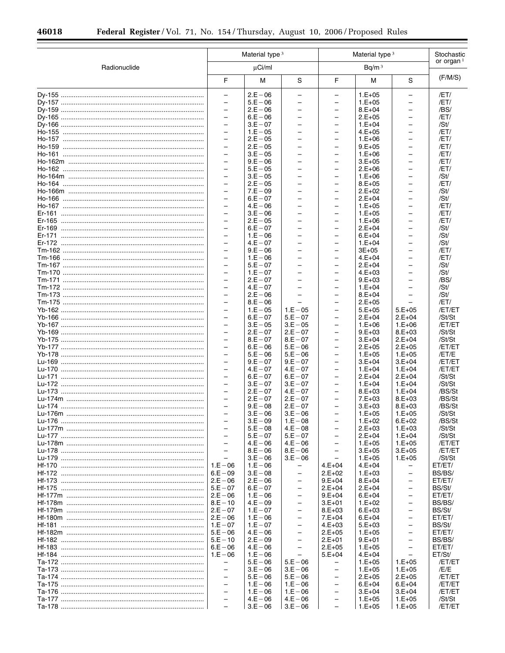|                                               |                                                      | Material type <sup>3</sup> |                          | Material type <sup>3</sup>                           |                      |                                                      | Stochastic            |  |
|-----------------------------------------------|------------------------------------------------------|----------------------------|--------------------------|------------------------------------------------------|----------------------|------------------------------------------------------|-----------------------|--|
| Radionuclide                                  |                                                      | $\mu$ Ci/ml                |                          | Bq/m <sup>3</sup>                                    |                      |                                                      | or organ <sup>1</sup> |  |
|                                               | F                                                    | М                          | S                        | F                                                    | M                    | S                                                    | (F/M/S)               |  |
|                                               | $\equiv$                                             | $2.E - 06$                 | $\overline{\phantom{0}}$ | -                                                    | $1.E+05$             | -                                                    | /ET/                  |  |
|                                               | $\overline{\phantom{0}}$                             | $5.E - 06$                 | $\overline{\phantom{0}}$ | $\overline{\phantom{0}}$                             | $1.E+05$             | $\overline{\phantom{0}}$                             | /ET/                  |  |
|                                               | $\equiv$                                             | $2.E - 06$                 | $\overline{\phantom{0}}$ | $\overline{\phantom{0}}$                             | $8.E+04$             | $\overline{\phantom{0}}$                             | /BS/                  |  |
|                                               | $\overline{\phantom{0}}$                             | $6.E - 06$                 |                          | $\overline{\phantom{0}}$                             | $2.E+05$             | $\overline{\phantom{0}}$                             | /ET/                  |  |
|                                               | $\overline{\phantom{0}}$<br>$\overline{\phantom{0}}$ | $3.E - 07$<br>$1.E - 05$   |                          | $\overline{\phantom{0}}$<br>$\overline{\phantom{0}}$ | $1.E+04$<br>$4.E+05$ | $\overline{\phantom{0}}$<br>$\overline{\phantom{0}}$ | /St/<br>/ET/          |  |
|                                               | $\equiv$                                             | $2.E - 05$                 |                          | $\overline{\phantom{0}}$                             | $1.E+06$             | $\overline{\phantom{0}}$                             | /ET/                  |  |
|                                               | $\overline{\phantom{0}}$                             | $2.E - 05$                 | $\overline{\phantom{0}}$ | $\overline{\phantom{0}}$                             | $9.E+05$             | $\overline{\phantom{0}}$                             | /ET/                  |  |
|                                               | $\equiv$                                             | $3.E - 05$                 |                          | $\overline{\phantom{0}}$                             | $1.E+06$             | $\overline{\phantom{0}}$                             | /ET/                  |  |
|                                               | $\overline{\phantom{0}}$                             | $9.E - 06$                 | $\qquad \qquad -$        | $\overline{\phantom{0}}$                             | $3.E+05$             | $\overline{\phantom{0}}$                             | /ET/                  |  |
|                                               |                                                      | $5.E - 05$                 |                          | $\overline{\phantom{0}}$                             | $2.E+06$             | $\overline{\phantom{0}}$                             | /ET/                  |  |
|                                               | $\overline{\phantom{0}}$                             | $3.E - 05$                 | $\overline{\phantom{0}}$ | $\overline{\phantom{0}}$                             | $1.E+06$             | $\overline{\phantom{0}}$                             | /St/                  |  |
|                                               | -                                                    | $2.E - 05$                 |                          | $\overline{\phantom{0}}$                             | $8.E+05$             | $\overline{\phantom{0}}$                             | /ET/                  |  |
|                                               | $\overline{\phantom{0}}$                             | $7.E - 09$                 |                          | $\overline{\phantom{0}}$                             | $2.E+02$             | $\overline{\phantom{0}}$                             | /St/                  |  |
|                                               | $\overline{\phantom{0}}$<br>$\overline{\phantom{0}}$ | $6.E - 07$<br>$4.E - 06$   | $\overline{\phantom{0}}$ | $\overline{\phantom{0}}$<br>$\overline{\phantom{0}}$ | $2.E+04$             | $\overline{\phantom{0}}$<br>$\overline{\phantom{0}}$ | /St/                  |  |
|                                               | $\equiv$                                             | $3.E - 06$                 |                          | $\overline{\phantom{0}}$                             | $1.E+05$<br>$1.E+05$ | $\overline{\phantom{0}}$                             | /ET/<br>/ET/          |  |
|                                               | $\overline{\phantom{0}}$                             | $2.E - 05$                 | $\qquad \qquad -$        | $\overline{\phantom{0}}$                             | $1.E+06$             | $\overline{\phantom{0}}$                             | /ET/                  |  |
|                                               | $\overline{\phantom{0}}$                             | $6.E - 07$                 |                          | $\overline{\phantom{0}}$                             | $2.E+04$             | $\overline{\phantom{0}}$                             | /St/                  |  |
|                                               | $\overline{\phantom{0}}$                             | $1.E - 06$                 | $\overline{\phantom{0}}$ | $\overline{\phantom{0}}$                             | $6.E+04$             | $\overline{\phantom{0}}$                             | /St/                  |  |
|                                               |                                                      | $4.E - 07$                 |                          | $\overline{\phantom{0}}$                             | $1.E+04$             | $\overline{\phantom{0}}$                             | /St/                  |  |
|                                               | $\overline{\phantom{0}}$                             | $9.E - 06$                 |                          | $\overline{\phantom{0}}$                             | $3E + 05$            | $\overline{\phantom{0}}$                             | /ET/                  |  |
|                                               | $\overline{\phantom{0}}$                             | $1.E - 06$                 |                          | $\overline{\phantom{0}}$                             | $4.E+04$             | $\overline{\phantom{0}}$                             | /ET/                  |  |
|                                               | $\equiv$                                             | $5.E - 07$                 | $\overline{\phantom{0}}$ | $\overline{\phantom{0}}$                             | $2.E+04$             | $\overline{\phantom{0}}$                             | /St/                  |  |
|                                               | $\equiv$<br>$\overline{\phantom{0}}$                 | $1.E - 07$<br>$2.E - 07$   |                          | $\overline{\phantom{0}}$                             | $4.E+03$<br>$9.E+03$ | $\overline{\phantom{0}}$                             | /St/                  |  |
|                                               | $\equiv$                                             | $4.E - 07$                 | $\overline{\phantom{0}}$ | $\overline{\phantom{0}}$<br>$\overline{\phantom{0}}$ | $1.E+04$             | $\overline{\phantom{0}}$<br>$\overline{\phantom{0}}$ | /BS/<br>/St/          |  |
|                                               | $\overline{\phantom{0}}$                             | $2.E - 06$                 | $\overline{\phantom{0}}$ | $\overline{\phantom{0}}$                             | $8.E+04$             | $\overline{\phantom{0}}$                             | /St/                  |  |
|                                               |                                                      | $8.E - 06$                 |                          | $\overline{\phantom{0}}$                             | $2.E+05$             |                                                      | /ET/                  |  |
|                                               | $\overline{\phantom{0}}$                             | $1.E - 05$                 | $1.E - 05$               | $\overline{\phantom{0}}$                             | $5.E+05$             | $5.E+05$                                             | /ET/ET                |  |
|                                               | $\overline{\phantom{0}}$                             | $6.E - 07$                 | $5.E - 07$               | $\overline{\phantom{0}}$                             | $2.E+04$             | $2.E+04$                                             | /St/St                |  |
|                                               | $\overline{\phantom{0}}$                             | $3.E - 05$                 | $3.E - 05$               | $\overline{\phantom{0}}$                             | $1.E+06$             | $1.E+06$                                             | /ET/ET                |  |
|                                               | $\equiv$                                             | $2.E - 07$                 | $2.E - 07$               | $\overline{\phantom{0}}$                             | $9.E+03$             | $8.E+03$                                             | /St/St                |  |
|                                               | $\overline{\phantom{0}}$<br>$\equiv$                 | $8.E - 07$<br>$6.E - 06$   | $8.E - 07$<br>$5.E - 06$ | $\overline{\phantom{0}}$<br>$\overline{\phantom{0}}$ | $3.E+04$<br>$2.E+05$ | $2.E+04$<br>$2.E+05$                                 | /St/St<br>/ET/ET      |  |
|                                               | $\overline{\phantom{0}}$                             | $5.E - 06$                 | $5.E - 06$               | $\overline{\phantom{0}}$                             | $1.E+05$             | $1.E+05$                                             | /ET/E                 |  |
|                                               |                                                      | $9.E - 07$                 | $9.E - 07$               | $\overline{\phantom{0}}$                             | $3.E+04$             | $3.E+04$                                             | /ET/ET                |  |
|                                               | $\equiv$                                             | $4.E - 07$                 | $4.E - 07$               | $\overline{\phantom{0}}$                             | $1.E+04$             | $1.E+04$                                             | /ET/ET                |  |
|                                               | $\overline{\phantom{0}}$                             | $6.E - 07$                 | $6.E - 07$               | $\overline{\phantom{0}}$                             | $2.E+04$             | $2.E+04$                                             | /St/St                |  |
|                                               | $\equiv$                                             | $3.E - 07$                 | $3.E - 07$               | $\overline{\phantom{0}}$                             | $1.E+04$             | $1.E+04$                                             | /St/St                |  |
|                                               | $\overline{\phantom{0}}$                             | $2.E - 07$                 | $4.E - 07$               | $\overline{\phantom{0}}$                             | $8.E+03$             | $1.E+04$                                             | /BS/St                |  |
|                                               | $\overline{\phantom{0}}$                             | $2.E - 07$                 | $2.E - 07$               | $\qquad \qquad -$                                    | $7.E+03$             | $8.E+03$                                             | /BS/St                |  |
|                                               |                                                      | $9.E - 08$<br>$3.E - 06$   | $2.E - 07$<br>$3.E - 06$ |                                                      | $3.E+03$             | $8.E+03$                                             | /BS/St<br>/St/St      |  |
| Lu-176m                                       |                                                      | $3.E - 09$                 | $1.E - 08$               |                                                      | $1.E+05$<br>$1.E+02$ | $1.E+05$<br>$6.E+02$                                 | /BS/St                |  |
|                                               | $\overline{\phantom{0}}$                             | $5.E - 08$                 | $4.E - 08$               | $\overline{\phantom{0}}$                             | $2.E+03$             | $1.E+03$                                             | /St/St                |  |
|                                               | $\overline{\phantom{0}}$                             | $5.E - 07$                 | $5.E - 07$               | $\overline{\phantom{0}}$                             | $2.E+04$             | $1.E+04$                                             | /St/St                |  |
|                                               | $\equiv$                                             | $4.E - 06$                 | $4.E - 06$               | $\overline{\phantom{0}}$                             | $1.E+05$             | $1.E+05$                                             | /ET/ET                |  |
|                                               | $\overline{\phantom{0}}$                             | $8.E - 06$                 | $8.E - 06$               |                                                      | $3.E+05$             | $3.E+05$                                             | /ET/ET                |  |
|                                               | $\equiv$                                             | $3.E - 06$                 | $3.E - 06$               |                                                      | $1.E+05$             | $1.E+05$                                             | /St/St                |  |
|                                               | $1.E - 06$                                           | $1.E - 06$                 | $\overline{\phantom{0}}$ | $4.E+04$                                             | $4.E+04$             |                                                      | ET/ET/                |  |
|                                               | $6.E - 09$<br>$\vert$ 2.E $-$ 06                     | $3.E - 08$                 | $\qquad \qquad -$        | $2.E+02$                                             | $1.E+03$             | -<br>$\overline{\phantom{0}}$                        | BS/BS/                |  |
|                                               |                                                      | $2.E - 06$<br>$6.E - 07$   | $\overline{\phantom{0}}$ | $9.E+04$<br>$2.E+04$                                 | $8.E+04$<br>$2.E+04$ | $\overline{\phantom{m}}$                             | ET/ET/<br>BS/St/      |  |
| Hf-177m ……………………………………………………………………   2.E – 06 |                                                      | $1.E - 06$                 | $\overline{\phantom{0}}$ | $9.E+04$                                             | $6.E+04$             | $\overline{\phantom{0}}$                             | ET/ET/                |  |
|                                               |                                                      | $4.E - 09$                 | $\overline{\phantom{0}}$ | $3.E+01$                                             | $1.E+02$             | $\overline{\phantom{m}}$                             | BS/BS/                |  |
|                                               |                                                      | $1.E - 07$                 | $\overline{\phantom{0}}$ | $8.E+03$                                             | $6.E+03$             | $\overline{\phantom{0}}$                             | BS/St/                |  |
|                                               |                                                      | $1.E - 06$                 | $\overline{\phantom{0}}$ | $7.E+04$                                             | $6.E+04$             | $\overline{\phantom{m}}$                             | ET/ET/                |  |
|                                               | $ 1.E - 07$                                          | $1.E - 07$                 | $\overline{\phantom{0}}$ | $4.E+03$                                             | $5.E+03$             | $\overline{\phantom{0}}$                             | BS/St/                |  |
|                                               |                                                      | $4.E - 06$                 | $\qquad \qquad -$        | $2.E+05$                                             | $1.E+05$             | $\qquad \qquad -$                                    | ET/ET/                |  |
|                                               | $5.E - 10$                                           | $2.E - 09$                 |                          | $2.E+01$                                             | $9.E+01$             | $\overline{\phantom{0}}$                             | BS/BS/                |  |
|                                               | $6.E - 06$<br>$1.E - 06$                             | $4.E - 06$<br>$1.E - 06$   | $\overline{\phantom{0}}$ | $2.E+05$                                             | $1.E+05$<br>$4.E+04$ | $\overline{\phantom{m}}$<br>$\overline{\phantom{0}}$ | ET/ET/<br>ET/St/      |  |
|                                               | $\overline{\phantom{0}}$                             | $5.E - 06$                 | $5.E - 06$               | $5.E+04$<br>$\overline{\phantom{0}}$                 | $1.E+05$             | $1.E+05$                                             | /ET/ET                |  |
|                                               | $\overline{\phantom{0}}$                             | $3.E - 06$                 | $3.E - 06$               | -                                                    | $1.E+05$             | $1.E+05$                                             | /E/E                  |  |
|                                               | $\overline{\phantom{0}}$                             | $5.E - 06$                 | $5.E - 06$               | $\qquad \qquad -$                                    | $2.E+05$             | $2.E+05$                                             | /ET/ET                |  |
|                                               | $\overline{\phantom{0}}$                             | $1.E - 06$                 | $1.E - 06$               | $\overline{\phantom{0}}$                             | $6.E+04$             | $6.E+04$                                             | /ET/ET                |  |
|                                               | $\overline{\phantom{0}}$                             | $1.E - 06$                 | $1.E - 06$               | $\qquad \qquad -$                                    | $3.E+04$             | $3.E+04$                                             | /ET/ET                |  |
|                                               | $\equiv$                                             | $4.E - 06$                 | $4.E - 06$               | $\overline{\phantom{0}}$                             | $1.E+05$             | $1.E+05$                                             | /St/St                |  |
|                                               | $\equiv$                                             | $3.E - 06$                 | $3.E - 06$               | $\qquad \qquad -$                                    | $1.E+05$             | $1.E+05$                                             | /ET/ET                |  |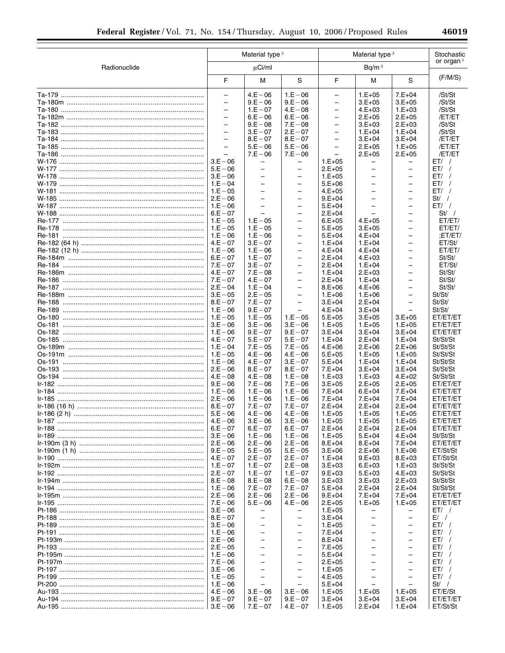|              |                                               | Material type <sup>3</sup>                           |                                                      |                                               | Material type <sup>3</sup>                           |                                                      | Stochastic           |
|--------------|-----------------------------------------------|------------------------------------------------------|------------------------------------------------------|-----------------------------------------------|------------------------------------------------------|------------------------------------------------------|----------------------|
| Radionuclide | $\mu$ Ci/ml                                   |                                                      | Bq/m <sup>3</sup>                                    |                                               |                                                      | or organ $1$                                         |                      |
|              | F                                             | M                                                    | S                                                    | F                                             | M                                                    | S                                                    | (F/M/S)              |
|              | $\overline{\phantom{0}}$                      | $4.E - 06$                                           | $1.E - 06$                                           | $\qquad \qquad -$                             | $1.E+05$                                             | $7.E+04$                                             | /St/St               |
|              | $\overline{\phantom{0}}$                      | $9.E - 06$                                           | $9.E - 06$                                           | $\qquad \qquad -$                             | $3.E+05$                                             | $3.E+05$                                             | /St/St               |
|              | $\overline{\phantom{0}}$                      | $1.E - 07$                                           | $4.E - 08$                                           | $\overline{\phantom{0}}$                      | $4.E+03$                                             | $1.E+03$                                             | /St/St               |
|              | $\qquad \qquad -$<br>$\overline{\phantom{0}}$ | $6.E - 06$                                           | $6.E - 06$                                           | -                                             | $2.E+05$                                             | $2.E+05$                                             | /ET/ET               |
|              | $\overline{a}$                                | $9.E - 08$<br>$3.E - 07$                             | $7.E - 08$<br>$2.E - 07$                             | $\qquad \qquad -$<br>$\overline{\phantom{0}}$ | $3.E+03$<br>$1.E+04$                                 | $2.E+03$<br>$1.E+04$                                 | /St/St<br>/St/St     |
|              | $\overline{\phantom{0}}$                      | $8.E - 07$                                           | $8.E - 07$                                           | $\overline{\phantom{m}}$                      | $3.E+04$                                             | $3.E+04$                                             | /ET/ET               |
|              | $\overline{\phantom{0}}$                      | $5.E - 06$                                           | $5.E - 06$                                           | $\overline{\phantom{0}}$                      | $2.E+05$                                             | $1.E+05$                                             | /ET/ET               |
|              | $\overline{\phantom{0}}$                      | $7.E - 06$                                           | $7.E - 06$                                           | $\qquad \qquad -$                             | $2.E+05$                                             | $2.E+05$                                             | /ET/ET               |
|              | $3.E - 06$                                    |                                                      | -                                                    | $1.E+05$                                      |                                                      |                                                      | $ET/$ /              |
|              | $5.E - 06$                                    | $\overline{\phantom{0}}$                             | $\qquad \qquad -$                                    | $2.E+05$                                      | $\overline{\phantom{0}}$                             | $\overline{\phantom{m}}$                             | ET/                  |
|              | $3.E - 06$                                    | -                                                    | -                                                    | $1.E+05$                                      | $\overline{\phantom{0}}$                             | $\overline{\phantom{m}}$                             | ET/                  |
|              | $1.E - 04$                                    | $\overline{\phantom{0}}$                             | $\overline{\phantom{0}}$                             | $5.E+06$                                      | $\overline{\phantom{0}}$                             | $\overline{\phantom{m}}$                             | ET/                  |
|              | $1.E - 05$                                    | $\overline{\phantom{0}}$                             | $\overline{\phantom{0}}$                             | $4.E+05$                                      | $\overline{\phantom{0}}$                             | $\overline{\phantom{m}}$                             | ET/                  |
|              | $2.E - 06$                                    | $\overline{\phantom{0}}$<br>$\overline{\phantom{0}}$ | $\qquad \qquad -$                                    | $9.E+04$                                      | $\overline{\phantom{0}}$<br>$\overline{\phantom{0}}$ | $\qquad \qquad -$                                    | St / /               |
|              | $1.E - 06$<br>$6.E - 07$                      | $\overline{\phantom{0}}$                             | $\overline{\phantom{0}}$<br>$\overline{\phantom{0}}$ | $5.E+04$<br>$2.E+04$                          |                                                      | $\overline{\phantom{m}}$<br>$\qquad \qquad -$        | $ET/$ /<br>St /      |
|              | $1.E - 05$                                    | $1.E - 05$                                           | -                                                    | $6.E+05$                                      | $4.E+05$                                             | $\qquad \qquad -$                                    | ET/ET/               |
|              | $1.E - 05$                                    | $1.E - 05$                                           | $\overline{\phantom{0}}$                             | $5.E+05$                                      | $3.E+05$                                             | $\overline{\phantom{m}}$                             | ET/ET/               |
|              | $1.E - 06$                                    | $1.E - 06$                                           | -                                                    | $5.E+04$                                      | $4.E+04$                                             | $\overline{\phantom{m}}$                             | ;ET/ET/              |
|              | $4.E - 07$                                    | $3.E - 07$                                           | $\overline{\phantom{0}}$                             | $1.E+04$                                      | $1.E+04$                                             | $\overline{\phantom{m}}$                             | ET/St/               |
|              | $1.E - 06$                                    | $1.E - 06$                                           | $\overline{\phantom{0}}$                             | $4.E+04$                                      | $4.E+04$                                             | $\qquad \qquad -$                                    | ET/ET/               |
|              | $6.E - 07$                                    | $1.E - 07$                                           | $\overline{\phantom{0}}$                             | $2.E+04$                                      | $4.E+03$                                             | $\qquad \qquad -$                                    | St/St/               |
|              | $7.E - 07$                                    | $3.E - 07$                                           | $\overline{\phantom{0}}$                             | $2.E+04$                                      | $1.E + 04$                                           | $\overline{\phantom{m}}$                             | ET/St/               |
|              | $4.E - 07$                                    | $7.E - 08$                                           | $\overline{\phantom{0}}$                             | $1.E+04$                                      | $2.E+03$                                             | $\qquad \qquad -$                                    | St/St/               |
|              | $7.E - 07$                                    | $4.E - 07$                                           | -                                                    | $2.E+04$                                      | $1.E+04$                                             | $\qquad \qquad -$                                    | St/St/               |
|              | $2.E - 04$<br>$3.E - 05$                      | $1.E - 04$<br>$2.E - 05$                             | $\overline{\phantom{0}}$                             | $8.E+06$                                      | $4.E+06$                                             | $\overline{\phantom{m}}$                             | St/St/<br>St/St/     |
|              | $8.E - 07$                                    | $7.E - 07$                                           | -<br>$\overline{\phantom{0}}$                        | $1.E+06$<br>$3.E+04$                          | $1.E+06$<br>$2.E+04$                                 | $\overline{\phantom{m}}$<br>$\overline{\phantom{0}}$ | St/St/               |
|              | $1.E - 06$                                    | $9.E - 07$                                           | $\overline{\phantom{0}}$                             | $4.E+04$                                      | $3.E+04$                                             | $\equiv$                                             | St/St/               |
|              | $1.E - 05$                                    | $1.E - 05$                                           | $1.E - 05$                                           | $5.E+05$                                      | $3.E+05$                                             | $3.E+05$                                             | ET/ET/ET             |
|              | $3.E - 06$                                    | $3.E - 06$                                           | $3.E - 06$                                           | $1.E+05$                                      | $1.E+05$                                             | $1.E+05$                                             | ET/ET/ET             |
|              | $1.E - 06$                                    | $9.E - 07$                                           | $9.E - 07$                                           | $3.E+04$                                      | $3.E+04$                                             | $3.E+04$                                             | ET/ET/ET             |
|              | $4.E - 07$                                    | $5.E - 07$                                           | $5.E - 07$                                           | $1.E+04$                                      | $2.E+04$                                             | $1.E+04$                                             | St/St/St             |
|              | $1.E - 04$                                    | $7.E - 05$                                           | $7.E - 05$                                           | $4.E+06$                                      | $2.E+06$                                             | $2.E+06$                                             | St/St/St             |
|              | $1.E - 05$                                    | $4.E - 06$                                           | $4.E - 06$                                           | $5.E+05$                                      | $1.E+05$                                             | $1.E+05$                                             | St/St/St             |
|              | $1.E - 06$                                    | $4.E - 07$                                           | $3.E - 07$                                           | $5.E+04$                                      | $1.E+04$                                             | $1.E+04$                                             | St/St/St             |
|              | $2.E - 06$<br>$4.E - 08$                      | $8.E - 07$<br>$4.E - 08$                             | $8.E - 07$<br>$1.E - 08$                             | $7.E+04$<br>$1.E+03$                          | $3.E+04$<br>$1.E+03$                                 | $3.E+04$<br>$4.E+02$                                 | St/St/St<br>St/St/St |
|              | $9.E - 06$                                    | $7.E - 06$                                           | $7.E - 06$                                           | $3.E+05$                                      | $2.E+05$                                             | $2.E+05$                                             | ET/ET/ET             |
| <u>1-184</u> | $1.E - 06$                                    | $1.E - 06$                                           | $1.E - 06$                                           | $7.E+04$                                      | $6.E+04$                                             | $7.E+04$                                             | ET/ET/ET             |
|              | $2.E - 06$                                    | $1.E - 06$                                           | $1.E - 06$                                           | $7.E+04$                                      | $7.E+04$                                             | $7.E+04$                                             | ET/ET/ET             |
|              | $8.E - 07$                                    | $7.E - 07$                                           | $7.E - 07$                                           | $2.E+04$                                      | $2.E+04$                                             | $2.E+04$                                             | ET/ET/ET             |
|              | $5.E - 06$                                    | $4.E - 06$                                           | $4.E - 06$                                           | $1.E+05$                                      | $1.E+05$                                             | $1.E+05$                                             | ET/ET/ET             |
|              | $4.E - 06$                                    | $3.E - 06$                                           | $3.E - 06$                                           | $1.E+05$                                      | $1.E+05$                                             | $1.E+05$                                             | ET/ET/ET             |
|              | $6.E - 07$                                    | $6.E - 07$                                           | $6.E - 07$                                           | $2.E+04$                                      | $2.E+04$                                             | $2.E+04$                                             | ET/ET/ET             |
|              | $3.E - 06$                                    | $1.E - 06$                                           | $1.E - 06$                                           | $1.E+05$                                      | $5.E+04$                                             | $4.E+04$                                             | St/St/St             |
|              | $2.E - 06$<br>$9.E - 05$                      | $2.E - 06$<br>$5.E - 05$                             | $2.E - 06$<br>$5.E - 05$                             | $8.E+04$<br>$3.E+06$                          | $8.E+04$<br>$2.E+06$                                 | $7.E+04$<br>$1.E+06$                                 | ET/ET/ET<br>ET/St/St |
|              | $4.E - 07$                                    | $2.E - 07$                                           | $2.E - 07$                                           | $1.E+04$                                      | $9.E+03$                                             | $8.E+03$                                             | ET/St/St             |
|              | $1.E - 07$                                    | $1.E - 07$                                           | $2.E - 08$                                           | $3.E+03$                                      | $6.E+03$                                             | $1.E+03$                                             | St/St/St             |
|              | $2.E - 07$                                    | $1.E - 07$                                           | $1.E - 07$                                           | $9.E+03$                                      | $5.E+03$                                             | $4.E+03$                                             | St/St/St             |
|              | $8.E - 08$                                    | $8.E - 08$                                           | $6.E - 08$                                           | $3.E+03$                                      | $3.E+03$                                             | $2.E+03$                                             | St/St/St             |
|              | $1.E - 06$                                    | $7.E - 07$                                           | $7.E - 07$                                           | $5.E+04$                                      | $2.E+04$                                             | $2.E+04$                                             | St/St/St             |
|              | $2.E - 06$                                    | $2.E - 06$                                           | $2.E - 06$                                           | $9.E+04$                                      | $7.E+04$                                             | $7.E+04$                                             | ET/ET/ET             |
|              | $7.E - 06$                                    | $5.E - 06$                                           | $4.E - 06$                                           | $2.E+05$                                      | $1.E+05$                                             | $1.E+05$                                             | ET/ET/ET             |
|              | $3.E - 06$                                    | -                                                    | -                                                    | $1.E+05$                                      | -                                                    |                                                      | ET/                  |
|              | $8.E - 07$<br>$3.E - 06$                      | $\overline{\phantom{0}}$<br>$\qquad \qquad -$        | $\overline{\phantom{0}}$<br>$\overline{\phantom{0}}$ | $3.E+04$                                      | $\overline{\phantom{0}}$<br>$\overline{\phantom{0}}$ | $\overline{\phantom{0}}$<br>$\overline{\phantom{m}}$ | $E/$ /<br>$ET/$ /    |
|              | $1.E - 06$                                    | -                                                    | $\overline{\phantom{0}}$                             | $1.E+05$<br>$7.E+04$                          | -                                                    | $\qquad \qquad -$                                    | ET/                  |
|              | $2.E - 06$                                    | $\overline{\phantom{0}}$                             | $\overline{\phantom{0}}$                             | $8.E+04$                                      | $\equiv$                                             | $\equiv$                                             | ET/                  |
|              | $2.E - 05$                                    | $\qquad \qquad -$                                    | -                                                    | $7.E+05$                                      | -                                                    | $\qquad \qquad -$                                    | ET/                  |
|              | $1.E - 06$                                    | $\overline{\phantom{0}}$                             | $\overline{\phantom{0}}$                             | $5.E+04$                                      | $\overline{\phantom{0}}$                             | $\overline{\phantom{m}}$                             | ET/                  |
|              | $7.E - 06$                                    | $\overline{\phantom{0}}$                             | $\overline{\phantom{0}}$                             | $2.E+05$                                      | $\overline{\phantom{0}}$                             | $\overline{\phantom{0}}$                             | ET/                  |
|              | $3.E - 06$                                    | $\qquad \qquad -$                                    | $\overline{\phantom{0}}$                             | $1.E+05$                                      | $\overline{\phantom{0}}$                             | $\qquad \qquad -$                                    | ET/                  |
|              | $1.E - 05$                                    | $\overline{\phantom{0}}$                             | $\overline{\phantom{0}}$                             | $4.E+05$                                      | $\equiv$                                             | $\overline{\phantom{0}}$                             | ET/                  |
|              | $1.E - 06$                                    | $\qquad \qquad -$                                    | $\qquad \qquad -$                                    | $5.E+04$                                      |                                                      | $\overline{\phantom{0}}$                             | St / /               |
|              | $4.E - 06$                                    | $3.E - 06$                                           | $3.E - 06$                                           | $1.E+05$                                      | $1.E+05$                                             | $1.E+05$                                             | ET/E/St              |
|              | $9.E - 07$                                    | $9.E - 07$<br>$7.E - 07$                             | $9.E - 07$<br>$4.E - 07$                             | $3.E+04$<br>$1.E+05$                          | $3.E+04$<br>$2.E+04$                                 | $3.E+04$<br>$1.E+04$                                 | ET/ET/ET<br>ET/St/St |
|              |                                               |                                                      |                                                      |                                               |                                                      |                                                      |                      |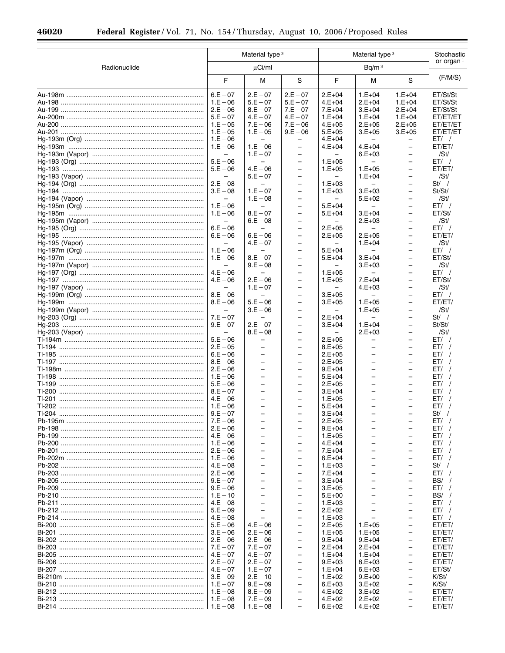|              |                                                             | Material type <sup>3</sup>                                                                                   |                                                                                                              |                                                              | Material type <sup>3</sup>                                                                                   |                                                                                                              | Stochastic                           |
|--------------|-------------------------------------------------------------|--------------------------------------------------------------------------------------------------------------|--------------------------------------------------------------------------------------------------------------|--------------------------------------------------------------|--------------------------------------------------------------------------------------------------------------|--------------------------------------------------------------------------------------------------------------|--------------------------------------|
| Radionuclide |                                                             | $\mu$ Ci/ml                                                                                                  |                                                                                                              |                                                              | Bq/m <sup>3</sup>                                                                                            |                                                                                                              | or organ $1$                         |
|              | F                                                           | M                                                                                                            | S                                                                                                            | F                                                            | М                                                                                                            | S                                                                                                            | (F/M/S)                              |
|              | $6.E - 07$<br>$1.E - 06$<br>$2.E - 06$                      | $2.E - 07$<br>$5.E - 07$<br>$8.E - 07$                                                                       | $2.E - 07$<br>$5.E - 07$<br>$7.E - 07$                                                                       | $2.E+04$<br>$4.E+04$<br>$7.E+04$                             | $1.E+04$<br>$2.E+04$<br>$3.E+04$                                                                             | $1.E+04$<br>$1.E+04$<br>$2.E+04$                                                                             | ET/St/St<br>ET/St/St<br>ET/St/St     |
|              | $5.E - 07$<br>$1.E - 05$<br>$1.E - 05$                      | $4.E - 07$<br>$7.E - 06$<br>$1.E - 05$                                                                       | $4.E - 07$<br>$7.E - 06$<br>$9.E - 06$                                                                       | $1.E+04$<br>$4.E+05$<br>$5.E+05$                             | $1.E+04$<br>$2.E+05$<br>$3.E+05$                                                                             | $1.E+04$<br>$2.E+05$<br>$3.E+05$                                                                             | ET/ET/ET<br>ET/ET/ET<br>ET/ET/ET     |
|              | $1.E - 06$<br>$1.E - 06$<br>$\qquad \qquad -$               | -<br>$1.E - 06$<br>$1.E - 07$                                                                                | $\overline{\phantom{0}}$<br>$\overline{\phantom{0}}$<br>$\overline{\phantom{0}}$                             | $4.E+04$<br>$4.E+04$                                         | $4.E+04$<br>$6.E+03$                                                                                         | $\overline{\phantom{0}}$<br>$\qquad \qquad -$<br>$\overline{\phantom{0}}$                                    | $ET/$ /<br>ET/ET/<br>/St/            |
|              | $5.E - 06$<br>$5.E - 06$<br>$\overline{\phantom{0}}$        | $\overline{\phantom{0}}$<br>$4.E - 06$<br>$5.E - 07$                                                         | $\qquad \qquad -$<br>$\overline{a}$<br>$\qquad \qquad -$                                                     | $1.E+05$<br>$1.E+05$<br>$\overline{\phantom{0}}$             | $1.E+05$<br>$1.E+04$                                                                                         | $\overline{\phantom{0}}$<br>$\overline{\phantom{0}}$<br>$\qquad \qquad -$                                    | $ET/$ /<br>ET/ET/<br>/St/            |
|              | $2.E - 08$<br>$3.E - 08$<br>$\equiv$                        | $1.E - 07$<br>$1.E - 08$<br>$\overline{\phantom{0}}$                                                         | $\overline{\phantom{0}}$<br>$\overline{\phantom{0}}$<br>$\overline{\phantom{0}}$<br>$\overline{\phantom{0}}$ | $1.E+03$<br>$1.E+03$<br>$\overline{\phantom{0}}$             | $3.E+03$<br>$5.E+02$<br>$\overline{\phantom{0}}$                                                             | $\overline{\phantom{0}}$<br>$\qquad \qquad -$<br>$\overline{\phantom{0}}$<br>$\overline{\phantom{0}}$        | $St/$ /<br>St/St/<br>/St/            |
|              | $1.E - 06$<br>$1.E - 06$<br>$\qquad \qquad -$<br>$6.E - 06$ | $8.E - 07$<br>$6.E - 08$<br>-                                                                                | $\overline{\phantom{0}}$<br>$\overline{\phantom{0}}$<br>$\overline{\phantom{0}}$                             | $5.E+04$<br>$5.E+04$<br>$\overline{\phantom{0}}$<br>$2.E+05$ | $3.E+04$<br>$2.E+03$                                                                                         | $\qquad \qquad -$<br>$\overline{\phantom{0}}$<br>$\overline{\phantom{0}}$                                    | ET/<br>ET/St/<br>/St/<br>$ET/$ /     |
|              | $6.E - 06$<br>$\overline{\phantom{0}}$<br>$1.E - 06$        | $6.E - 06$<br>$4.E - 07$                                                                                     | $\qquad \qquad -$<br>$\overline{\phantom{0}}$<br>$\qquad \qquad -$                                           | $2.E+05$<br>$\overline{\phantom{0}}$<br>$5.E+04$             | $2.E+05$<br>$1.E+04$                                                                                         | $\qquad \qquad -$<br>$\overline{\phantom{0}}$<br>$\overline{\phantom{0}}$                                    | ET/ET/<br>/St/<br>$ET/$ /            |
|              | $1.E - 06$<br>$\equiv$<br>$4.E - 06$                        | $8.E - 07$<br>$9.E - 08$<br>$\overline{\phantom{0}}$                                                         | $\overline{\phantom{0}}$<br>$\qquad \qquad -$<br>$\overline{\phantom{0}}$                                    | $5.E+04$<br>$\overline{\phantom{0}}$<br>$1.E+05$             | $3.E+04$<br>$3.E+03$                                                                                         | $\overline{\phantom{0}}$<br>$\overline{\phantom{0}}$<br>$\overline{\phantom{0}}$                             | ET/St/<br>/St/<br>ET/                |
|              | $4.E - 06$<br>$\qquad \qquad -$<br>$8.E - 06$               | $2.E - 06$<br>$1.E - 07$<br>$\overline{\phantom{0}}$                                                         | $\qquad \qquad -$<br>$\overline{\phantom{0}}$<br>$\overline{\phantom{0}}$                                    | $1.E+05$<br>$\overline{\phantom{0}}$<br>$3.E+05$             | $7.E+04$<br>$4.E+03$<br>$\overline{\phantom{0}}$                                                             | $\qquad \qquad -$<br>$\overline{\phantom{0}}$<br>$\overline{\phantom{0}}$                                    | ET/St/<br>/St/<br>$ET/$ /            |
|              | $8.E - 06$<br>$\overline{\phantom{0}}$<br>$7.E - 07$        | $5.E - 06$<br>$3.E - 06$<br>-                                                                                | $\overline{\phantom{0}}$<br>$\overline{\phantom{0}}$<br>$\overline{\phantom{0}}$                             | $3.E+05$<br>$\overline{\phantom{0}}$<br>$2.E+04$             | $1.E+05$<br>$1.E+05$                                                                                         | $\qquad \qquad -$<br>$\overline{\phantom{0}}$<br>$\overline{\phantom{0}}$                                    | ET/ET/<br>/St/<br>$St/$ /            |
|              | $9.E - 07$<br>$\qquad \qquad -$<br>$5.E - 06$               | $2.E - 07$<br>$8.E - 08$<br>$\overline{\phantom{0}}$                                                         | $\qquad \qquad -$<br>÷<br>$\overline{\phantom{0}}$                                                           | $3.E+04$<br>$2.E+05$                                         | $1.E+04$<br>$2.E+03$<br>$\qquad \qquad -$                                                                    | $\qquad \qquad -$<br>$\overline{\phantom{0}}$<br>$\overline{\phantom{0}}$                                    | St/St/<br>/St/<br>$ET/$ /            |
|              | $2.E - 05$<br>$6.E - 06$<br>$8.E - 06$<br>$2.E - 06$        | $\overline{\phantom{0}}$<br>$\overline{\phantom{0}}$<br>$\overline{\phantom{0}}$<br>$\overline{\phantom{0}}$ | $\overline{\phantom{0}}$<br>$\qquad \qquad -$<br>$\overline{\phantom{0}}$<br>$\overline{\phantom{0}}$        | $8.E+05$<br>$2.E+05$<br>$2.E+05$<br>$9.E+04$                 | $\overline{\phantom{0}}$<br>$\overline{\phantom{0}}$<br>$\overline{\phantom{0}}$<br>$\overline{\phantom{0}}$ | $\overline{\phantom{0}}$<br>$\overline{\phantom{0}}$<br>$\overline{\phantom{0}}$<br>$\overline{\phantom{0}}$ | $ET/$ /<br>ET/<br>ET/<br>ET/         |
|              | $1.E - 06$<br>$5.E - 06$<br>$8.E - 07$                      | $\overline{\phantom{0}}$<br>$\overline{\phantom{0}}$                                                         | $\overline{\phantom{0}}$<br>$\overline{\phantom{0}}$<br>$\overline{\phantom{0}}$                             | $5.E+04$<br>$2.E+05$<br>$3.E+04$                             | $\overline{\phantom{0}}$<br>$\overline{\phantom{0}}$                                                         | $\overline{\phantom{0}}$<br>$\overline{\phantom{0}}$<br>$\overline{\phantom{0}}$                             | ET/<br>ET/<br>ET/                    |
|              | $4.E - 06$<br>$1.E - 06$<br>$9.E - 07$                      | $\overline{\phantom{0}}$<br>$\overline{\phantom{0}}$                                                         | $\overline{\phantom{0}}$                                                                                     | $1.E+05$<br>$5.E+04$<br>$3.E+04$                             | $\overline{\phantom{0}}$<br>$\overline{\phantom{0}}$                                                         | $\overline{\phantom{0}}$<br>$\overline{\phantom{0}}$                                                         | ET/<br>$ET/$ /<br>St/                |
|              | $2.E - 06$                                                  | $\equiv$                                                                                                     | $\overline{\phantom{0}}$                                                                                     | $2.E+05$<br>$9.E+04$<br>$1.E+05$                             |                                                                                                              | $\qquad \qquad -$<br>$\overline{\phantom{0}}$                                                                | $ET/$ /<br>$ET/$ /<br>ET/            |
|              | ∣ 1.E – 06<br>$1.E - 06$                                    | $\overline{\phantom{0}}$<br>$\equiv$<br>$\overline{\phantom{0}}$                                             | $\overline{\phantom{0}}$<br>$\overline{\phantom{0}}$<br>$\overline{\phantom{0}}$                             | $4.E+04$<br>$7.E+04$<br>$6.E+04$                             |                                                                                                              | $\qquad \qquad -$<br>$\overline{\phantom{0}}$<br>$\qquad \qquad -$                                           | ET/<br>$ET/$ /<br>ET/                |
|              | $4.5 - 0.8$<br>$2.E - 06$<br>$9.E - 07$                     | $\overline{\phantom{0}}$<br>$\overline{\phantom{0}}$                                                         | $\overline{\phantom{0}}$<br>$\overline{\phantom{0}}$                                                         | $1.E+03$<br>$7.E+04$<br>$3.E+04$                             |                                                                                                              | $\overline{\phantom{0}}$<br>$\overline{\phantom{0}}$<br>$\overline{\phantom{0}}$                             | $St/$ /<br>ET/<br><b>BS/</b> /       |
|              | $9.E - 06$<br>$4.E - 08$                                    | $\overline{\phantom{0}}$<br>$\overline{\phantom{0}}$                                                         | $\overline{\phantom{0}}$<br>$\overline{\phantom{0}}$<br>$\overline{\phantom{0}}$                             | $3.E+05$<br>$5.E+00$<br>$1.E+03$                             | $\overline{\phantom{0}}$                                                                                     | $\overline{\phantom{0}}$<br>$\overline{\phantom{0}}$<br>$\overline{\phantom{0}}$                             | ET/<br>$BS/$ /<br>ET/                |
|              | $5.E - 09$<br>$4.E - 08$<br>$5.E - 06$                      | $\overline{\phantom{0}}$<br>$\overline{\phantom{0}}$<br>$4.E - 06$                                           | $\overline{\phantom{0}}$<br>$\overline{\phantom{0}}$<br>$\overline{\phantom{0}}$                             | $2.E+02$<br>$1.E+03$<br>$2.E+05$                             | $1.E+05$                                                                                                     | $\overline{\phantom{0}}$<br>$\qquad \qquad -$<br>$\overline{\phantom{0}}$                                    | $ET/$ /<br>$ET/$ /<br>ET/ET/         |
|              | $3.E - 06$<br>$2.E - 06$<br>$7.E - 07$<br>$4.E - 07$        | $2.E - 06$<br>$2.E - 06$<br>$7.E - 07$<br>$4.E - 07$                                                         | $\qquad \qquad -$<br>$\overline{a}$<br>$\qquad \qquad -$<br>$\overline{\phantom{0}}$                         | $1.E+05$<br>$9.E+04$<br>$2.E+04$<br>$1.E+04$                 | $1.E+05$<br>$9.E+04$<br>$2.E+04$<br>$1.E+04$                                                                 | $\qquad \qquad -$<br>$\overline{\phantom{0}}$<br>$\overline{\phantom{0}}$<br>$\overline{\phantom{0}}$        | ET/ET/<br>ET/ET/<br>ET/ET/<br>ET/ET/ |
|              | $2.E - 07$<br>$4.E - 07$<br>$3.E - 09$                      | $2.E - 07$<br>$1.E - 07$<br>$2.E - 10$                                                                       | $\overline{\phantom{0}}$<br>$\overline{\phantom{0}}$<br>$\overline{\phantom{0}}$                             | $9.E+03$<br>$1.E+04$<br>$1.E+02$                             | $8.E+03$<br>$6.E+03$<br>$9.E+00$                                                                             | $\overline{\phantom{m}}$<br>$\overline{\phantom{0}}$<br>$\overline{\phantom{m}}$                             | ET/ET/<br>ET/St/<br>K/St/            |
|              |                                                             | $9.E - 09$<br>$8.E - 09$<br>$7.E - 09$                                                                       | $\overline{\phantom{0}}$<br>$\overline{\phantom{0}}$<br>$\overline{\phantom{0}}$                             | $6.E+03$<br>$4.E+02$<br>$4.E+02$                             | $3.E+02$<br>$3.E+02$<br>$2.E+02$                                                                             | $\overline{\phantom{0}}$<br>$\overline{\phantom{0}}$<br>$\qquad \qquad -$                                    | K/St/<br>ET/ET/<br>ET/ET/            |
|              |                                                             | $1.E - 08$                                                                                                   |                                                                                                              | $6.E+02$                                                     | $4.E+02$                                                                                                     | $\overline{\phantom{0}}$                                                                                     | ET/ET/                               |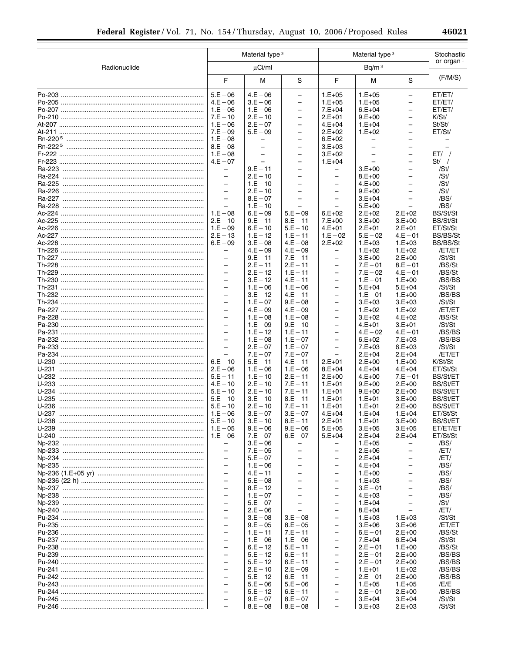|                    | Material type <sup>3</sup>                           |                                 | Material type <sup>3</sup>                           |                                                      |                                      | Stochastic<br>or organ $1$           |                                    |
|--------------------|------------------------------------------------------|---------------------------------|------------------------------------------------------|------------------------------------------------------|--------------------------------------|--------------------------------------|------------------------------------|
| Radionuclide       |                                                      | $\mu$ Ci/ml                     |                                                      |                                                      | Bq/m <sup>3</sup>                    |                                      |                                    |
|                    | F                                                    | M                               | S                                                    | F                                                    | M                                    | S                                    | (F/M/S)                            |
|                    | $5.E - 06$                                           | $4.E - 06$                      | $\bar{ }$                                            | $1.E+05$                                             | $1.E+05$                             | $\equiv$                             | ET/ET/                             |
|                    | $4.E - 06$                                           | $3.E - 06$                      | $\overline{\phantom{0}}$                             | $1.E+05$                                             | $1.E+05$                             | $\qquad \qquad -$                    | ET/ET/                             |
|                    | $1.E - 06$                                           | $1.E - 06$                      | $\overline{\phantom{0}}$                             | $7.E+04$                                             | $6.E+04$                             | $\qquad \qquad -$                    | ET/ET/                             |
|                    | $7.E - 10$                                           | $2.E - 10$                      | $\overline{\phantom{0}}$                             | $2.E+01$                                             | $9.E+00$                             | $\equiv$                             | K/St/                              |
|                    | $1.E - 06$<br>$7.E - 09$                             | $2.E - 07$                      | $\overline{\phantom{0}}$                             | $4.E+04$                                             | $1.E+04$                             | $\overline{\phantom{0}}$             | St/St/                             |
|                    | $1.E - 08$                                           | $5.E - 09$<br>$\qquad \qquad -$ | -<br>$\overline{\phantom{0}}$                        | $2.E+02$<br>$6.E+02$                                 | $1.E+02$<br>$\overline{\phantom{0}}$ | $\qquad \qquad -$<br>$\equiv$        | ET/St/                             |
|                    | $8.E - 08$                                           | $\overline{\phantom{0}}$        | $\overline{\phantom{0}}$                             | $3.E+03$                                             |                                      | $\overline{\phantom{0}}$             |                                    |
|                    | $1.E - 08$                                           | $\qquad \qquad -$               | $\equiv$                                             | $3.E+02$                                             | $\overline{\phantom{0}}$             | $\equiv$                             | ET/                                |
|                    | $4.E - 07$                                           | $\overline{\phantom{0}}$        | $\overline{a}$                                       | $1.E+04$                                             |                                      | $\equiv$                             | $St/$ /                            |
|                    | $\overline{\phantom{0}}$                             | $9.E - 11$                      | $\overline{\phantom{0}}$                             | -                                                    | $3.E+00$                             | $\equiv$                             | /St/                               |
|                    | $\overline{\phantom{0}}$                             | $2.E - 10$                      | $\equiv$                                             | $\overline{\phantom{0}}$                             | $8.E+00$                             | $\equiv$                             | /St/                               |
|                    | $\overline{\phantom{0}}$                             | $1.E - 10$                      | $\overline{a}$                                       | $\overline{\phantom{0}}$                             | $4.E+00$                             | $\overline{\phantom{m}}$             | /St/                               |
|                    | $\overline{\phantom{0}}$<br>$\overline{\phantom{0}}$ | $2.E - 10$<br>$8.E - 07$        | $\overline{\phantom{0}}$<br>$\overline{\phantom{0}}$ | $\qquad \qquad -$<br>$\equiv$                        | $9.E+00$<br>$3.E+04$                 | $\overline{\phantom{0}}$<br>$\equiv$ | /St/<br>/BS/                       |
|                    |                                                      | $1.E - 10$                      |                                                      |                                                      | $5.E+00$                             |                                      | /BS/                               |
|                    | $1.E - 08$                                           | $6.E - 09$                      | $5.E - 09$                                           | $6.E+02$                                             | $2.E+02$                             | $2.E+02$                             | BS/St/St                           |
|                    | $2.E - 10$                                           | $9.E - 11$                      | $8.E - 11$                                           | $7.E+00$                                             | $3.E+00$                             | $3.E+00$                             | BS/St/St                           |
|                    | $1.E - 09$                                           | $6.E - 10$                      | $5.E - 10$                                           | $4.E+01$                                             | $2.E+01$                             | $2.E+01$                             | ET/St/St                           |
|                    | $2.E - 13$                                           | $1.E - 12$                      | $1.E - 11$                                           | $1.E - 02$                                           | $5.E - 02$                           | $4.E - 01$                           | <b>BS/BS/St</b>                    |
|                    | $6.E - 09$                                           | $3.E - 08$                      | $4.E - 08$                                           | $2.E+02$                                             | $1.E+03$                             | $1.E+03$                             | <b>BS/BS/St</b>                    |
|                    |                                                      | $4.E - 09$                      | $4.E - 09$                                           |                                                      | $1.E+02$                             | $1.E+02$                             | /ET/ET                             |
|                    | $\overline{\phantom{0}}$<br>$\overline{\phantom{0}}$ | $9.E - 11$<br>$2.E - 11$        | $7.E - 11$<br>$2.E - 11$                             | $\overline{\phantom{0}}$<br>$\overline{\phantom{0}}$ | $3.E+00$<br>$7.E - 01$               | $2.E+00$<br>$8.E - 01$               | /St/St<br>/BS/St                   |
|                    | $\equiv$                                             | $2.E - 12$                      | $1.E - 11$                                           | $\overline{\phantom{0}}$                             | $7.E - 02$                           | $4.E - 01$                           | /BS/St                             |
|                    | $\overline{\phantom{0}}$                             | $3.E - 12$                      | $4.E - 11$                                           | $\equiv$                                             | $1.E - 01$                           | $1.E+00$                             | /BS/BS                             |
|                    | $\overline{\phantom{0}}$                             | $1.E - 06$                      | $1.E - 06$                                           | $\overline{\phantom{0}}$                             | $5.E+04$                             | $5.E+04$                             | /St/St                             |
|                    | $\overline{a}$                                       | $3.E - 12$                      | $4.E - 11$                                           | $\overline{\phantom{0}}$                             | $1.E - 01$                           | $1.E+00$                             | /BS/BS                             |
|                    | $\overline{a}$                                       | $1.E - 07$                      | $9.E - 08$                                           | $\equiv$                                             | $3.E+03$                             | $3.E+03$                             | /St/St                             |
|                    | $\overline{\phantom{0}}$                             | $4.E - 09$                      | $4.E - 09$                                           | $\qquad \qquad -$                                    | $1.E+02$                             | $1.E+02$                             | /ET/ET                             |
|                    | $\overline{\phantom{0}}$<br>$\overline{a}$           | $1.E - 08$                      | $1.E - 08$                                           | $\overline{\phantom{0}}$<br>$\overline{\phantom{0}}$ | $3.E+02$                             | $4.E+02$                             | /BS/St                             |
|                    | $\overline{a}$                                       | $1.E - 09$<br>$1.E - 12$        | $9.E - 10$<br>$1.E - 11$                             | $\overline{\phantom{0}}$                             | 4.E+01<br>$4.E - 02$                 | $3.E+01$<br>$4.E - 01$               | /St/St<br>/BS/BS                   |
|                    | $\overline{\phantom{0}}$                             | $1.E - 08$                      | $1.E - 07$                                           | $\overline{\phantom{0}}$                             | $6.E+02$                             | $7.E+03$                             | /BS/BS                             |
|                    | $\overline{\phantom{0}}$                             | $2.E - 07$                      | $1.E - 07$                                           | $\overline{\phantom{0}}$                             | $7.E+03$                             | $6.E+03$                             | /St/St                             |
|                    |                                                      | $7.E - 07$                      | $7.E - 07$                                           |                                                      | $2.E+04$                             | $2.E+04$                             | /ET/ET                             |
| U-230              | $6.E - 10$                                           | $5.E - 11$                      | $4.E - 11$                                           | $2.E+01$                                             | $2.E+00$                             | $1.E+00$                             | K/St/St                            |
| U-231              | $2.E - 06$                                           | $1.E - 06$                      | $1.E - 06$                                           | $8.E + 04$                                           | $4.E+04$                             | $4.E+04$                             | ET/St/St                           |
| U-232              | $5.E - 11$                                           | $1.E - 10$                      | $2.E - 11$                                           | $2.E+00$                                             | $4.E+00$                             | $7.E - 01$                           | <b>BS/St/ET</b>                    |
| $U-233$<br>$U-234$ | $4.E - 10$<br>$5.E - 10$                             | $2.E - 10$<br>$2.E - 10$        | $7.E - 11$<br>$7.E - 11$                             | $1.E+01$                                             | $9.E+00$                             | $2.E+00$<br>$2.E+00$                 | <b>BS/St/ET</b><br><b>BS/St/ET</b> |
| $U-235$            | $5.E - 10$                                           | $3.E - 10$                      | $8.E - 11$                                           | $1.E+01$<br>$1.E+01$                                 | $9.E+00$<br>$1.E+01$                 | $3.E+00$                             | <b>BS/St/ET</b>                    |
| U-236              | $5.E - 10$                                           | $2.E - 10$                      | $7.E - 11$                                           | $1.E+01$                                             | $1.E+01$                             | $2.E+00$                             | <b>BS/St/ET</b>                    |
|                    | $1.E - 06$                                           | $3.E - 07$                      | $3.E - 07$                                           | $4.E+04$                                             | $1.E+04$                             | $1.E+04$                             | ET/St/St                           |
| U-238              | $5.E - 10$                                           | $3.E - 10$                      | $8.E - 11$                                           | $2.E+01$                                             | $1.E+01$                             | $3.E+00$                             | <b>BS/St/ET</b>                    |
|                    | $1.E - 05$                                           | $9.E - 06$                      | $9.E - 06$                                           | $5.E+05$                                             | $3.E+05$                             | $3.E+05$                             | ET/ET/ET                           |
|                    |                                                      | $7.E - 07$                      | $6.E - 07$                                           | $5.E+04$                                             | $2.E+04$                             | $2.E+04$                             | ET/St/St                           |
|                    |                                                      | $3.E - 06$                      |                                                      |                                                      | $1.E+05$                             |                                      | /BS/                               |
|                    | $\equiv$<br>$\equiv$                                 | $7.E - 05$<br>$5.E - 07$        | $\overline{\phantom{0}}$                             | $\overline{\phantom{0}}$<br>$\overline{\phantom{0}}$ | $2.E+06$<br>$2.E+04$                 | $\qquad \qquad -$                    | /ET/<br>/ET/                       |
|                    | $\equiv$                                             | $1.E - 06$                      | $\equiv$                                             | $\overline{\phantom{0}}$                             | $4.E+04$                             | $\overline{\phantom{0}}$             | /BS/                               |
|                    | $\overline{a}$                                       | $4.E - 11$                      |                                                      | $-$                                                  | $1.E+00$                             | $\equiv$                             | /BS/                               |
|                    | $\equiv$                                             | $5.E - 08$                      | $\overline{\phantom{0}}$                             | $\overline{\phantom{0}}$                             | $1.E+03$                             | $\overline{\phantom{0}}$             | /BS/                               |
|                    | $\equiv$                                             | $8.E - 12$                      |                                                      | $\equiv$                                             | $3.E - 01$                           | $\overline{\phantom{0}}$             | /BS/                               |
|                    | $\overline{\phantom{0}}$                             | $1.E - 07$                      |                                                      | $\equiv$                                             | $4.E+03$                             | $\overline{\phantom{0}}$             | /BS/                               |
|                    | $\overline{\phantom{0}}$                             | $5.E - 07$                      |                                                      | $\overline{\phantom{0}}$                             | $1.E+04$                             |                                      | /St/                               |
|                    | $\equiv$<br>$\overline{\phantom{0}}$                 | $2.E - 06$                      | $\overline{\phantom{0}}$                             | $\overline{\phantom{0}}$<br>$\overline{\phantom{0}}$ | $8.E+04$                             |                                      | /ET/                               |
|                    | $\overline{\phantom{0}}$                             | $3.E - 08$<br>$9.E - 05$        | $3.E - 08$<br>$8.E - 05$                             | $\equiv$                                             | $1.E+03$<br>$3.E+06$                 | $1.E+03$<br>$3.E+06$                 | /St/St<br>/ET/ET                   |
|                    | $\overline{\phantom{0}}$                             | $1.E - 11$                      | $7.E - 11$                                           | $\overline{a}$                                       | $6.E - 01$                           | $2.E+00$                             | /BS/St                             |
|                    | $\equiv$                                             | $1.E - 06$                      | $1.E - 06$                                           | $\overline{\phantom{0}}$                             | $7.E+04$                             | $6.E+04$                             | /St/St                             |
|                    | $\overline{\phantom{0}}$                             | $6.E - 12$                      | $5.E - 11$                                           | $\equiv$                                             | $2.E - 01$                           | $1.E+00$                             | /BS/St                             |
|                    | $\equiv$                                             | $5.E - 12$                      | $6.E - 11$                                           | $\equiv$                                             | $2.E - 01$                           | $2.E+00$                             | /BS/BS                             |
|                    | $\overline{\phantom{0}}$                             | $5.E - 12$                      | $6.E - 11$                                           | $\overline{\phantom{0}}$                             | $2.E - 01$                           | $2.E+00$                             | /BS/BS                             |
|                    | $\equiv$                                             | $2.E - 10$                      | $2.E - 09$                                           | $\overline{\phantom{0}}$                             | $1.E+01$                             | $1.E+02$                             | /BS/BS                             |
|                    | $\overline{\phantom{0}}$                             | $5.E - 12$                      | $6.E - 11$                                           | $\overline{\phantom{0}}$                             | $2.E - 01$                           | $2.E+00$                             | /BS/BS                             |
|                    | $\equiv$<br>$\overline{\phantom{0}}$                 | $5.E - 06$                      | $5.E - 06$                                           | $\overline{\phantom{0}}$<br>$\equiv$                 | $1.E+05$                             | $1.E+05$                             | /E/E                               |
|                    | $\equiv$                                             | $5.E - 12$<br>$9.E - 07$        | $6.E - 11$<br>$8.E - 07$                             | $\qquad \qquad -$                                    | $2.E - 01$<br>$3.E+04$               | $2.E+00$<br>$3.E+04$                 | /BS/BS<br>/St/St                   |
|                    |                                                      | $8.E - 08$                      | $8.E - 08$                                           | $\qquad \qquad -$                                    | $3.E+03$                             | $2.E+03$                             | /St/St                             |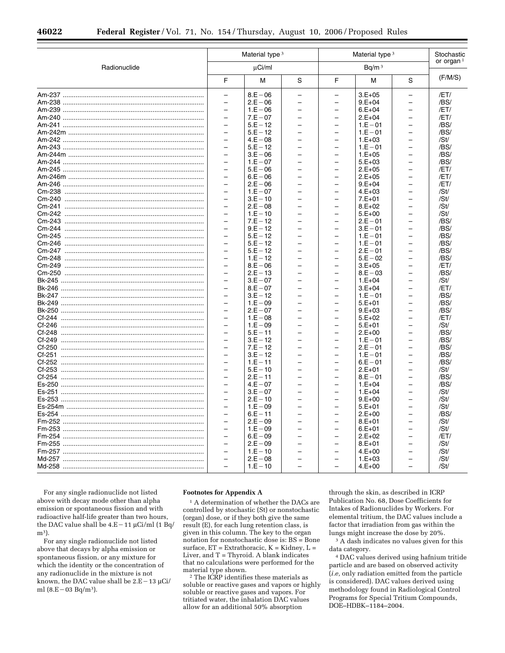|              |                          | Material type 3 |                          |                          | Material type 3   |                          | Stochastic<br>or organ $1$ |
|--------------|--------------------------|-----------------|--------------------------|--------------------------|-------------------|--------------------------|----------------------------|
| Radionuclide |                          | µCi/ml          |                          |                          | Bq/m <sup>3</sup> |                          |                            |
|              | F                        | М               | S                        | F                        | М                 | S                        | (F/M/S)                    |
|              | $\overline{\phantom{0}}$ | $8.E - 06$      |                          |                          | $3.E+05$          |                          | /ET/                       |
|              | $\overline{\phantom{0}}$ | $2.E - 06$      | $\overline{\phantom{0}}$ | $\overline{\phantom{0}}$ | $9.E + 04$        | $\overline{\phantom{0}}$ | /BS/                       |
|              | $\overline{\phantom{0}}$ | $1.E - 06$      | $\overline{\phantom{0}}$ | $\overline{\phantom{0}}$ | $6.E + 04$        | $\overline{\phantom{0}}$ | /ET/                       |
|              | $\overline{\phantom{0}}$ | $7.E - 07$      | ÷                        | $\overline{\phantom{0}}$ | $2.E+04$          | $\overline{a}$           | /ET/                       |
|              |                          | $5.E - 12$      |                          |                          | $1.E - 01$        |                          | /BS/                       |
|              | $\overline{\phantom{0}}$ | $5.E - 12$      |                          | $\overline{\phantom{0}}$ | $1.E - 01$        |                          | /BS/                       |
|              | $\overline{\phantom{0}}$ | $4.E - 08$      | $\overline{\phantom{0}}$ | $\overline{\phantom{0}}$ | $1.E+03$          | $\overline{\phantom{0}}$ | /St/                       |
|              | ÷                        | $5.E - 12$      |                          | ÷                        | $1.E - 01$        | $\overline{\phantom{0}}$ | /BS/                       |
|              | $\overline{\phantom{0}}$ | $3.E - 06$      | ÷                        | $\overline{\phantom{0}}$ | $1.E+05$          | $\overline{a}$           | /BS/                       |
|              |                          | $1.E - 07$      |                          | $\overline{\phantom{0}}$ | $5.E+03$          |                          | /BS/                       |
|              |                          | $5.E - 06$      |                          |                          | $2.E+05$          |                          | /ET/                       |
|              | $\overline{\phantom{0}}$ | $6.E - 06$      | $\overline{\phantom{0}}$ | $\overline{\phantom{0}}$ | $2.E+05$          | $\overline{\phantom{0}}$ | /ET/                       |
|              | $\overline{\phantom{0}}$ | $2.E - 06$      | $\equiv$                 | ÷                        | $9.E+04$          | $\overline{a}$           | /ET/                       |
|              | $\overline{\phantom{0}}$ | $1.E - 07$      | ÷                        | $\overline{\phantom{0}}$ | $4.E+03$          | $\overline{a}$           | /St/                       |
|              |                          | $3.E - 10$      |                          |                          | $7.E+01$          |                          | /St/                       |
|              | $\overline{\phantom{0}}$ | $2.E - 08$      |                          | $\overline{\phantom{0}}$ | $8.E+02$          |                          | /St/                       |
|              | $\overline{\phantom{0}}$ | $1.E - 10$      |                          | $\overline{\phantom{0}}$ | $5.E+00$          | $\overline{\phantom{0}}$ | /St/                       |
|              | $\overline{\phantom{0}}$ | $7.E - 12$      |                          | ÷                        | $2.E - 01$        | $\overline{\phantom{0}}$ | /BS/                       |
|              | $\overline{\phantom{0}}$ | $9.E - 12$      |                          | $\overline{\phantom{0}}$ | $3.E - 01$        | $\overline{\phantom{0}}$ | /BS/                       |
|              |                          | $5.E - 12$      |                          |                          | $1.E - 01$        |                          | /BS/                       |
|              |                          | $5.E - 12$      |                          |                          | $1.E - 01$        |                          | /BS/                       |
|              | $\overline{\phantom{0}}$ | $5.E - 12$      | $\overline{\phantom{0}}$ | $\overline{\phantom{0}}$ | $2.E - 01$        | $\overline{\phantom{0}}$ | /BS/                       |
|              | $\overline{\phantom{0}}$ | $1.E - 12$      | $\equiv$                 | $\overline{a}$           | $5.E - 02$        | $\overline{\phantom{0}}$ | /BS/                       |
|              | $\overline{\phantom{0}}$ | $8.E - 06$      | ÷                        | $\overline{\phantom{0}}$ | $3.E+05$          | $\overline{\phantom{0}}$ | /ET/                       |
|              |                          | $2.E - 13$      |                          |                          | $8.E - 03$        |                          | /BS/                       |
|              | $\overline{\phantom{0}}$ | $3.E - 07$      |                          | $\overline{\phantom{0}}$ | $1.E+04$          | $\overline{\phantom{0}}$ | /St/                       |
|              | $\overline{\phantom{0}}$ | $8.E - 07$      | $\overline{\phantom{0}}$ | $\overline{a}$           | $3.E+04$          | $\overline{\phantom{0}}$ | /ET/                       |
|              | $\overline{\phantom{0}}$ | $3.E - 12$      | $\overline{\phantom{0}}$ | $\overline{\phantom{0}}$ | $1.E - 01$        | $\overline{\phantom{0}}$ | /BS/                       |
|              | $\overline{\phantom{0}}$ | $1.E - 09$      | ÷                        | $\overline{\phantom{0}}$ | $5.E+01$          | $\overline{\phantom{0}}$ | /BS/                       |
|              |                          | $2.E - 07$      |                          | $\overline{\phantom{0}}$ | $9.E+03$          |                          | /BS/                       |
|              | $\overline{\phantom{0}}$ | $1.E - 08$      |                          | $\overline{\phantom{0}}$ | $5.E+02$          |                          | /ET/                       |
|              | $\overline{\phantom{0}}$ | $1.E - 09$      | ÷                        | $\overline{\phantom{0}}$ | $5.E+01$          | $\overline{\phantom{0}}$ | /St/                       |
|              | $\overline{\phantom{0}}$ | $5.E - 11$      | $\equiv$                 | $\overline{a}$           | $2.E+00$          | $\overline{a}$           | /BS/                       |
|              | $\overline{a}$           | $3.E - 12$      | $\overline{\phantom{0}}$ | $\overline{a}$           | $1.E - 01$        | $\overline{a}$           | /BS/                       |
|              |                          | $7.E - 12$      |                          |                          | $2.E - 01$        |                          | /BS/                       |
|              | $\overline{\phantom{0}}$ | $3.E - 12$      |                          | $\overline{a}$           | $1.E - 01$        | $\overline{a}$           | /BS/                       |
|              | $\overline{\phantom{0}}$ | $1.E - 11$      | $\overline{\phantom{0}}$ | $\overline{\phantom{0}}$ | $6.E - 01$        | $\overline{\phantom{0}}$ | /BS/                       |
|              | $\equiv$                 | $5.E - 10$      |                          | $\equiv$                 | $2.E+01$          | $\equiv$                 | /St/                       |
|              | $\overline{\phantom{0}}$ | $2.E - 11$      | $\equiv$                 | $\overline{\phantom{0}}$ | $8.E - 01$        | ÷                        | /BS/                       |
|              |                          | $4.E - 07$      |                          | $\overline{\phantom{0}}$ | $1.E+04$          |                          | /BS/                       |
|              |                          | $3.E - 07$      |                          |                          | $1.E+04$          |                          | /St/                       |
|              | $\overline{\phantom{0}}$ | $2.E - 10$      | $\overline{\phantom{0}}$ | $\overline{\phantom{0}}$ | $9.E+00$          | $\overline{\phantom{0}}$ | /St/                       |
|              | $\overline{\phantom{0}}$ | $1.E - 09$      | $\equiv$                 | ÷                        | $5.E+01$          | ÷                        | /St/                       |
|              | $\overline{\phantom{0}}$ | $6.E - 11$      | $\overline{a}$           | $\overline{\phantom{0}}$ | $2.E+00$          | $\overline{\phantom{0}}$ | /BS/                       |
|              |                          | $2.E - 09$      |                          |                          | $8.E+01$          |                          | /St/                       |
|              | $\overline{a}$           | $1.E - 09$      | $\overline{a}$           | $\overline{a}$           | $6.E+01$          | $\overline{a}$           | /St/                       |
|              | $\overline{\phantom{0}}$ | $6.E - 09$      | $\overline{\phantom{0}}$ | $\overline{\phantom{0}}$ | $2.E+02$          |                          | /ET/                       |
|              | $\overline{\phantom{0}}$ | $2.E - 09$      | $\equiv$                 | $\equiv$                 | $8.E+01$          | $\equiv$                 | /St/                       |
|              | $\overline{\phantom{0}}$ | $1.E - 10$      | $\overline{\phantom{0}}$ | $\overline{\phantom{0}}$ | $4.E+00$          | $\overline{\phantom{0}}$ | /St/                       |
|              |                          | $2.E - 08$      |                          |                          | $1.E+03$          |                          | /St/                       |
|              |                          | $1.E - 10$      |                          |                          | $4.E+00$          |                          | /St/                       |

For any single radionuclide not listed above with decay mode other than alpha emission or spontaneous fission and with radioactive half-life greater than two hours, the DAC value shall be  $4.E-11 \mu Ci/ml$  (1 Bq/ m3).

For any single radionuclide not listed above that decays by alpha emission or spontaneous fission, or any mixture for which the identity or the concentration of any radionuclide in the mixture is not known, the DAC value shall be  $2.E-13 \mu Ci/$ ml  $(8.E - 03 Bq/m^3)$ .

#### **Footnotes for Appendix A**

<sup>1</sup> A determination of whether the DACs are controlled by stochastic (St) or nonstochastic (organ) dose, or if they both give the same result (E), for each lung retention class, is given in this column. The key to the organ notation for nonstochastic dose is: BS = Bone surface,  $ET = Extrahoracic, K = Kidney, L =$ Liver, and  $T = Thvroid$ . A blank indicates that no calculations were performed for the material type shown.

2 The ICRP identifies these materials as soluble or reactive gases and vapors or highly soluble or reactive gases and vapors. For tritiated water, the inhalation DAC values allow for an additional 50% absorption

through the skin, as described in ICRP Publication No. 68, Dose Coefficients for Intakes of Radionuclides by Workers. For elemental tritium, the DAC values include a factor that irradiation from gas within the lungs might increase the dose by 20%.

3 A dash indicates no values given for this data category.

4 DAC values derived using hafnium tritide particle and are based on observed activity (*i.e,* only radiation emitted from the particle is considered). DAC values derived using methodology found in Radiological Control Programs for Special Tritium Compounds, DOE–HDBK–1184–2004.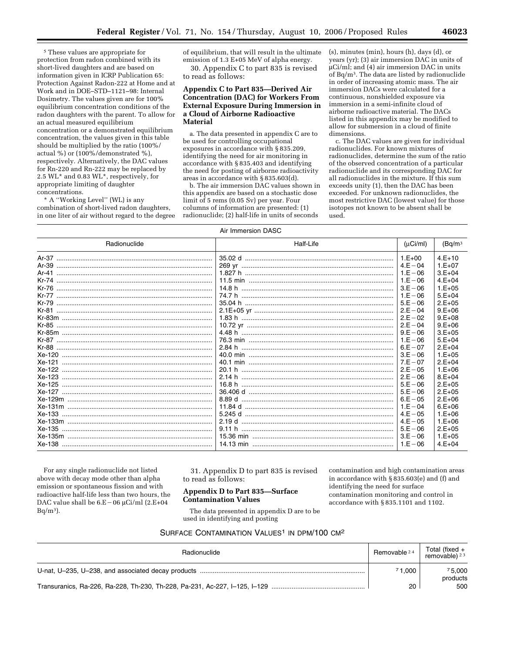5 These values are appropriate for protection from radon combined with its short-lived daughters and are based on information given in ICRP Publication 65: Protection Against Radon-222 at Home and at Work and in DOE–STD–1121–98: Internal Dosimetry. The values given are for 100% equilibrium concentration conditions of the radon daughters with the parent. To allow for an actual measured equilibrium concentration or a demonstrated equilibrium concentration, the values given in this table should be multiplied by the ratio (100%/ actual %) or (100%/demonstrated %), respectively. Alternatively, the DAC values for Rn-220 and Rn-222 may be replaced by 2.5 WL\* and 0.83 WL\*, respectively, for appropriate limiting of daughter concentrations.

\* A ''Working Level'' (WL) is any combination of short-lived radon daughters, in one liter of air without regard to the degree of equilibrium, that will result in the ultimate emission of 1.3 E+05 MeV of alpha energy. 30. Appendix C to part 835 is revised

to read as follows:

## **Appendix C to Part 835—Derived Air Concentration (DAC) for Workers From External Exposure During Immersion in a Cloud of Airborne Radioactive Material**

a. The data presented in appendix C are to be used for controlling occupational exposures in accordance with § 835.209, identifying the need for air monitoring in accordance with § 835.403 and identifying the need for posting of airborne radioactivity areas in accordance with § 835.603(d).

b. The air immersion DAC values shown in this appendix are based on a stochastic dose limit of 5 rems (0.05 Sv) per year. Four columns of information are presented: (1) radionuclide; (2) half-life in units of seconds

(s), minutes (min), hours (h), days (d), or years (yr); (3) air immersion DAC in units of µCi/ml; and (4) air immersion DAC in units of Bq/m3. The data are listed by radionuclide in order of increasing atomic mass. The air immersion DACs were calculated for a continuous, nonshielded exposure via immersion in a semi-infinite cloud of airborne radioactive material. The DACs listed in this appendix may be modified to allow for submersion in a cloud of finite dimensions.

c. The DAC values are given for individual radionuclides. For known mixtures of radionuclides, determine the sum of the ratio of the observed concentration of a particular radionuclide and its corresponding DAC for all radionuclides in the mixture. If this sum exceeds unity (1), then the DAC has been exceeded. For unknown radionuclides, the most restrictive DAC (lowest value) for those isotopes not known to be absent shall be used.

#### Air Immersion DASC

| Radionuclide | Half-Life | (uCi/ml)    | (Bq/m <sup>3</sup> ) |
|--------------|-----------|-------------|----------------------|
|              |           | $1.E+00$    | $4.E+10$             |
|              |           | $4. F - 04$ | $1.E+07$             |
| Ar-41        |           | $1.E - 06$  | $3.E + 04$           |
|              |           | $1.E - 06$  | $4.E+04$             |
|              | 14.8 h    | $3.E - 06$  | $1.E+05$             |
|              |           | $1.E - 06$  | $5.E+04$             |
|              |           | $5.E - 06$  | $2.E+05$             |
|              |           | $2.E - 04$  | $9.E+06$             |
|              | 1.83 h    | $2.E - 02$  | $9.E+08$             |
|              |           | $2.E - 04$  | $9.E+06$             |
|              |           | $9.E - 06$  | $3.E+05$             |
|              |           | $1.E - 06$  | $5.E+04$             |
|              | 2.84 h    | $6.E - 07$  | $2.E+04$             |
|              |           | $3.E - 06$  | $1.E+05$             |
|              |           | $7.E - 07$  | $2.E+04$             |
|              |           | $2.E - 05$  | $1.E+06$             |
|              |           | $2.E - 06$  | $8.E + 04$           |
|              |           | $5.E - 06$  | $2.E+05$             |
|              |           | $5.E - 06$  | $2.E+05$             |
|              |           | $6.E - 05$  | $2.E+06$             |
|              |           | $1. F - 04$ | $6.E+06$             |
|              |           | $4.E - 05$  | $1.E+06$             |
|              |           | $4.E - 05$  | $1.E+06$             |
|              | 9.11 h    | $5.E - 06$  | $2.E+05$             |
|              |           | $3.E - 06$  | $1.E+05$             |
|              |           | $1.E - 06$  | $4.E+04$             |

For any single radionuclide not listed above with decay mode other than alpha emission or spontaneous fission and with radioactive half-life less than two hours, the DAC value shall be  $6.E-06 \mu Ci/ml$  (2.E+04  $Bq/m^3$ ).

31. Appendix D to part 835 is revised to read as follows:

## **Appendix D to Part 835—Surface Contamination Values**

contamination and high contamination areas in accordance with § 835.603(e) and (f) and identifying the need for surface contamination monitoring and control in accordance with § 835.1101 and 1102.

The data presented in appendix D are to be used in identifying and posting

## SURFACE CONTAMINATION VALUES<sup>1</sup> IN DPM/100 CM<sup>2</sup>

| Radionuclide | Removable 24 | Total (fixed $+$<br>removable) $23$ |
|--------------|--------------|-------------------------------------|
|              | 71.000       | 75,000<br>products                  |
|              | 20           | 500                                 |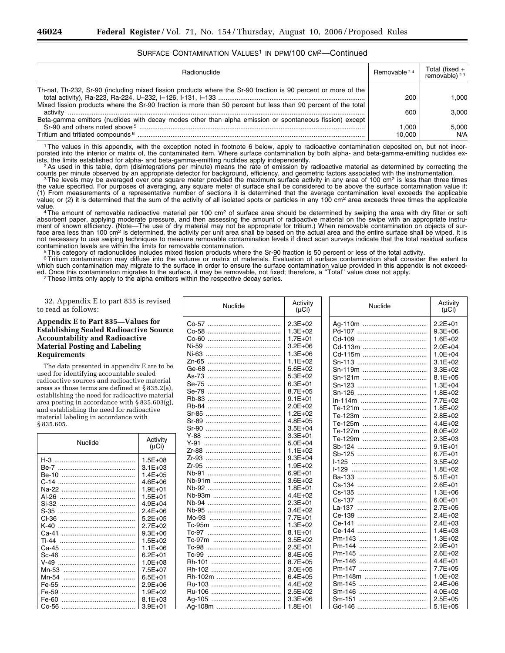## SURFACE CONTAMINATION VALUES<sup>1</sup> IN DPM/100 CM<sup>2</sup>-Continued

| <b>Radionuclide</b>                                                                                                                                     | Removable 24    | Total (fixed + removable) $23$ |
|---------------------------------------------------------------------------------------------------------------------------------------------------------|-----------------|--------------------------------|
| Th-nat, Th-232, Sr-90 (including mixed fission products where the Sr-90 fraction is 90 percent or more of the                                           | 200             | 1.000                          |
| Mixed fission products where the Sr-90 fraction is more than 50 percent but less than 90 percent of the total                                           | 600             | 3.000                          |
| Beta-gamma emitters (nuclides with decay modes other than alpha emission or spontaneous fission) except<br>Tritium and tritiated compounds <sup>6</sup> | 1.000<br>10.000 | 5.000<br>N/A                   |

1The values in this appendix, with the exception noted in footnote 6 below, apply to radioactive contamination deposited on, but not incorporated into the interior or matrix of, the contaminated item. Where surface contamination by both alpha- and beta-gamma-emitting nuclides ex-

ists, the limits established for alpha- and beta-gamma-emitting nuclides apply independently.<br><sup>2</sup> As used in this table, dpm (disintegrations per minute) means the rate of emission by radioactive material as determined by

counts per minute observed by an appropriate detector for background, efficiency, and geometric factors associated with the instrumentation.<br>The levels may be averaged over one square meter provided the maximum surface act the value specified. For purposes of averaging, any square meter of surface shall be considered to be above the surface contamination value if: (1) From measurements of a representative number of sections it is determined that the average contamination level exceeds the applicable value; or (2) it is determined that the sum of the activity of all isolated spots or particles in any 100 cm<sup>2</sup> area exceeds three times the applicable<br>value.

<sup>4</sup>The amount of removable radioactive material per 100 cm<sup>2</sup> of surface area should be determined by swiping the area with dry filter or soft absorbent paper, applying moderate pressure, and then assessing the amount of radioactive material on the swipe with an appropriate instrument of known efficiency. (Note—The use of dry material may not be appropriate for tritium.) When removable contamination on objects of surface area less than 100 cm<sup>2</sup> is determined, the activity per unit area shall be based on the actual area and the entire surface shall be wiped. It is not necessary to use swiping techniques to measure removable contamination levels if direct scan surveys indicate that the total residual surface<br>contamination levels are within the limits for removable contamination.

<sup>5</sup>This category of radionuclides includes mixed fission products where the Sr-90 fraction is 50 percent or less of the total activity.<br><sup>6</sup>Tritium contamination may diffuse into the volume or matrix of materials. Evaluatio which such contamination may migrate to the surface in order to ensure the surface contamination value provided in this appendix is not exceeded. Once this contamination migrates to the surface, it may be removable, not fixed; therefore, a "Total" value does not apply.<br>7 These limits only apply to the alpha emitters within the respective decay series.

32. Appendix E to part 835 is revised to read as follows:

## **Appendix E to Part 835—Values for Establishing Sealed Radioactive Source Accountability and Radioactive Material Posting and Labeling Requirements**

The data presented in appendix E are to be used for identifying accountable sealed radioactive sources and radioactive material areas as those terms are defined at § 835.2(a), establishing the need for radioactive material area posting in accordance with § 835.603(g), and establishing the need for radioactive material labeling in accordance with § 835.605.

| Nuclide | Activity<br>( <i>u</i> C <sub>i</sub> ) |
|---------|-----------------------------------------|
| H-3     | $1.5E + 08$                             |
| Be-7    | $3.1E + 03$                             |
| Be-10   | $1.4E + 0.5$                            |
| C-14    | $4.6E + 06$                             |
| Na-22   | $1.9E + 01$                             |
| AI-26   | 1.5E+01                                 |
| Si-32   | $4.9E + 04$                             |
| S-35    | $2.4E + 06$                             |
| CI-36   | $5.2E + 0.5$                            |
| $K-40$  | $2.7F + 02$                             |
| Ca-41   | $9.3E + 06$                             |
| Ti-44   | $1.5E + 02$                             |
| Ca-45   | $1.1E + 06$                             |
| Sc-46   | $6.2E + 01$                             |
| V-49    | 1.0E+08                                 |
| Mn-53   | $7.5E+07$                               |
| Mn-54   | $6.5E + 01$                             |
| Fe-55   | $2.9E + 06$                             |
| Fe-59   | $1.9E + 02$                             |
| Fe-60   | $8.1E + 03$                             |
| Co-56   | $3.9E + 01$                             |

| <b>Nuclide</b> | Activity<br>( <i>u</i> C <sub>i</sub> ) |
|----------------|-----------------------------------------|
| Co-57          | $2.3E + 02$                             |
| Co-58          | $1.3E + 02$                             |
| $Co-60$        | $1.7E + 01$                             |
| Ni-59          | $3.2E + 06$                             |
| Ni-63          | $1.3E + 06$                             |
| Zn-65          | $1.1E + 02$                             |
| Ge-68          | $5.6E + 02$                             |
| As-73          | $5.3E + 02$                             |
| Se-75          | $6.3E + 01$                             |
| Se-79          | $8.7E + 05$                             |
| Rb-83          | $9.1E + 01$                             |
| <b>Rb-84</b>   | $2.0E + 02$                             |
| Sr-85          | $1.2E + 02$                             |
| Sr-89          | $4.8E + 05$                             |
| Sr-90          | $3.5E + 04$                             |
|                | $3.3E + 01$                             |
| $Y-91$         | $5.0E + 04$                             |
| Zr-88          | $1.1E + 02$                             |
| Zr-93          | $9.3E + 04$                             |
| Zr-95          | $1.9E + 02$                             |
| <b>Nb-91</b>   | $6.9E + 01$                             |
|                | $3.6E + 02$                             |
| Nb-92          | $1.8E + 01$                             |
|                | $4.4E + 02$                             |
|                | $2.3E + 01$                             |
| Nb-95          | $3.4E + 02$<br>$7.7E + 01$              |
| Mo-93          | $1.3E + 02$                             |
| Tc-97          | $8.1E + 01$                             |
|                | $3.5E + 02$                             |
|                | $2.5E + 01$                             |
| Tc-99          | $8.4E + 05$                             |
| Rh-101         | $8.7E + 05$                             |
| Rh-102         | $3.0E + 05$                             |
| Rh-102m        | $6.4E + 05$                             |
|                | 4.4E+02                                 |
|                | $2.5E + 02$                             |
|                | $3.3E + 06$                             |
|                | $1.8E + 01$                             |

| Nuclide    | Activity<br>$(\mu Ci)$ |
|------------|------------------------|
|            | $2.2E + 01$            |
|            | $9.3E + 06$            |
|            | $1.6E + 02$            |
|            | $2.0E + 04$            |
|            | $1.0E + 04$            |
|            | $3.1E + 02$            |
|            | $3.3E + 02$            |
|            | $8.1E + 05$            |
|            | $1.3E + 04$            |
|            | $1.8E + 02$            |
|            | $7.7E + 02$            |
|            | $1.8E + 02$            |
|            | $2.8E + 02$            |
| Te-125m    | $4.4E + 02$            |
|            | $8.0E + 02$            |
| Te-129m    | $2.3E + 03$            |
|            | $9.1E + 01$            |
|            | $6.7E + 01$            |
| $1 - 125$  | $3.5E + 02$            |
| $1 - 129$  | $1.8E + 02$            |
|            | $5.1E + 01$            |
|            | $2.6E + 01$            |
| Cs-135<br> | $1.3E + 06$            |
| $Cs - 137$ | $6.0E + 01$            |
| La-137     | $2.7E + 05$            |
| Ce-139     | $2.4E + 02$            |
| Ce-141     | $2.4E + 03$            |
| Ce-144     | $1.4E + 03$            |
| Pm-143<br> | $1.3E + 02$            |
| Pm-144     | $2.9E + 01$            |
| Pm-145     | $2.6E + 02$            |
| Pm-146     | $4.4E + 01$            |
| Pm-147     | $7.7E + 05$            |
| Pm-148m    | $1.0E + 02$            |
| Sm-145     | $2.4E + 06$            |
| Sm-146     | $4.0E + 02$            |
| Sm-151     | $2.5E + 05$            |
| Gd-146     | $5.1E + 0.5$           |